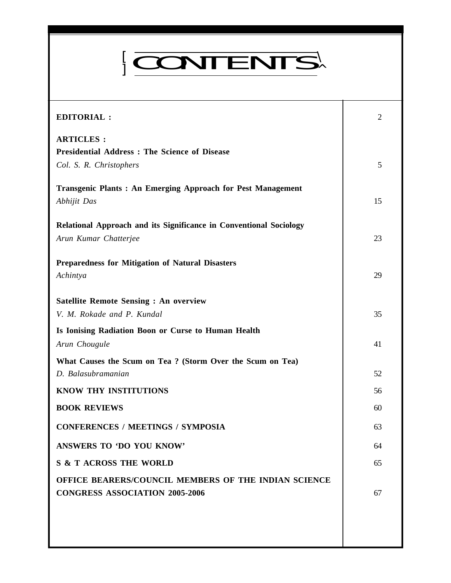# ]  $\Gamma$ CONTENTS

*Everyman's Science* **VOL. XXXX NO. 1, April— May'05**

| <b>EDITORIAL:</b>                                                                             | 2  |
|-----------------------------------------------------------------------------------------------|----|
| <b>ARTICLES:</b><br><b>Presidential Address: The Science of Disease</b>                       |    |
| Col. S. R. Christophers                                                                       | 5  |
| <b>Transgenic Plants: An Emerging Approach for Pest Management</b><br>Abhijit Das             | 15 |
| Relational Approach and its Significance in Conventional Sociology<br>Arun Kumar Chatterjee   | 23 |
| <b>Preparedness for Mitigation of Natural Disasters</b><br>Achintya                           | 29 |
| <b>Satellite Remote Sensing : An overview</b><br>V. M. Rokade and P. Kundal                   | 35 |
| Is Ionising Radiation Boon or Curse to Human Health<br>Arun Chougule                          | 41 |
| What Causes the Scum on Tea ? (Storm Over the Scum on Tea)<br>D. Balasubramanian              | 52 |
| KNOW THY INSTITUTIONS                                                                         | 56 |
| <b>BOOK REVIEWS</b>                                                                           | 60 |
| <b>CONFERENCES / MEETINGS / SYMPOSIA</b>                                                      | 63 |
| ANSWERS TO 'DO YOU KNOW'                                                                      | 64 |
| <b>S &amp; T ACROSS THE WORLD</b>                                                             | 65 |
| OFFICE BEARERS/COUNCIL MEMBERS OF THE INDIAN SCIENCE<br><b>CONGRESS ASSOCIATION 2005-2006</b> | 67 |
|                                                                                               |    |
|                                                                                               |    |

1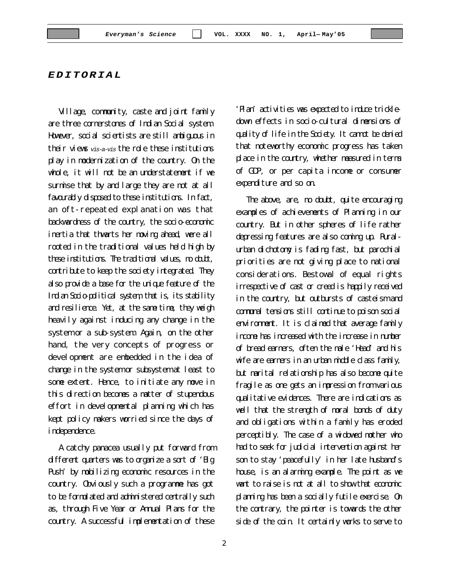*EDITORIAL*

Village, community, caste and joint family are three cornerstones of Indian Social system. However, social scientists are still anbiguous in their views *vis-a-vis* the role these institutions play in modernization of the country. On the whole, it will not be an understatement if we surmise that by and large they are not at all favourably disposed to these institutions. In fact, an oft-repeated explanation was that backwardness of the country, the socio-economic inertia that thwarts her moving ahead, were all rooted in the traditional values held high by these institutions. The traditional values, no doubt, contribute to keep the society integrated. They also provide a base for the unique feature of the Indian Socio-political system, that is, its stability and resilience. Yet, at the same time, they weigh heavily against inducing any change in the system or a sub-system. Again, on the other hand, the very concepts of progress or development are embedded in the idea of change in the system or subsystem at least to some extent. Hence, to initiate any move in this direction becomes a matter of stupendous effort in developmental planning which has kept policy makers worried since the days of independence.

A catchy panacea usually put forward from different quarters was to organize a sort of 'Big Push' by mobilizing economic resources in the country. Obviously such a programme has got to be formulated and administered centrally such as, through Five Year or Annual Plans for the country. A successful implementation of these

'Plan' activities was expected to induce trickledown effects in socio-cultural dimensions of quality of life in the Society. It cannot be denied that noteworthy economic progress has taken place in the country, whether measured in terms of GDP, or per capita income or consumer expenditure and so on.

The above, are, no doubt, quite encouraging examples of achievements of Planning in our country. But in other spheres of life rather depressing features are also coming up. Ruralurban dichotomy is fading fast, but parochial priorities are not giving place to national considerations. Bestowal of equal rights irrespective of cast or creed is happily received in the country, but outbursts of casteism and communal tensions still continue to poison social environment. It is claimed that average family income has increased with the increase in number of bread earners, often the male 'Head' and his wife are earners in an urban middle class family, but marital relationship has also become quite fragile as one gets an impression from various qualitative evidences. There are indications as well that the strength of moral bonds of duty and obligations within a family has eroded perceptibly. The case of a widowed mother who had to seek for judicial intervention against her son to stay 'peacefully' in her late husband's house, is an alarming example. The point as we want to raise is not at all to show that economic planning has been a socially futile exercise. On the contrary, the pointer is towards the other side of the coin. It certainly works to serve to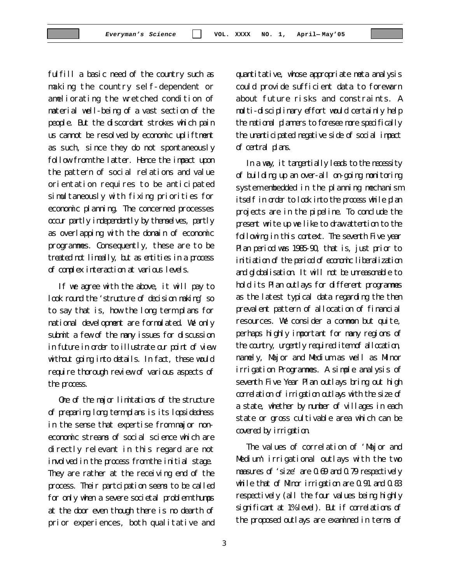fulfill a basic need of the country such as making the country self-dependent or ameliorating the wretched condition of material well-being of a vast section of the people. But the discordant strokes which pain us cannot be resolved by economic upliftment as such, since they do not spontaneously follow from the latter. Hence the impact upon the pattern of social relations and value orientation requires to be anticipated simultaneously with fixing priorities for economic planning. The concerned processes occur partly independently by themselves, partly as overlapping with the domain of economic programmes. Consequently, these are to be treated not lineally, but as entities in a process of complex interaction at various levels.

If we agree with the above, it will pay to look round the 'structure of decision making' so to say that is, how the long term plans for national development are formulated. We only submit a few of the many issues for discussion in future in order to illustrate our point of view without going into details. In fact, these would require thorough review of various aspects of the process.

One of the major limitations of the structure of preparing long term plans is its lopsidedness in the sense that expertise from major noneconomic streams of social science which are directly relevant in this regard are not involved in the process from the initial stage. They are rather at the receiving end of the process. Their partcipation seems to be called for only when a severe societal problem thumps at the door even though there is no dearth of prior experiences, both qualitative and

quantitative, whose appropriate meta analysis could provide sufficient data to forewarn about future risks and constraints. A multi-disciplinary effort would certainly help the national planners to foresee more specifically the unanticipated negative side of social impact of central plans.

In a way, it tangentially leads to the necessity of building up an over-all on-going monitoring system embedded in the planning mechanism itself in order to look into the process while plan projects are in the pipeline. To conclude the present write up we like to draw attention to the following in this context. The seventh Five year Plan period was 1985-90, that is, just prior to initiation of the period of economic liberalization and globalisation. It will not be unreasonable to hold its Plan outlays for different programmes as the latest typical data regarding the then prevalent pattern of allocation of financial resources. We consider a common but quite, perhaps highly important for many regions of the country, urgently required item of allocation, namely, Major and Medium as well as Minor irrigation Programmes. A simple analysis of seventh Five Year Plan outlays bring out high correlation of irrigation outlays with the size of a state, whether by number of villages in each state or gross cultivable area which can be covered by irrigation.

The values of correlation of 'Major and Medium' irrigational outlays with the two measures of 'size' are 0.69 and 0.79 respectively while that of Minor irrigation are 0.91 and 0.83 respectively (all the four values being highly significant at 1% level). But if correlations of the proposed outlays are examined in terms of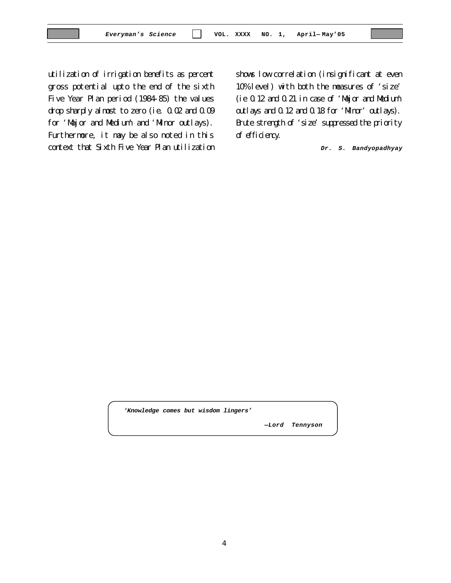utilization of irrigation benefits as percent gross potential upto the end of the sixth Five Year Plan period (1984-85) the values drop sharply almost to zero (ie. 0.02 and 0.09 for 'Major and Medium' and 'Minor outlays). Furthermore, it may be also noted in this context that Sixth Five Year Plan utilization shows low correlation (insignificant at even 10% level) with both the measures of 'size' (ie 0.12 and 0.21 in case of 'Major and Medium' outlays and 0.12 and 0.18 for 'Minor' outlays). Brute strength of 'size' suppressed the priority of efficiency.

*Dr. S. Bandyopadhyay*

*'Knowledge comes but wisdom lingers'*

*—Lord Tennyson*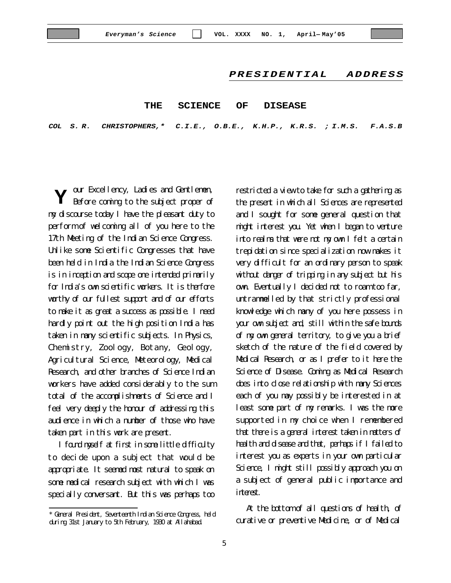#### *PRESIDENTIAL ADDRESS*

#### **THE SCIENCE OF DISEASE**

*COL S. R. CHRISTOPHERS,\* C.I.E., O.B.E., K.H.P., K.R.S. ; I.M.S. F.A.S.B*

our Excellency, Ladies and Gentlemen, Before coming to the subject proper of my discourse today I have the pleasant duty to perform of welcoming all of you here to the 17th Meeting of the Indian Science Congress. Unlike some Scientific Congresses that have been held in India the Indian Science Congress is in inception and scope one intended primarily for India's own scientific workers. It is therfore worthy of our fullest support and of our efforts to make it as great a success as possible. I need hardly point out the high position India has taken in many scientific subjects. In Physics, Chemistry, Zoology, Botany, Geology, Agricultural Science, Meteorology, Medical Research, and other branches of Science Indian workers have added considerably to the sum total of the accomplishments of Science and I feel very deeply the honour of addressing this audience in which a number of those who have taken part in this work are present. **Y**

I found myself at first in some little difficulty to decide upon a subject that would be appropriate. It seemed most natural to speak on some medical research subject with which I was specially conversant. But this was perhaps too

restricted a view to take for such a gathering as the present in which all Sciences are represented and I sought for some general question that might interest you. Yet when I began to venture into realms that were not my own I felt a certain trepidation since specialization now makes it very difficult for an ordinary person to speak without danger of tripping in any subject but his own. Eventually I decided not to roam too far, untrammelled by that strictly professional knowledge which many of you here possess in your own subject and, still within the safe bounds of my own general territory, to give you a brief sketch of the nature of the field covered by Medical Research, or as I prefer to it here the Science of Disease. Coming as Medical Research does into close relationship with many Sciences each of you may possibly be interested in at least some part of my remarks. I was the more supported in my choice when I remembered that there is a general interest taken in matters of health and disease and that, perhaps if I failed to interest you as experts in your own particular Science, I might still possibly approach you on a subject of general public importance and interest.

At the bottom of all questions of health, of curative or preventive Medicine, or of Medical

<sup>\*</sup> General President, Seventeenth Indian Science Congress, held during 31st January to 5th February, 1930 at Allahabad.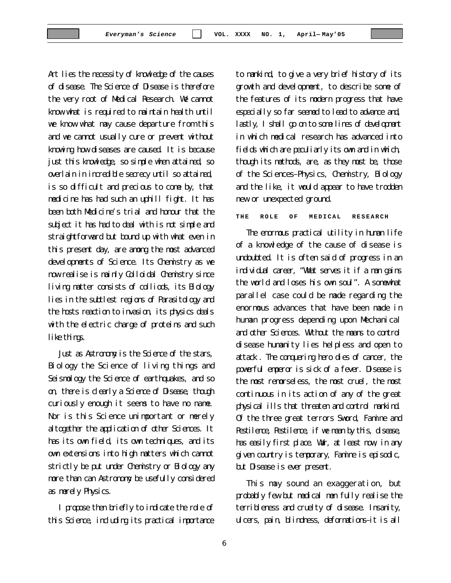Art lies the necessity of knowledge of the causes of disease. The Science of Disease is therefore the very root of Medical Research. We cannot know what is required to maintain health until we know what may cause departure from this and we cannot usually cure or prevent without knowing how diseases are caused. It is because just this knowledge, so simple when attained, so overlain in incredible secrecy until so attained, is so difficult and precious to come by, that medicine has had such an uphill fight. It has been both Medicine's trial and honour that the subject it has had to deal with is not simple and straightforward but bound up with what even in this present day, are among the most advanced developments of Science. Its Chemistry as we now realise is mainly Colloidal Chemistry since living matter consists of colliods, its Biology lies in the subtlest regions of Parasitology and the hosts reaction to invasion, its physics deals with the electric charge of proteins and such like things.

Just as Astronomy is the Science of the stars, Biology the Science of living things and Seismology the Science of earthquakes, and so on, there is clearly a Science of Disease, though curiously enough it seems to have no name. Nor is this Science unimportant or merely altogether the application of other Sciences. It has its own field, its own techniques, and its own extensions into high matters which cannot strictly be put under Chemistry or Biology any more than can Astronomy be usefully considered as merely Physics.

I propose then briefly to indicate the role of this Science, including its practical importance

to mankind, to give a very brief history of its growth and development, to describe some of the features of its modern progress that have especially so far seemed to lead to advance and, lastly, I shall go on to some lines of development in which medical research has advanced into fields which are peculiarly its own and in which, though its methods, are, as they must be, those of the Sciences–Physics, Chemistry, Biology and the like, it would appear to have trodden new or unexpected ground.

**THE ROLE OF MEDICAL RESEARCH**

The enormous practical utility in human life of a knowledge of the cause of disease is undoubted. It is often said of progress in an individual career, "What serves it if a man gains the world and loses his own soul". A somewhat parallel case could be made regarding the enormous advances that have been made in human progress depending upon Mechanical and other Sciences. Without the means to control disease humanity lies helpless and open to attack. The conquering hero dies of cancer, the powerful emperor is sick of a fever. Disease is the most remorseless, the most cruel, the most continuous in its action of any of the great physical ills that threaten and control mankind. Of the three great terrors Sword, Famine and Pestilence, Pestilence, if we mean by this, disease, has easily first place. War, at least now, in any given country is temporary, Famine is episodic, but Disease is ever present.

This may sound an exaggeration, but probably few but medical men fully realise the terribleness and cruelty of disease. Insanity, ulcers, pain, blindness, deformations–it is all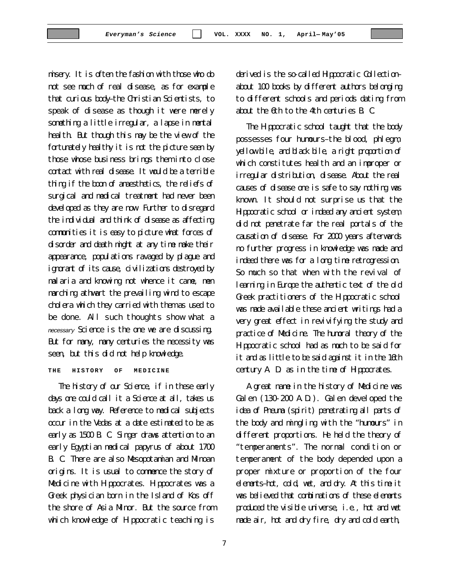misery. It is often the fashion with those who do not see much of real disease, as for example that curious body–the Christian Scientists, to speak of disease as though it were merely something a little irregular, a lapse in mental health. But though this may be the view of the fortunately healthy it is not the picture seen by those whose business brings them into close contact with real disease. It would be a terrible thing if the boon of anaesthetics, the reliefs of surgical and medical treatment had never been developed as they are now. Further to disregard the individual and think of disease as affecting communities it is easy to picture what forces of disorder and death might at any time make their appearance, populations ravaged by plague and ignorant of its cause, civilizations destroyed by malaria and knowing not whence it came, men marching athwart the prevailing wind to escape cholera which they carried with them as used to be done. All such thoughts show what a *necessary* Science is the one we are discussing. But for many, many centuries the necessity was seen, but this did not help knowledge.

**THE HISTORY OF MEDICINE**

The history of our Science, if in these early days one could call it a Science at all, takes us back a long way. Reference to medical subjects occur in the Vedas at a date estimated to be as early as 1500 B. C. Singer draws attention to an early Egyptian medical papyrus of about 1700 B. C. There are also Mesopotamian and Minoan origins. It is usual to commence the story of Medicine with Hippocrates. Hippocrates was a Greek physician born in the Island of Kos off the shore of Asia Minor. But the source from which knowledge of Hippocratic teaching is

derived is the so-called Hippocratic Collection– about 100 books by different authors belonging to different schools and periods dating from about the 6th to the 4th centuries B. C.

The Hippocratic school taught that the body possesses four humours–the blood, phlegm, yellow bile, and black bile, a right proportion of which constitutes health and an improper or irregular distribution, disease. About the real causes of disease one is safe to say nothing was known. It should not surprise us that the Hippocratic school or indeed any ancient system, did not penetrate far the real portals of the causation of disease. For 2000 years afterwards no further progress in knowledge was made and indeed there was for a long time retrogression. So much so that when with the revival of learning in Europe the authentic text of the old Greek practitioners of the Hippocratic school was made available these ancient writings had a very great effect in revivifying the study and practice of Medicine. The humoral theory of the Hippocratic school had as much to be said for it and as little to be said against it in the 16th century A. D. as in the time of Hippocrates.

A great name in the history of Medicine was Galen (130-200 A.D.). Galen developed the idea of Pneuma (spirit) penetrating all parts of the body and mingling with the "humours" in different proportions. He held the theory of "temperaments". The normal condition or temperament of the body depended upon a proper mixture or proportion of the four elements–hot, cold, wet, and dry. At this time it was believed that combinations of these elements produced the visible universe, i.e., hot and wet made air, hot and dry fire, dry and cold earth,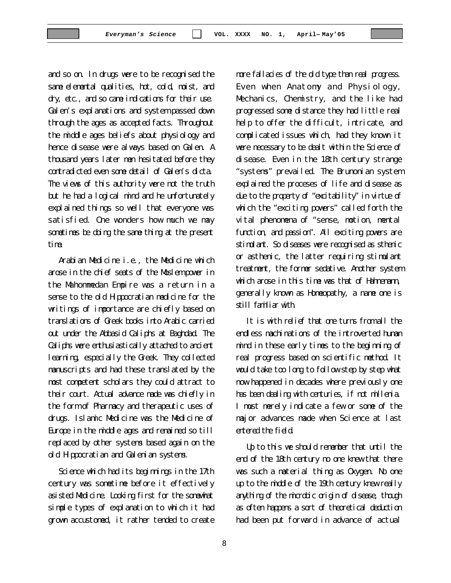and so on. In drugs were to be recognised the same elemental qualities, hot, cold, moist, and dry, etc., and so came indications for their use. Galen's explanations and system passed down through the ages as accepted facts. Throughout the middle ages beliefs about physiology and hence disease were always based on Galen. A thousand years later men hesitated before they contradicted even some detail of Galen's dicta. The views of this authority were not the truth but he had a logical mind and he unfortunately explained things so well that everyone was satisfied. One wonders how much we may sometimes be doing the same thing at the present time.

Arabian Medicine i.e., the Medicine which arose in the chief seats of the Moslem power in the Mahommedan Empire was a return in a sense to the old Hippocratian medicine for the writings of importance are chiefly based on translations of Greek books into Arabic carried out under the Abbasid Caliphs at Baghdad. The Caliphs were enthusiastically attached to ancient learning, especially the Greek. They collected manuscripts and had these translated by the most competent scholars they could attract to their court. Actual advance made was chiefly in the form of Pharmacy and therapeutic uses of drugs. Islamic Medicine was the Medicine of Europe in the middle ages and remained so till replaced by other systems based again on the old Hippocratian and Galenian systems.

Science which had its beginnings in the 17th century was sometime before it effectively asisted Medicine. Looking first for the somewhat simple types of explanation to which it had grown accustomed, it rather tended to create more fallacies of the old type than real progress. Even when Anatomy and Physiology, Mechanics, Chemistry, and the like had progressed some distance they had little real help to offer the difficult, intricate, and complicated issues which, had they known it were necessary to be dealt within the Science of disease. Even in the 18th century strange "systems" prevailed. The Brunonian system explained the proceses of life and disease as due to the property of "excitability" in virtue of which the "exciting powers" called forth the vital phenomena of "sense, motion, mental function, and passion". All exciting powers are stimulant. So diseases were recognised as sthenic or asthenic, the latter requiring stimulant treatment, the former sedative. Another system which arose in this time was that of Hahnemann, generally known as Homeopathy, a name one is still familiar with.

It is with relief that one turns from all the endless machinations of the introverted human mind in these early times to the beginning of real progress based on scientific method. It would take too long to follow step by step what now happened in decades where previously one has been dealing with centuries, if not millenia. I must merely indicate a few or some of the major advances made when Science at last entered the field.

Up to this we should remember that until the end of the 18th century no one knew that there was such a material thing as Oxygen. No one up to the middle of the 19th century knew really anything of the microbic origin of disease, though as often happens a sort of theoretical deduction had been put forward in advance of actual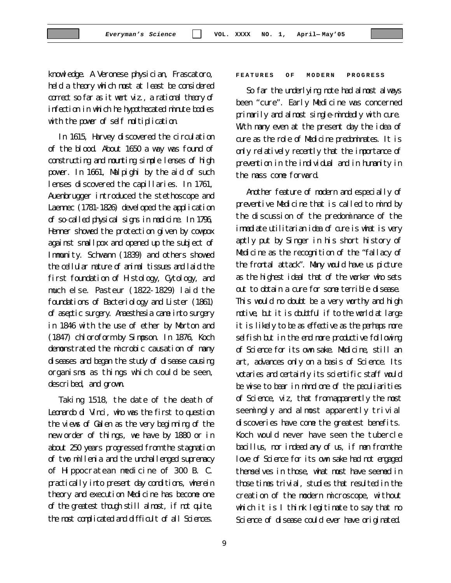knowledge. A Veronese physician, Frascatoro, held a theory which must at least be considered correct so far as it went viz., a rational theory of infection in which he hypothecated minute bodies with the power of self multiplication.

In 1615, Harvey discovered the circulation of the blood. About 1650 a way was found of constructing and mounting simple lenses of high power. In 1661, Malpighi by the aid of such lenses discovered the capillaries. In 1761, Auenbrugger introduced the stethoscope and Laennec (1781-1826) developed the application of so-called physical signs in medicine. In 1796, Henner showed the protection given by cowpox against smallpox and opened up the subject of Immunity. Schwann (1839) and others showed the cellular nature of animal tissues and laid the first foundation of Histology, Cytology, and much else. Pasteur (1822-1829) laid the foundations of Bacteriology and Lister (1861) of aseptic surgery. Anaesthesia came into surgery in 1846 with the use of ether by Morton and (1847) chloroform by Simpson. In 1876, Koch demonstrated the microbic causation of many diseases and began the study of disease causing organisms as things which could be seen, described, and grown.

Taking 1518, the date of the death of Leonardo di Vinci, who was the first to question the views of Galen as the very beginning of the new order of things, we have by 1880 or in about 250 years progressed from the stagnation of two millenia and the unchallenged supremacy of Hippocratean medicine of 300 B. C. practically into present day conditions, wherein theory and execution Medicine has become one of the greatest though still almost, if not quite, the most complicated and difficult of all Sciences.

#### **FEATURES OF MODERN PROGRESS**

So far the underlying note had almost always been "cure". Early Medicine was concerned primarily and almost single-mindedly with cure. With many even at the present day the idea of cure as the role of Medicine predominates. It is only relatively recently that the importance of prevention in the individual and in humanity in the mass come forward.

Another feature of modern and especially of preventive Medicine that is called to mind by the discussion of the predominance of the immediate utilitarian idea of cure is what is very aptly put by Singer in his short history of Medicine as the recognition of the "fallacy of the frontal attack". Many would have us picture as the highest ideal that of the worker who sets out to obtain a cure for some terrible disease. This would no doubt be a very worthy and high motive, but it is doubtful if to the world at large it is likely to be as effective as the perhaps more selfish but in the end more productive following of Science for its own sake. Medicine, still an art, advances only on a basis of Science. Its votaries and certainly its scientific staff would be wise to bear in mind one of the peculiarities of Science, viz, that from apparently the most seemingly and almost apparently trivial discoveries have come the greatest benefits. Koch would never have seen the tubercle bacillus, nor indeed any of us, if men from the love of Science for its own sake had not engaged themselves in those, what must have seemed in those times trivial, studies that resulted in the creation of the modern microscope, without which it is I think legitimate to say that no Science of disease could ever have originated.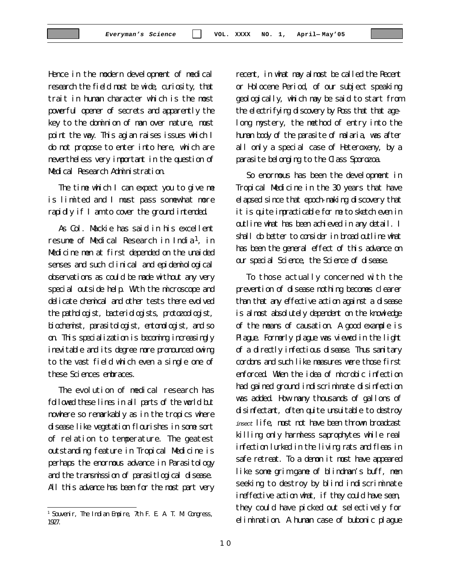Hence in the modern development of medical research the field must be wide, curiosity, that trait in human character which is the most powerful opener of secrets and apparently the key to the dominion of man over nature, must point the way. This agian raises issues which I do not propose to enter into here, which are nevertheless very important in the question of Medical Research Administration.

The time which I can expect you to give me is limited and I must pass somewhat more rapidly if I am to cover the ground intended.

As Col. Mackie has said in his excellent resume of Medical Research in India1, in Medicine men at first depended on the unaided senses and such clinical and epidemiological observations as could be made without any very special outside help. With the microscope and delicate chemical and other tests there evolved the pathologist, bacteriologists, protozoologist, biochemist, parasitologist, entomologist, and so on. This specialization is becoming increasingly inevitable and its degree more pronounced owing to the vast field which even a single one of these Sciences embraces.

The evolution of medical research has followed these lines in all parts of the world but nowhere so remarkably as in the tropics where disease like vegetation flourishes in some sort of relation to temperature. The geatest outstanding feature in Tropical Medicine is perhaps the enormous advance in Parasitology and the transmission of parasitlogical disease. All this advance has been for the most part very recent, in what may almost be called the Recent or Holocene Period, of our subject speaking geologically, which may be said to start from the electrifying discovery by Ross that that agelong mystery, the method of entry into the human body of the parasite of malaria, was after all only a special case of Heteroxeny, by a parasite belonging to the Class Sporozoa.

So enormous has been the development in Tropical Medicine in the 30 years that have elapsed since that epoch-making discovery that it is quite impracticable for me to sketch even in outline what has been achieved in any detail. I shall do better to consider in broad outline what has been the general effect of this advance on our special Science, the Science of disease.

To those actually concerned with the prevention of disease nothing becomes clearer than that any effective action against a disease is almost absolutely dependent on the knowledge of the means of causation. A good example is Plague. Formerly plague was viewed in the light of a directly infectious disease. Thus sanitary cordons and such like measures were those first enforced. When the idea of microbic infection had gained ground indiscriminate disinfection was added. How many thousands of gallons of disinfectant, often quite unsuitable to destroy *insect* life, must not have been thrown broadcast killing only harmless saprophytes while real infection lurked in the living rats and fleas in safe retreat. To a demon it must have appeared like some grim game of blindman's buff, men seeking to destroy by blind indiscriminate ineffective action what, if they could have seen, they could have picked out selectively for elimination. A human case of bubonic plague

<sup>1</sup> Souvenir, The Indian Empire, 7th F. E. A. T. M. Congress, 1927.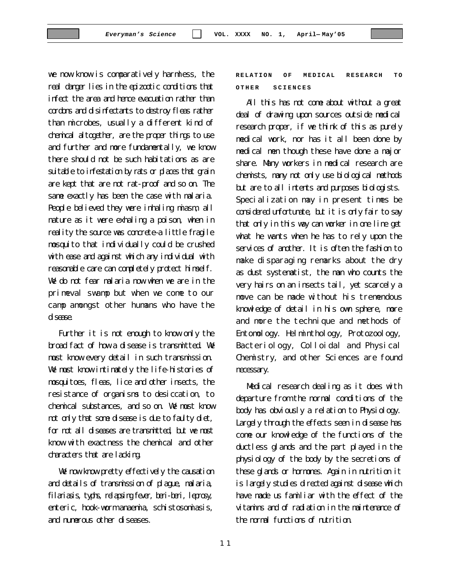we now know is comparatively harmless, the real danger lies in the epizootic conditions that infect the area and hence evacuation rather than cordons and disinfectants to destroy fleas rather than microbes, usually a different kind of chemical altogether, are the proper things to use and further and more fundamentally, we know there should not be such habitations as are suitable to infestation by rats or places that grain are kept that are not rat-proof and so on. The same exactly has been the case with malaria. People believed they were inhaling miasm, all nature as it were exhaling a poison, when in reality the source was concrete-a little fragile mosquito that individually could be crushed with ease and against which any individual with reasonable care can completely protect himself. We do not fear malaria now when we are in the primeval swamp but when we come to our camp amongst other humans who have the disease.

Further it is not enough to know only the broad fact of how a disease is transmitted. We must know every detail in such transmission. We must know intimately the life-histories of mosquitoes, fleas, lice and other insects, the resistance of organisms to desiccation, to chemical substances, and so on. We must know not only that some disease is due to faulty diet, for not all diseases are transmitted, but we must know with exactness the chemical and other characters that are lacking.

We now know pretty effectively the causation and details of transmission of plague, malaria, filariasis, typhs, relapsing fever, beri-beri, leprosy, enteric, hook-worm anaemia, schistosomiasis, and numerous other diseases.

## **RELATION OF MEDICAL RESEARCH TO OTHER SCIENCES**

All this has not come about without a great deal of drawing upon sources outside medical research proper, if we think of this as purely medical work, nor has it all been done by medical men though these have done a major share. Many workers in medical research are chemists, many not only use biological methods but are to all intents and purposes biologists. Specialization may in present times be considered unfortunate, but it is only fair to say that only in this way can worker in one line get what he wants when he has to rely upon the services of another. It is often the fashion to make disparaging remarks about the dry as dust systematist, the man who counts the very hairs on an insects tail, yet scarcely a move can be made without his tremendous knowledge of detail in his own sphere, more and more the technique and methods of Entomology. Helminthology, Protozoology, Bacteriology, Colloidal and Physical Chemistry, and other Sciences are found necessary.

Medical research dealing as it does with departure from the normal conditions of the body has obviously a relation to Physiology. Largely through the effects seen in disease has come our knowledge of the functions of the ductless glands and the part played in the physiology of the body by the secretions of these glands or hormones. Again in nutrition it is largely studies directed against disease which have made us familiar with the effect of the vitamins and of radiation in the maintenance of the normal functions of nutrition.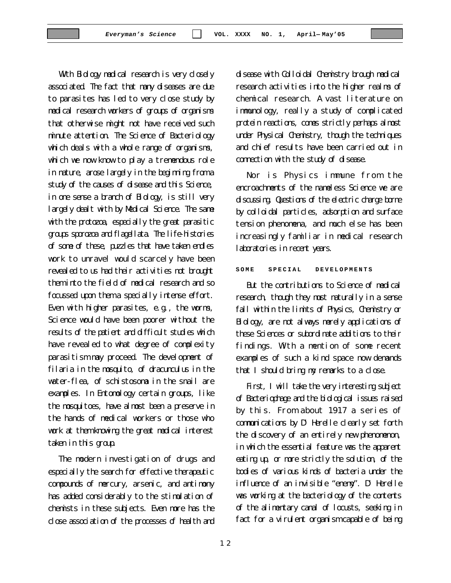With Biology medical research is very closely associated. The fact that many diseases are due to parasites has led to very close study by medical research workers of groups of organisms that otherwise might not have received such minute attention. The Science of Bacteriology which deals with a whole range of organisms, which we now know to play a tremendous role in nature, arose largely in the beginning from a study of the causes of disease and this Science, in one sense a branch of Biology, is still very largely dealt with by Medical Science. The same with the protozoa, especially the great parasitic groups sporozoa and flagellata. The life-histories of some of these, puzzles that have taken endles work to unravel would scarcely have been revealed to us had their activities not brought them into the field of medical research and so focussed upon them a specially intense effort. Even with higher parasites, e.g., the worms, Science would have been poorer without the results of the patient and difficult studies which have revealed to what degree of complexity parasitism may proceed. The development of filaria in the mosquito, of dracunculus in the water-flea, of schistosoma in the snail are examples. In Entomology certain groups, like the mosquitoes, have almost been a preserve in the hands of medical workers or those who work at them knowing the great medical interest taken in this group.

The modern investigation of drugs and especially the search for effective therapeutic compounds of mercury, arsenic, and antimony has added considerably to the stimulation of chemists in these subjects. Even more has the close association of the processes of health and

disease with Colloidal Chemistry brough medical research activities into the higher realms of chemical research. A vast literature on immunology, really a study of complicated protein reactions, comes strictly perhaps almost under Physical Chemistry, though the techniques and chief results have been carried out in connection with the study of disease.

Nor is Physics immune from the encroachments of the nameless Science we are discussing. Questions of the electric charge borne by colloidal particles, adsorption and surface tension phenomena, and much else has been increasingly familiar in medical research laboratories in recent years.

#### SOME SPECIAL DEVELOPMENTS

But the contributions to Science of medical research, though they must naturally in a sense fall within the limits of Physics, Chemistry or Biology, are not always merely applications of these Sciences or subordinate additions to their findings. With a mention of some recent examples of such a kind space now demands that I should bring my remarks to a close.

First, I will take the very interesting subject of Bacteriophage and the biological issues raised by this. From about 1917 a series of communications by D' Herelle clearly set forth the discovery of an entirely new phenomenon, in which the essential feature was the apparent eating up, or more strictly the solution, of the bodies of various kinds of bacteria under the influence of an invisible "enemy". D' Herelle was working at the bacteriology of the contents of the alimentary canal of locusts, seeking in fact for a virulent organism capable of being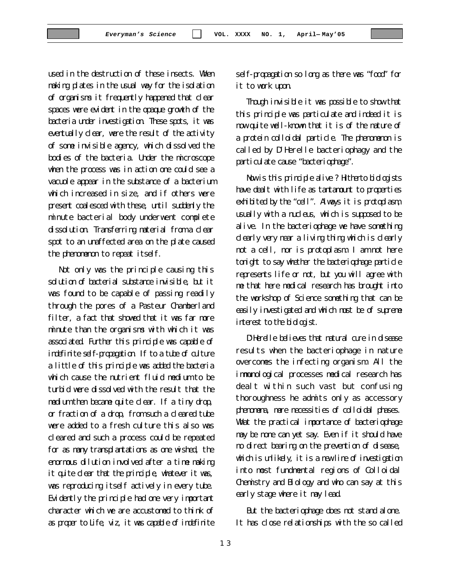used in the destruction of these insects. When making plates in the usual way for the isolation of organisms it frequently happened that clear spaces were evident in the opaque growth of the bacteria under investigation. These spots, it was eventually clear, were the result of the activity of some invisible agency, which dissolved the bodies of the bacteria. Under the microscope when the process was in action one could see a vacuole appear in the substance of a bacterium which increased in size, and if others were present coalesced with these, until suddenly the minute bacterial body underwent complete dissolution. Transferring material from a clear spot to an unaffected area on the plate caused the phenomenon to repeat itself.

Not only was the principle causing this solution of bacterial substance invisible, but it was found to be capable of passing readily through the pores of a Pasteur Chamberland filter, a fact that showed that it was far more minute than the organisms with which it was associated. Further this principle was capable of indefinite self-propagation. If to a tube of culture a little of this principle was added the bacteria which cause the nutrient fluid medium to be turbid were dissolved with the result that the medium then became quite clear. If a tiny drop, or fraction of a drop, from such a cleared tube were added to a fresh culture this also was cleared and such a process could be repeated for as many transplantations as one wished, the enormous dilution involved after a time making it quite clear that the principle, whatever it was, was reproducing itself actively in every tube. Evidently the principle had one very important character which we are accustomed to think of as proper to Life, viz, it was capable of indefinite

self-propagation so long as there was "food" for it to work upon.

Though invisible it was possible to show that this principle was particulate and indeed it is now quite well-known that it is of the nature of a protein colloidal particle. The phenomenon is called by D'Herelle bacteriophagy and the particulate cause "bacteriophage".

Now is this principle alive ? Hitherto biologists have dealt with life as tantamount to properties exhibited by the "cell". Always it is protoplasm, usually with a nucleus, which is supposed to be alive. In the bacteriophage we have something clearly very near a living thing which is clearly not a cell, nor is protoplasm. I am not here tonight to say whether the bacteriophage particle represents life or not, but you will agree with me that here medical research has brought into the workshop of Science something that can be easily investigated and which must be of supreme interest to the biologist.

D'Herelle believes that natural cure in disease results when the bacteriophage in nature overcomes the infecting organism. All the immunological processes medical research has dealt within such vast but confusing thoroughness he admits only as accessory phenomena, mere necessities of colloidal phases. What the practical importance of bacteriophage may be none can yet say. Even if it should have no direct bearing on the prevention of disease, which is unlikely, it is a new line of investigation into most fundmental regions of Colloidal Chemistry and Biology and who can say at this early stage where it may lead.

But the bacteriophage does not stand alone. It has close relationships with the so called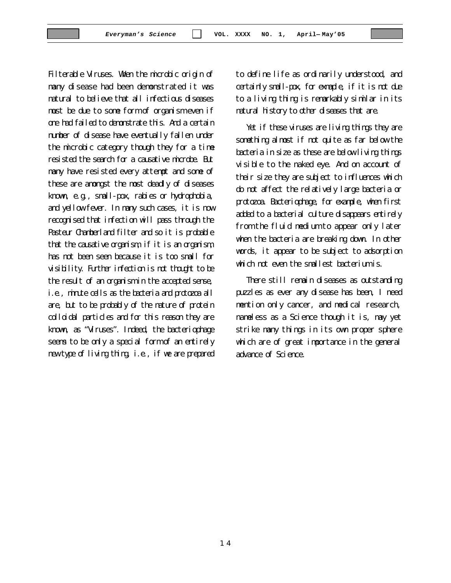Filterable Viruses. When the microbic origin of many disease had been demonstrated it was natural to believe that all infectious diseases must be due to some form of organism even if one had failed to demonstrate this. And a certain number of disease have eventually fallen under the microbic category though they for a time resisted the search for a causative microbe. But many have resisted every attempt and some of these are amongst the most deadly of diseases known, e.g., small-pox, rabies or hydrophobia, and yellow fever. In many such cases, it is now recognised that infection will pass through the Pasteur Chamberland filter and so it is probable that the causative organism, if it is an organism, has not been seen because it is too small for visibility. Further infection is not thought to be the result of an organism in the accepted sense, i.e., minute cells as the bacteria and protozoa all are, but to be probably of the nature of protein colloidal particles and for this reason they are known, as "Viruses". Indeed, the bacteriophage seems to be only a special form of an entirely new type of living thing, i.e., if we are prepared to define life as ordinarily understood, and certainly small-pox, for exmaple, if it is not due to a living thing is remarkably similar in its natural history to other diseases that are.

Yet if these viruses are living things they are something almost if not quite as far below the bacteria in size as these are below living things visible to the naked eye. And on account of their size they are subject to influences which do not affect the relatively large bacteria or protozoa. Bacteriophage, for example, when first added to a bacterial culture disappears entirely from the fluid medium to appear only later when the bacteria are breaking down. In other words, it appear to be subject to adsorption which not even the smallest bacterium is.

There still remain diseases as outstanding puzzles as ever any disease has been, I need mention only cancer, and medical research, nameless as a Science though it is, may yet strike many things in its own proper sphere which are of great importance in the general advance of Science.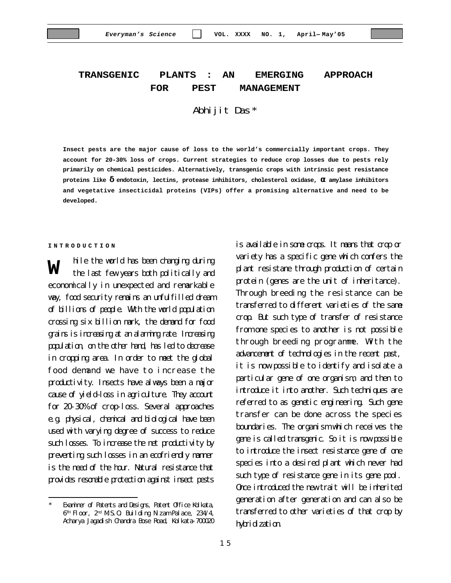# **TRANSGENIC PLANTS : AN EMERGING APPROACH FOR PEST MANAGEMENT**

## Abhijit Das\*

**Insect pests are the major cause of loss to the world's commercially important crops. They account for 20-30% loss of crops. Current strategies to reduce crop losses due to pests rely primarily on chemical pesticides. Alternatively, transgenic crops with intrinsic pest resistance proteins like d endotoxin, lectins, protease inhibitors, cholesterol oxidase, a amylase inhibitors and vegetative insecticidal proteins (VIPs) offer a promising alternative and need to be developed.**

#### **INTRODUCTION**

hile the world has been changing during the last few years both politically and economically in unexpected and remarkable way, food security remains an unfulfilled dream of billions of people. With the world population crossing six billion mark, the demand for food grains is increasing at an alarming rate. Increasing population, on the other hand, has led to decrease in cropping area. In order to meet the global food demand we have to increase the productivity. Insects have always been a major cause of yield–loss in agriculture. They account for 20-30% of crop-loss. Several approaches e.g. physical, chemical and biological have been used with varying degree of success to reduce such losses. To increase the net productivity by preventing such losses in an ecofriendly manner is the need of the hour. Natural resistance that provides resonable protection against insect pests **W**

is available in some crops. It means that crop or variety has a specific gene which confers the plant resistane through production of certain protein (genes are the unit of inheritance). Through breeding the resistance can be transferred to different varieties of the same crop. But such type of transfer of resistance from one species to another is not possible through breeding programme. With the advancement of technologies in the recent past, it is now possible to identify and isolate a particular gene of one organism, and then to introduce it into another. Such techniques are referred to as genetic engineering. Such gene transfer can be done across the species boundaries. The organism which receives the gene is called transgenic. So it is now possible to introduce the insect resistance gene of one species into a desired plant which never had such type of resistance gene in its gene pool. Once introduced the new trait will be inherited generation after generation and can also be transferred to other varieties of that crop by hybridization.

Examiner of Patents and Designs, Patent Office Kolkata, 6™ Floor, 2™ M.S.O. Building Nizam Palace, 234/4, Acharya Jagadish Chandra Bose Road, Kolkata-700020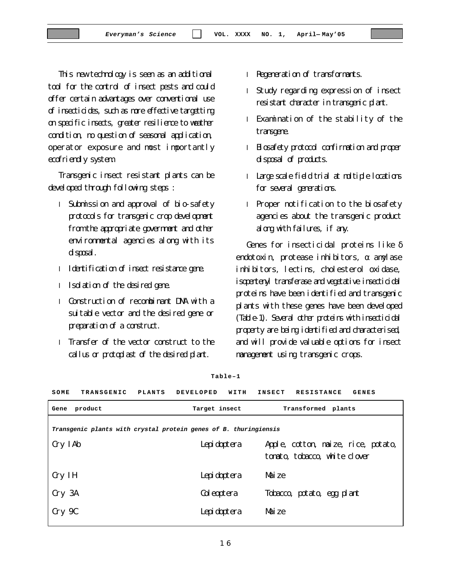1 6

This new technology is seen as an additional tool for the control of insect pests and could offer certain advantages over conventional use of insecticides, such as more effective targetting on specific insects, greater resilience to weather condition, no question of seasonal application, operator exposure and most importantly ecofriendly system.

Transgenic insect resistant plants can be developed through following steps :

- l Submission and approval of bio-safety protocols for transgenic crop development from the appropriate government and other environmental agencies along with its disposal.
- l Identification of insect resistance gene.
- l Isolation of the desired gene.
- l Construction of recombinant DNA with a suitable vector and the desired gene or preparation of a construct.
- l Transfer of the vector construct to the callus or protoplast of the desired plant.
- l Regeneration of transformants.
- l Study regarding expression of insect resistant character in transgenic plant.
- l Examination of the stability of the transgene.
- l Biosafety protocol confirmation and proper disposal of products.
- l Large scale field trial at multiple locations for several generations.
- l Proper notification to the biosafety agencies about the transgenic product along with failures, if any.

Genes for insecticidal proteins like δ endotoxin, protease inhibitors,  $\alpha$  anylase inhibitors, lectins, cholesterol oxidase, isopentenyl transferase and vegetative insecticidal proteins have been identified and transgenic plants with these genes have been developed (Table-1). Several other proteins with insecticidal property are being identified and characterised, and will provide valuable options for insect management using transgenic crops.

| SOME                                                             | <b>TRANSGENIC</b> | <b>PLANTS</b> | <b>DEVELOPED</b> | WITH | INSECT | <b>GENES</b><br><b>RESISTANCE</b>   |  |
|------------------------------------------------------------------|-------------------|---------------|------------------|------|--------|-------------------------------------|--|
| Gene                                                             | product           |               | Target insect    |      |        | Transformed plants                  |  |
| Transgenic plants with crystal protein genes of B. thuringiensis |                   |               |                  |      |        |                                     |  |
|                                                                  |                   |               |                  |      |        |                                     |  |
| Cry IAb                                                          |                   |               | Lepidoptera      |      |        | Apple, cotton, maize, rice, potato, |  |
|                                                                  |                   |               |                  |      |        | tonato, tobacco, white clover       |  |
| Cry IH                                                           |                   |               | Lepidoptera      |      | Maize  |                                     |  |
| Cry 3A                                                           |                   |               | Coleoptera       |      |        | Tobacco, potato, egg plant          |  |
| Cry 9C                                                           |                   |               | Lepidoptera      |      | Maize  |                                     |  |
|                                                                  |                   |               |                  |      |        |                                     |  |

**Table–1**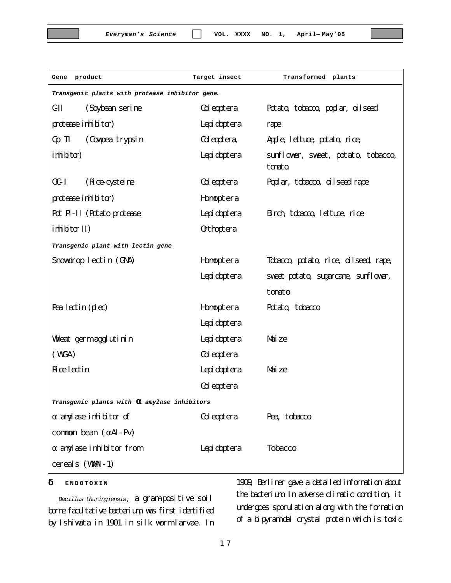| Gene product                                    | Target insect     | Transformed plants                            |  |  |  |
|-------------------------------------------------|-------------------|-----------------------------------------------|--|--|--|
| Transgenic plants with protease inhibitor gene. |                   |                                               |  |  |  |
| $\mathbf{C}\mathbf{I}$<br>(Soybean serine       | Coleoptera        | Potato, tobacco, poplar, oilseed              |  |  |  |
| protease inhibitor)                             | Lepidoptera       | rape                                          |  |  |  |
| (Cowpea trypsin<br>C <sub>p</sub> TI            | Coleoptera,       | Apple, lettuce, potato, rice,                 |  |  |  |
| irhibitar)                                      | Lepidoptera       | sunflower, sweet, potato, tobacco,<br>tanato. |  |  |  |
| $0C-I$<br>(Rice cysteine                        | Coleoptera        | Poplar, tobacco, oilseed rape                 |  |  |  |
| protease inhibitor)                             | Homptera          |                                               |  |  |  |
| Pot PI-II (Potato protease                      | Lepidoptera       | Birch, tobacco, lettuce, rice                 |  |  |  |
| $\text{inlitor}\,\text{II}$                     | <b>Orthoptera</b> |                                               |  |  |  |
| Transgenic plant with lectin gene               |                   |                                               |  |  |  |
| Snowdrop lectin (GNA)                           | Homptera          | Tobacco, potato, rice, oilseed, rape,         |  |  |  |
|                                                 | Lepidoptera       | sweet potato, sugarcane, sunflower,           |  |  |  |
|                                                 |                   | tomato                                        |  |  |  |
| Pea lectin (plec)                               | Homptera          | Potato, tobacco                               |  |  |  |
|                                                 | Lepidoptera       |                                               |  |  |  |
| Wheat germ agglutinin                           | Lepidoptera       | Maize                                         |  |  |  |
| (WGA)                                           | Coleoptera        |                                               |  |  |  |
| <b>Rice lectin</b>                              | Lepidoptera       | Mai ze                                        |  |  |  |
|                                                 | Coleoptera        |                                               |  |  |  |
| Transgenic plants with a amylase inhibitors     |                   |                                               |  |  |  |
| $\alpha$ and ase inhibitor of                   | Coleoptera        | Pea, tobacco                                  |  |  |  |
| common bean $(\alpha AI - PV)$                  |                   |                                               |  |  |  |
| $\alpha$ and ase inhibitor from                 | Lepidoptera       | <b>Tobacco</b>                                |  |  |  |
| cereals (WMI-1)                                 |                   |                                               |  |  |  |

## **d ENDOTOXIN**

*Bacillus thuringiensis*, a gram-positive soil borne facultative bacterium, was first identified by Ishiwata in 1901 in silk worm larvae. In

1909, Berliner gave a detailed information about the bacterium. In adverse climatic condition, it undergoes sporulation along with the formation of a bipyramidal crystal protein which is toxic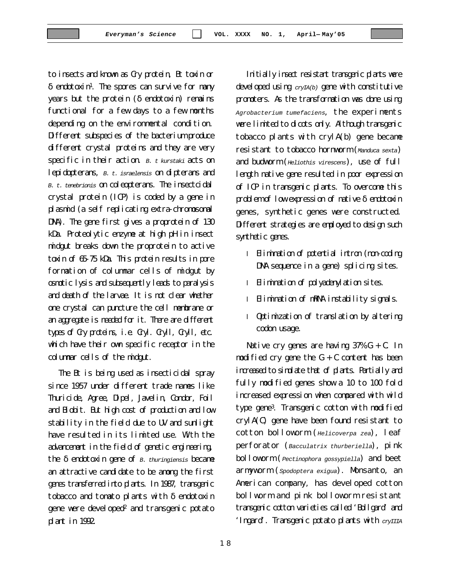to insects and known as Cry protein, Bt toxin or  $\delta$  endotoxin<sup>1</sup>. The spores can survive for many years but the protein (δ endotoxin) remains functional for a few days to a few months depending on the environmental condition. Different subspecies of the bacterium produce different crystal proteins and they are very specific in their action. *B. t kurstaki* acts on lepidopterans, *B. t. israelensis* on dipterans and *B. t. tenebrionis* on coleopterans. The insectcidal crystal protein (ICP) is coded by a gene in plasmid (a self replicating extra-chromosomal DNA). The gene first gives a proprotein of 130 kDa. Proteolytic enzyme at high pH in insect midgut breaks down the proprotein to active toxin of 65-75 kDa. This protein results in pore formation of columnar cells of midgut by osmotic lysis and subsequently leads to paralysis and death of the larvae. It is not clear whether one crystal can puncture the cell membrane or an aggregate is needed for it. There are different types of Cry proteins, i.e. Cryl. Cryll, Cryll, etc. which have their own specific receptor in the columnar cells of the midgut.

The Bt is being used as insecticidal spray since 1957 under different trade names like Thuricide, Agree, Dipel, Javelin, Condor, Foil and Biobit. But high cost of production and low stability in the field due to UV and sunlight have resulted in its limited use. With the advancement in the field of genetic engineering, the δ endotoxin gene of *B. thuringiensis* became an attractive candidate to be among the first genes transferred into plants. In 1987, transgenic tobacco and tomato plants with  $\delta$  endotoxin gene were developed<sup>2</sup> and transgenic potato plant in 1992.

Initially insect resistant transgenic plants were developed using *cryIA(b)* gene with constitutive promoters. As the transformation was done using *Agrobacterium tumefaciens*, the experiments were limited to dicots only. Although transgenic tobacco plants with crylA(b) gene became resistant to tobacco hornworm (*Manduca sexta*) and budworm (*Heliothis virescens*), use of full length native gene resulted in poor expression of ICP in transgenic plants. To overcome this problem of low expression of native δ endotoxin genes, synthetic genes were constructed. Different strategies are employed to design such synthetic genes.

- l Elimination of potential intron (non-coding DNA sequence in a gene) splicing sites.
- l Elimination of polyadenylation sites.
- l Elimination of mRNA instability signals.
- l Optimization of translation by altering codon usage.

Native cry genes are having 37% G + C. In modified cry gene the  $G + C$  content has been increased to simulate that of plants. Partially and fully modified genes show a 10 to 100 fold increased expression when compared with wild type gene<sup>3</sup>. Transgenic cotton with modified crylA(C) gene have been found resistant to cotton bolloworm (*Helicoverpa zea*), leaf perforator (*Bacculatrix thurberiella*), pink bolloworm (*Pectinophora gossypiella*) and beet armyworm (*Spodoptera exigua*). Monsanto, an American company, has developed cotton bollworm and pink bolloworm resistant transgenic cotton varieties called 'Bollgard' and 'Ingard'. Transgenic potato plants with *cryIIIA*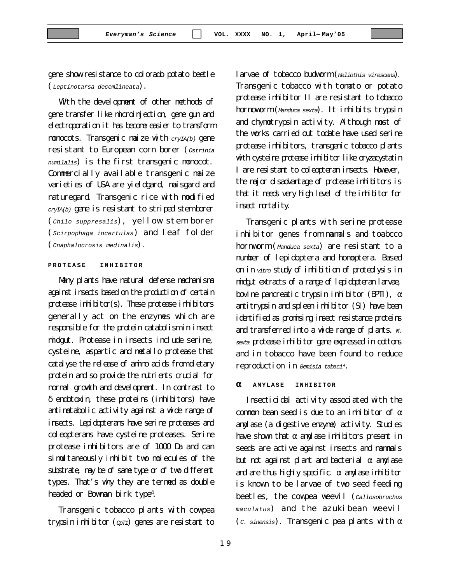gene show resistance to colorado potato beetle (*Leptinotarsa decemlineata*).

With the development of other methods of gene transfer like microinjection, gene gun and electroporation it has become easier to transform monocots. Transgenic maize with *cryIA(b)* gene resistant to European corn borer (*Ostrinia numilalis*) is the first transgenic monocot. Commercially available transgenic maize varieties of USA are yieldgard, maisgard and naturegard. Transgenic rice with modified *cryIA(b)* gene is resistant to striped stem borer (*Chilo suppresalis*), yellow stem borer (*Scirpophaga incertulas*) and leaf folder (*Cnaphalocrosis medinalis*).

## **PROTEASE INHIBITOR**

Many plants have natural defense mechanisms against insects based on the production of certain protease inhibitor(s). These protease inhibitors generally act on the enzymes which are responsible for the protein catabolism in insect midgut. Protease in insects include serine, cysteine, aspartic and metallo protease that catalyse the release of amino acids from dietary protein and so provide the nutrients crucial for normal growth and development. In contrast to δ endotoxin, these proteins (inhibitors) have antimetabolic activity against a wide range of insects. Lepidopterans have serine proteases and coleopterans have cysteine proteases. Serine protease inhibitors are of 1000 Da and can simultaneously inhibit two molecules of the substrate, may be of same type or of two different types. That's why they are termed as double headed or Bowman birk type<sup>4</sup>.

Transgenic tobacco plants with cowpea trypsin inhibitor (*CpT1*) genes are resistant to larvae of tobacco budworm (*Heliothis virescens*). Transgenic tobacco with tomato or potato protease inhibitor II are resistant to tobacco hornoworm (*Manduca sexta*). It inhibits trypsin and chymotrypsin activity. Although most of the works carried out todate have used serine protease inhibitors, transgenic tobacco plants with cysteine protease inhibitor like oryzacystatin I are resistant to coleopteran insects. However, the major disadvantage of protease inhibitors is that it needs very high level of the inhibitor for insect mortality.

Transgenic plants with serine protease inhibitor genes from mamals and toabcco hornworm (*Manduca sexta*) are resistant to a number of lepidoptera and homoptera. Based on in *vitro* study of inhibition of proteolysis in midgut extracts of a range of lepidopteran larvae, bovine pancreatic trypsin inhibitor (BPII),  $\alpha$ antitrypsin and spleen inhibitor (SI) have been identified as promising insect resistance proteins and transferred into a wide range of plants. *M. sexta* protease inhibitor gene expressed in cottons and in tobacco have been found to reduce reproduction in *Bemisia tabaci<sup>4</sup>*.

### **a AMYLASE INHIBITOR**

Insecticidal activity associated with the common bean seed is due to an inhibitor of  $\alpha$ amylase (a digestive enzyme) activity. Studies have shown that  $\alpha$  any lase inhibitors present in seeds are active against insects and mammals but not against plant and bacterial  $\alpha$  anylase and are thus highly specific.  $\alpha$  any lase inhibitor is known to be larvae of two seed feeding beetles, the cowpea weevil (*Callosobruchus maculatus*) and the azukibean weevil (*c. sinensis*). Transgenic pea plants with  $\alpha$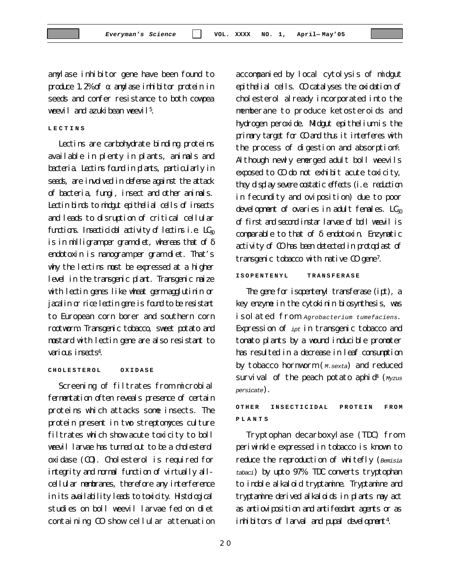amylase inhibitor gene have been found to produce 1.2% of  $\alpha$  anylase inhibitor protein in seeds and confer resistance to both cowpea weevil and azukibean weevil<sup>5</sup>.

#### **LECTINS**

Lectins are carbohydrate binding proteins available in plenty in plants, animals and bacteria. Lectins found in plants, particularly in seeds, are involved in defense against the attack of bacteria, fungi, insect and other animals. Lectin binds to midgut epithelial cells of insects and leads to disruption of critical cellular functions. Insecticidal activity of lectins i.e.  $LC_{50}$ is in milligram per gram diet, whereas that of  $\delta$ endotoxin is nanogram per gram diet. That's why the lectins must be expressed at a higher level in the transgenic plant. Transgenic maize with lectin genes like wheat germ agglutinin or jacalin or rice lectin gene is found to be resistant to European corn borer and southern corn rootworm. Transgenic tobacco, sweet potato and mustard with lectin gene are also resistant to various insects<sup>4</sup>.

#### **CHOLESTEROL OXIDASE**

Screening of filtrates from microbial fermentation often reveals presence of certain proteins which attacks some insects. The protein present in two streptomyces culture filtrates which show acute toxicity to boll weevil larvae has turned out to be a cholesterol oxidase (CO). Cholesterol is required for integrity and normal function of virtually allcellular membranes, therefore any interference in its availability leads to toxicity. Histological studies on boll weevil larvae fed on diet containing CO show cellular attenuation cholesterol already incorporated into the memberane to produce ketosteroids and hydrogen peroxide. Midgut epithelium is the primary target for CO and thus it interferes with the process of digestion and absorption<sup>6</sup>. Although newly emerged adult boll weevils exposed to CO do not exhibit acute toxicity, they display severe oostatic effects (i.e. reduction in fecundity and oviposition) due to poor development of ovaries in adult females.  $LC_{50}$ of first and second instar larvae of boll weevil is comparable to that of δ endotoxin. Enzymatic activity of CO has been detected in protoplast of transgenic tobacco with native CO gene<sup>7</sup>. **ISOPENTENYL TRANSFERASE**

accompanied by local cytolysis of midgut epithelial cells. CO catalyses the oxidation of

The gene for isopentenyl transferase (ipt), a key enzyme in the cytokinin biosynthesis, was isolated from *Agrobacterium tumefaciens*. Expression of *ipt* in transgenic tobacco and tomato plants by a wound inducible promoter has resulted in a decrease in leaf consumption by tobacco hornworm (*M.sexta*) and reduced survival of the peach potato aphid<sup>4</sup> (*Myzus persicate*).

## **OTHER INSECTICIDAL PROTEIN FROM PLANTS**

Tryptophan decarboxylase (TDC) from periwinkle expressed in tobacco is known to reduce the reproduction of whitefly (*Bemisia tabaci*) by upto 97%. TDC converts tryptophan to indole alkaloid tryptamine. Tryptamine and tryptamine derived alkaloids in plants may act as antioviposition and antifeedant agents or as inhibitors of larval and pupal development4.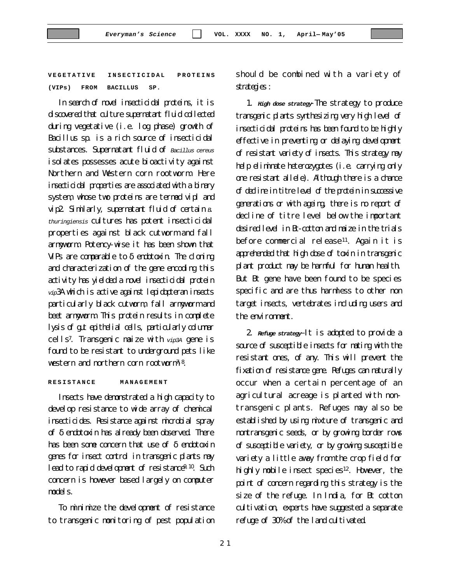**VEGETATIVE INSECTICIDAL PROTEINS (VIPs) FROM BACILLUS SP.**

In search of novel insecticidal proteins, it is discovered that culture supernatant fluid collected during vegetative (i.e. log phase) growth of Bacillus sp. is a rich source of insecticidal substances. Supernatant fluid of *Bacillus cereus* isolates possesses acute bioactivity against Northern and Western corn rootworm. Here insecticidal properties are associated with a binary system, whose two proteins are termed vipl and vip2. Similarly, supernatant fluid of certain *B*. *thuringiensis* cultures has potent insecticidal properties against black cutworm and fall armyworm. Potency-wise it has been shown that VIPs are comparable to  $\delta$  endotoxin. The cloning and characterization of the gene encoding this activity has yielded a novel insecticidal protein *vip*3A which is active against lepidopteran insects particularly black cutworm, fall armyworm and beet armyworm. This protein results in complete lysis of gut epithelial cells, particularly columnar cells<sup>7</sup>. Transgenic maize with *vip3A* gene is found to be resistant to underground pets like western and northern corn rootworm<sup>7,8</sup>.

#### **RESISTANCE MANAGEMENT**

Insects have demonstrated a high capacity to develop resistance to wide array of chemical insecticides. Resistance against microbial spray of δ endotoxin has already been observed. There has been some concern that use of δ endotoxin genes for insect control in transgenic plants may lead to rapid development of resistance<sup>9, 10</sup>. Such concern is however based largely on computer models.

To minimize the development of resistance to transgenic monitoring of pest population should be combined with a variety of strategies :

1. *High dose strategy*-The strategy to produce transgenic plants synthesizing very high level of insecticidal proteins has been found to be highly effective in preventing or delaying development of resistant variety of insects. This strategy may help eliminate heterozygotes (i.e. carrying only one resistant allele). Although there is a chance of decline in titre level of the protein in successive generations or with ageing, there is no report of decline of titre level below the important desired level in Bt-cotton and maize in the trials before commercial release<sup>11</sup>. Again it is apprehended that high dose of toxin in transgenic plant product may be harmful for human health. But Bt gene have been found to be species specific and are thus harmless to other non target insects, vertebrates including users and the environment.

2. *Refuge strategy*–It is adopted to provide a source of susceptible insects for mating with the resistant ones, of any. This will prevent the fixation of resistance gene. Refuges can naturally occur when a certain percentage of an agricultural acreage is planted with nontransgenic plants. Refuges may also be established by using mixture of transgenic and nontransgenic seeds, or by growing border rows of susceptible variety, or by growing susceptible variety a little away from the crop field for highly mobile insect species<sup>12</sup>. However, the point of concern regarding this strategy is the size of the refuge. In India, for Bt cotton cultivation, experts have suggested a separate refuge of 30% of the land cultivated.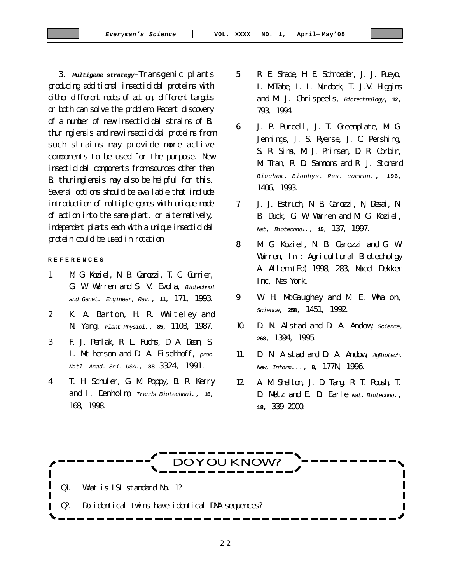3. *Multigene strategy*–Transgenic plants producing additional insecticidal proteins with

either different modes of action, different targets or both can solve the problem. Recent discovery of a number of new insecticidal strains of B. thuringiensis and new insecticidal proteins from such strains may provide more active components to be used for the purpose. New insecticidal components from sources other than B. thuringiensis may also be helpful for this. Several options should be available that include introduction of multiple genes with unique mode of action into the same plant, or alternatively, independent plants each with a unique insecticidal protein could be used in rotation.

**REFERENCES**

- 1. M. G. Koziel, N. B. Carozzi, T. C. Currier, G. W. Warren and S. V. Evola, *Biotechnol and Genet*. *Engineer, Rev*., **11**, 171, 1993.
- 2. K. A. Barton, H. R. Whiteley and N. Yang, *Plant Physiol*., **85**, 1103, 1987.
- 3. F. J. Perlak, R. L. Fuchs, D. A. Dean, S. L. Mc herson and D. A. Fischhoff, *proc. Natl. Acad. Sci. USA.*, **88** 3324, 1991.
- 4. T. H. Schuler, G. M. Poppy, B. R. Kerry and I. Denholm, *Trends Biotechnol*., **16**, 168, 1998.
- 5. R. E. Shade, H. E. Schroeder, J. J. Pueyo, L. M.Tabe, L. L. Murdock, T. J.V. Higgins and M. J. Chrispeels, *Biotechnology*, **12**, 793, 1994.
- 6. J. P. Purcell, J. T. Greenplate, M. G. Jennings, J. S. Ryerse, J. C. Pershing, S. R. Sims, M. J. Prinsen, D. R. Corbin, M. Tran, R. D. Sammons and R. J. Stonard *Biochem. Biophys. Res. commun*., **196**, 1406, 1993.
- 7. J. J. Estruch, N. B. Carozzi, N, Desai, N. B. Duck, G. W. Warren and M. G. Koziel, *Nat*, *Biotechnol*., **15**, 137, 1997.
- 8. M. G. Koziel, N. B. Carozzi and G. W. Warren, In : Agricultural Biotecholgy A. Altem (Ed) 1998, 283, Macel Dekker Inc, Nes York.
- 9. W. H. McGaughey and M. E. Whalon, *Science*, **258**, 1451, 1992.
- 10. D. N. Alstad and D. A. Andow, *Science,* **268**, 1394, 1995.
- 11. D. N. Alstad and D. A. Andow, *AgBiotech, New, Inform*..., **8**, 177N, 1996.
- 12. A. M. Shelton, J. D. Tang, R. T. Roush, T. D. Metz and E. D. Earle *Nat. Biotechno*., **18**, 339 2000.

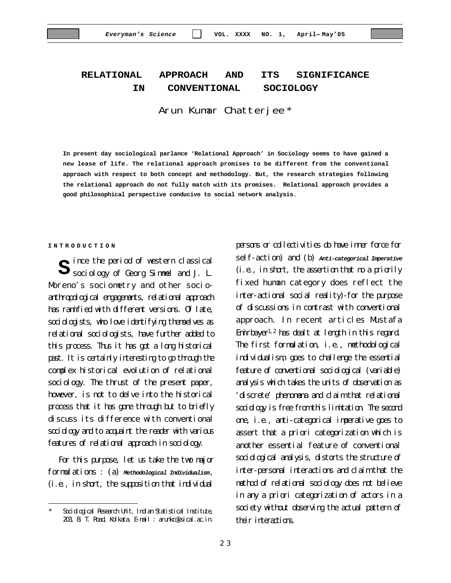# **RELATIONAL APPROACH AND ITS SIGNIFICANCE IN CONVENTIONAL SOCIOLOGY**

Arun Kumar Chatterjee \*

**In present day sociological parlance 'Relational Approach' in Sociology seems to have gained a new lease of life. The relational approach promises to be different from the conventional approach with respect to both concept and methodology. But, the research strategies following the relational approach do not fully match with its promises. Relational approach provides a good philosophical perspective conducive to social network analysis.**

#### **INTRODUCTION**

ince the period of western classical **S** ince the period of western classical sociology of Georg Simmel and J. L. Moreno's sociometry and other socioanthropological engagements, relational approach has ramified with different versions. Of late, sociologists, who love identifying themselves as relational sociologists, have further added to this process. Thus it has got a long historical past. It is certainly interesting to go through the complex historical evolution of relational sociology. The thrust of the present paper, however, is not to delve into the historical process that it has gone through but to briefly discuss its difference with conventional sociology and to acquaint the reader with various features of relational approach in sociology.

For this purpose, let us take the two major formulations : (a) *Methodological Individualism*, (i.e., in short, the supposition that individual

persons or collectivities do have inner force for self-action) and (b) *Anti-categorical Imperative* (i.e., in short, the assertion that no a priorily fixed human category does reflect the inter-actional social reality)-for the purpose of discussions in contrast with conventional approach. In recent articles Mustafa Emirbayer1,2 has dealt at length in this regard. The first formulation, i.e., methodological individualism, goes to challenge the essential feature of conventional sociological (variable) analysis which takes the units of observation as 'discrete' phenomena and claim that relational sociology is free from this limitation. The second one, i.e., anti-categorical imperative goes to assert that a priori categorization which is another essential feature of conventional sociological analysis, distorts the structure of inter-personal interactions and claim that the method of relational sociology does not believe in any a priori categorization of actors in a society without observing the actual pattern of their interactions.

Sociological Research Unit, Indian Statistical Institute, 203, B. T. Road, Kolkata. E-mail : arunkc@isical.ac.in.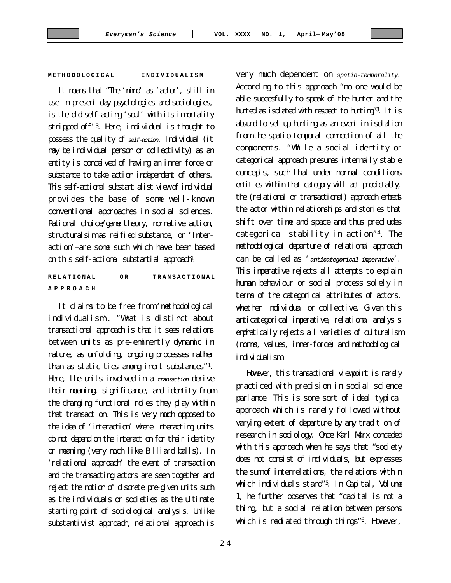#### **METH ODOLOGICAL INDIVIDUALISM**

It means that "The 'mind' as 'actor', still in use in present day psychologies and sociologies, is the old self-acting 'soul' with its immortality stripped off'<sup>3</sup>. Here, individual is thought to possess the quality of *self-action*. Individual (it may be individual person or collectivity) as an entity is conceived of having an inner force or substance to take action independent of others. This self-actional substantialist view of individual provides the base of some well-known conventional approaches in social sciences. Rational choice/game theory, normative action, structuralsim as reified substance, or 'Interaction'–are some such which have been based on this self-actional substantial approach<sup>1</sup>.

**RELATIONAL OR TRANSACTIONAL APPROACH**

It claims to be free from 'methodological individualism'. "What is distinct about transactional approach is that it sees relations between units as pre-eminently dynamic in nature, as unfolding, ongoing processes rather than as static ties among inert substances"<sup>1</sup>. Here, the units involved in a *transaction* derive their meaning, significance, and identity from the changing functional roles they play within that transaction. This is very much opposed to the idea of 'interaction' where interacting units do not depend on the interaction for their identity or meaning (very much like Billiard balls). In 'relational approach' the event of transaction and the transacting actors are seen together and reject the notion of discrete pre-given units such as the individuals or societies as the ultimate starting point of sociological analysis. Unlike substantivist approach, relational approach is

very much dependent on *spatio-temporality*. According to this approach "no one would be able succesfully to speak of the hunter and the hunted as isolated with respect to hunting"<sup>3</sup>. It is absurd to set up hunting as an event in isolation from the spatio-temporal connection of all the components. "While a social identity or categorical approach presumes internally stable concepts, such that under normal conditions entities within that category will act predictably, the (relational or transactional) approach embeds the actor within relationships and stories that shift over time and space and thus precludes categorical stability in action"<sup>4</sup>. The methodological departure of relational approach can be called as '*anticategorical imperative*'. This imperative rejects all attempts to explain human behaviour or social process solely in terms of the categorical attributes of actors, whether individual or collective. Given this anticategorical imperative, relational analysis emphatically rejects all varieties of culturalism (norms, values, inner-force) and methodological individualism

However, this transactional viewpoint is rarely practiced with precision in social science parlance. This is some sort of ideal typical approach which is rarely followed without varying extent of departure by any tradition of research in sociology. Once Karl Marx conceded with this approach when he says that "society does not consist of individuals, but expresses the sum of interrelations, the relations within which individuals stand"<sup>5</sup>. In Capital, Volume 1, he further observes that "capital is not a thing, but a social relation between persons which is mediated through things"6. However,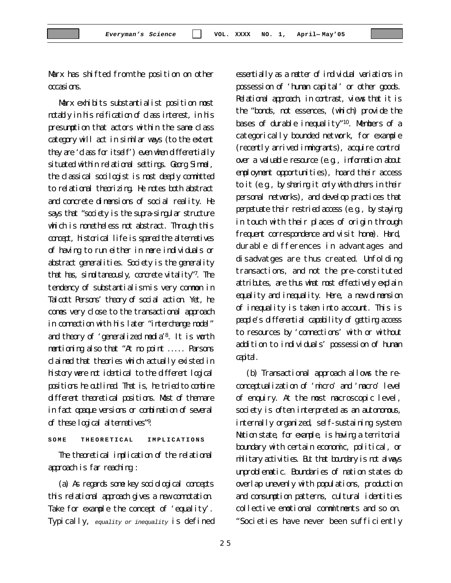2 5

*Everyman's Science* **VOL. XXXX NO. 1, April— May'05**

Marx has shifted from the position on other occasions.

Marx exhibits substantialist position most notably in his reification of class interest, in his presumption that actors within the same class category will act in similar ways (to the extent they are 'dass for itself') even when differentially situated within relational settings. Georg Simmel, the classical socilogist is most deeply committed to relational theorizing. He notes both abstract and concrete dimensions of social reality. He says that "society is the supra-singular structure which is nonetheless not abstract. Through this concept, historical life is spared the alternatives of having to run either in mere individuals or abstract generalities. Society is the generality that has, simultaneously, concrete vitality"<sup>7</sup>. The tendency of substantialism is very common in Talcott Persons' theory of social action. Yet, he comes very close to the transactional approach in connection with his later "interchange model" and theory of 'generalized media'<sup>8</sup>. It is worth mentioning also that "At no point ..... Parsons claimed that theories which actually existed in history were not identical to the different logical positions he outlined. That is, he tried to combine different theoretical positions. Most of them are in fact opaque versions or combination of several of these logical alternatives"<sup>9</sup>.

**SOME THEORETICAL IMPLICATIONS**

The theoretical implication of the relational approach is far reaching :

(a) As regards some key sociological concepts this relational approach gives a new connotation. Take for example the concept of 'equality'. Typically, *equality or inequality* is defined essentially as a matter of individual variations in possession of 'human capital' or other goods. Relational approach, in contrast, views that it is the "bonds, not essences, (which) provide the bases of durable inequality"<sup>10</sup>. Members of a categorically bounded network, for example (recently arrived immigrants), acquire control over a valuable resource (e.g., information about employment opportunities), hoard their access to it (e.g., by sharing it only with others in their personal networks), and develop practices that perpetuate their restried access (e.g., by staying in touch with their places of origin through frequent correspondence and visit home). Hard, durable differences in advantages and disadvatges are thus created. Unfolding transactions, and not the pre-constituted attributes, are thus what most effectively explain equality and inequality. Here, a new dimension of inequality is taken into account. This is people's differential capability of getting access to resources by 'connections' with or without addition to individuals' possession of human capital.

(b) Transactional approach allows the reconceptualization of 'micro' and 'macro' level of enquiry. At the most macroscopic level, society is often interpreted as an autonomous, internally organized, self-sustaining system. Nation state, for example, is having a territorial boundary with certain economic, political, or military activities. But that boundary is not always unproblematic. Boundaries of nation states do overlap unevenly with populations, production and consumption patterns, cultural identities collective emotional commitments and so on. "Societies have never been sufficiently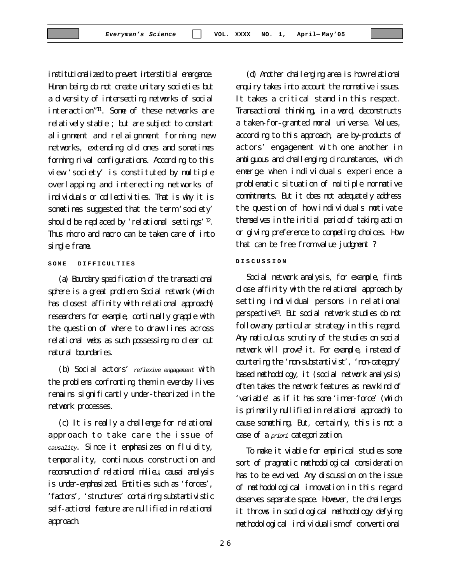institutionalized to prevent interstitial emergence. Human being do not create unitary societies but a diversity of intersecting networks of social interaction"<sup>11</sup>. Some of these networks are relatively stable ; but are subject to constant alignment and relaignment forming new networks, extending old ones and sometimes forming rival configurations. According to this view 'society' is constituted by multiple overlapping and interecting networks of individuals or collectivities. That is why it is sometimes suggested that the term 'society' should be replaced by 'relational settings'<sup>12</sup>. Thus micro and macro can be taken care of into single frame.

### **SOME DIFFICULTIES**

(a) Boundary specification of the transactional sphere is a great problem. Social network (which has closest affinity with relational approach) researchers for example, continually grapple with the question of where to draw lines across relational webs as such possessing no clear cut natural boundaries.

(b) Social actors' *reflexive engagement* with the problems confronting them in everday lives remains significantly under-theorized in the network processes.

(c) It is really a challenge for relational approach to take care the issue of *causality*. Since it emphasizes on fluidity, temporality, continuous construction and reconstruction of relational milieu, causal analysis is under-emphasized. Entities such as 'forces', 'factors', 'structures' containing substantivistic self-actional feature are nullified in relational approach.

(d) Another challenging area is how relational enquiry takes into account the normative issues. It takes a critical stand in this respect. Transactional thinking, in a word, deconstructs a taken-for-granted moral universe. Values, according to this approach, are by-products of actors' engagement with one another in ambiguous and challenging circumstances, which emerge when individuals experience a problematic situation of multiple normative commitments. But it does not adequately address the question of how individuals motivate themselves in the initial period of taking action or giving preference to competing choices. How that can be free from value judgment ?

#### **DISCUSSION**

Social network analysis, for example, finds close affinity with the relational approach by setting individual persons in relational perspective<sup>13</sup>. But social network studies do not follow any particular strategy in this regard. Any meticulous scrutiny of the studies on social network will prove<sup>1</sup> it. For example, instead of countering the 'non-substantivist', 'non-category' based methodology, it (social network analysis) often takes the network features as new kind of 'variable' as if it has some 'inner-force' (which is primarily nullified in relational approach) to cause something. But, certainly, this is not a case of a *priori* categorization.

To make it viable for empirical studies some sort of pragmatic methodological consideration has to be evolved. Any discussion on the issue of methodological innovation in this regard deserves separate space. However, the challenges it throws in sociological methodology defying methodological individualism of conventional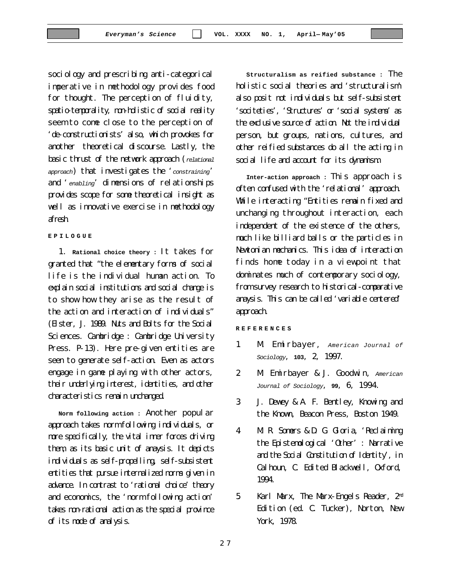sociology and prescribing anti-categorical imperative in methodology provides food for thought. The perception of fluidity, spatio-temporality, non-holistic of social reality seem to come close to the perception of 'de-constructionists' also, which provokes for another theoretical discourse. Lastly, the basic thrust of the network approach (*relational approach*) that investigates the '*constraining*' and '*enabling*' dimensions of relationships provides scope for some theoretical insight as well as innovative exercise in methodology afresh.

#### **EPILOGUE**

1. **Rational choice theory :** It takes for granted that "the elementary forms of social life is the individual human action. To explain social institutions and social change is to show how they arise as the result of the action and interaction of individuals" (Elster, J. 1989. Nuts and Bolts for the Social Sciences. Cambridge : Cambridge University Press. P-13). Here pre-given entities are seen to generate self-action. Even as actors engage in game playing with other actors, their underlying interest, identities, and other characteristics remain unchanged.

**Norm following action :** Another popular approach takes norm following individuals, or more specifically, the vital inner forces driving them, as its basic unit of anaysis. It depicts individuals as self-propelling, self-subsistent entities that pursue internalized norms given in advance. In contrast to 'rational choice' theory and economics, the 'norm following action' takes non-rational action as the special province of its mode of analysis.

**Structuralism as reified substance :** The holistic social theories and 'structuralism' also posit not individuals but self-subsistent 'sociteties', 'Structures' or 'social systems' as the exclusive source of action. Not the individual person, but groups, nations, cultures, and other reified substances do all the acting in social life and account for its dynamism.

**Inter-action approach :** This approach is often confused with the 'relational' approach. While interacting "Entities remain fixed and unchanging throughout interaction, each independent of the existence of the others, much like billiard balls or the particles in Newtonian mechanics. This idea of interaction finds home today in a viewpoint that dominates much of contemporary sociology, from survey research to historical-comparative anaysis. This can be called 'variable centered' approach.

**REFERENCES**

- 1 **M. Emirbayer,** American Journal of *Sociology*, **103**, 2, 1997.
- 2. M. Emirbayer & J. Goodwin, *American Journal of Sociology*, **99**, 6, 1994.
- 3. J. Dewey & A. F. Bentley, Knowing and the Known, Beacon Press, Boston 1949.
- 4. M. R. Somers & D. G. Gloria, 'Reclaiming the Epistemological 'Other' : Narrative and the Social Constitution of Identity', in Calhoun, C. Edited Blackwell, Oxford, 1994.
- 5. Karl Marx, The Marx-Engels Reader, 2nd Edition (ed. C. Tucker), Norton, New York, 1978.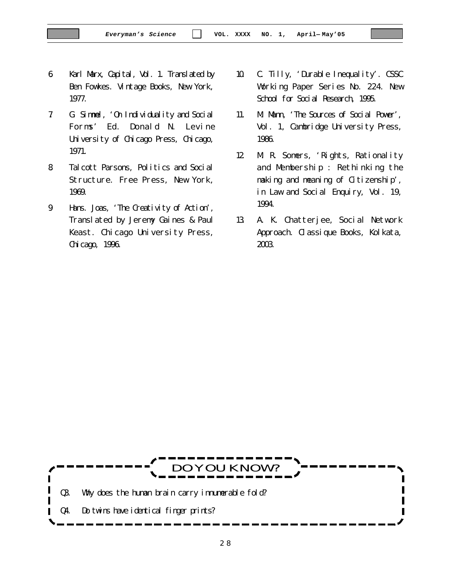- 6. Karl Marx, Capital, Vol. 1. Translated by Ben Fowkes. Vintage Books, New York, 1977.
- 7. G. Simmel, 'On Individuality and Social Forms' Ed. Donald N. Levine University of Chicago Press, Chicago, 1971.
- 8. Talcott Parsons, Politics and Social Structure. Free Press, New York, 1969.
- 9. Hans. Joas, 'The Creativity of Action', Translated by Jeremy Gaines & Paul Keast. Chicago University Press, Chicago, 1996.
- 10. C. Tilly, 'Durable Inequality'. CSSC Working Paper Series No. 224. New School for Social Research, 1995.
- 11. M. Mann, 'The Sources of Social Power', Vol. 1, Cambridge University Press, 1986.
- 12. M. R. Somers, 'Rights, Rationality and Membership : Rethinking the making and meaning of Citizenship', in Law and Social Enquiry, Vol. 19, 1994.
- 13. A. K. Chatterjee, Social Network Approach. Classique Books, Kolkata, 2003.

DO YOU KNOW ? Q3. Why does the human brain carry innumerable fold? Q4. Do twins have identical finger prints?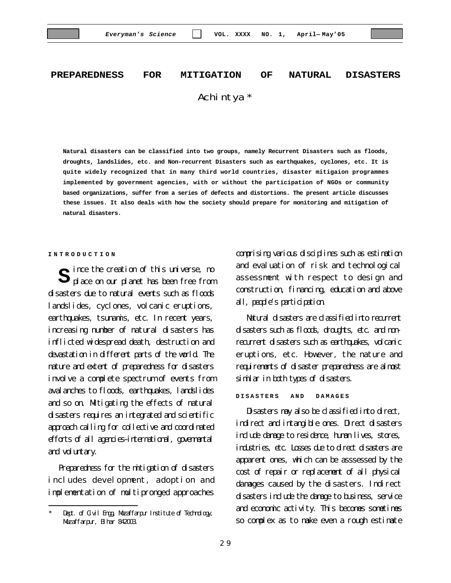# **PREPAREDNESS FOR MITIGATION OF NATURAL DISASTERS** Achintya \*

**Natural disasters can be classified into two groups, namely Recurrent Disasters such as floods, droughts, landslides, etc. and Non-recurrent Disasters such as earthquakes, cyclones, etc. It is quite widely recognized that in many third world countries, disaster mitigaion programmes implemented by government agencies, with or without the participation of NGOs or community based organizations, suffer from a series of defects and distortions. The present article discusses these issues. It also deals with how the society should prepare for monitoring and mitigation of natural disasters.**

#### **INTRODUCTION**

ince the creation of this universe, no **S** ince the creation of this universe, no<br> **S** place on our planet has been free from disasters due to natural events such as floods landslides, cyclones, volcanic eruptions, earthquakes, tsunamis, etc. In recent years, increasing number of natural disasters has inflicted widespread death, destruction and devastation in different parts of the world. The nature and extent of preparedness for disasters involve a complete spectrum of events from avalanches to floods, earthquakes, landslides and so on. Mitigating the effects of natural disasters requires an integrated and scientific approach calling for collective and coordinated efforts of all agencies–international, governental and voluntary.

Preparedness for the mitigation of disasters includes development, adoption and implementation of multipronged approaches

comprising various disciplines such as estimation and evaluation of risk and technological assessment with respect to design and construction, financing, education and above all, people's participation.

Natural disasters are classified into recurrent disasters such as floods, droughts, etc. and nonrecurrent disasters such as earthquakes, volcanic eruptions, etc. However, the nature and requirements of disaster preparedness are almost similar in both types of disasters.

**DISASTERS AND DAMAGES**

Disasters may also be classified into direct, indirect and intangible ones. Direct disasters include damage to residence, human lives, stores, industries, etc. Losses due to direct disasters are apparent ones, which can be asssessed by the cost of repair or replacement of all physical damages caused by the disasters. Indirect disasters include the damage to business, service and economic activity. This becomes sometimes so complex as to make even a rough estimate

Dept. of Givil Engg, Muzaffarpur Institute of Technology, Muzaffarpur, Bihar 842003.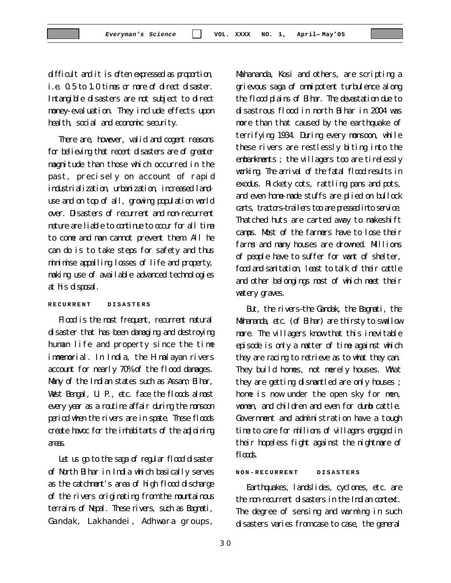difficult and it is often expressed as proportion, i.e. 0.5 to 1.0 times or more of direct disaster. Intangible disasters are not subject to direct money-evaluation. They include effects upon health, social and economic security.

There are, however, valid and cogent reasons for believing that recent disasters are of greater magnitude than those which occurred in the past, precisely on account of rapid industrialization, urbanization, increased landuse and on top of all, growing population world over. Disasters of recurrent and non-recurrent nature are liable to continue to occur for all time to come and man cannot prevent them. All he can do is to take steps for safety and thus minimise appalling losses of life and property, making use of available advanced technologies at his disposal.

## **RECURRENT DISASTERS**

Flood is the most frequent, recurrent natural disaster that has been damaging and destroying human life and property since the time immemorial. In India, the Himalayan rivers account for nearly 70% of the flood damages. Many of the Indian states such as Assam, Bihar, West Bengal, U. P., etc. face the floods almost every year as a routine affair during the monsoon period when the rivers are in spate. These floods create havoc for the inhabitants of the adjoining areas.

Let us go to the saga of regular flood disaster of North Bihar in India which basically serves as the catchment's area of high flood discharge of the rivers originating from the mountainous terrains of Nepal. These rivers, such as Bagmati, Gandak, Lakhandei, Adhwara groups,

Mahananda, Kosi and others, are scripting a grievous saga of omnipotent turbulence along the flood plains of Bihar. The devastation due to disastrous flood in north Bihar in 2004 was more than that caused by the earthquake of terrifying 1934. During every monsoon, while these rivers are restlessly biting into the embankments ; the villagers too are tirelessly working. The arrival of the fatal flood results in exodus. Rickety cots, rattling pans and pots, and even home-made stuffs are plied on bullock carts, tractors–trailers too are pressed into service. Thatched huts are carted away to makeshift camps. Most of the farmers have to lose their farms and many houses are drowned. Millions of people have to suffer for want of shelter, food and sanitation, least to talk of their cattle and other belongings most of which meet their watery graves.

But, the rivers–the Gandak, the Bagmati, the Mahananda, etc. (of Bihar) are thirsty to swallow more. The villagers know that this inevitable episode is only a matter of time against which they are racing to retrieve as to what they can. They build homes, not merely houses. What they are getting dismantled are only houses ; home is now under the open sky for men, women, and children and even for dumb cattle. Government and administration have a tough time to care for millions of villagers engaged in their hopeless fight against the nightmare of flook

#### **NON-RECURRENT DISASTERS**

Earthquakes, landslides, cyclones, etc. are the non-recurrent disasters in the Indian context. The degree of sensing and warming in such disasters varies from case to case, the general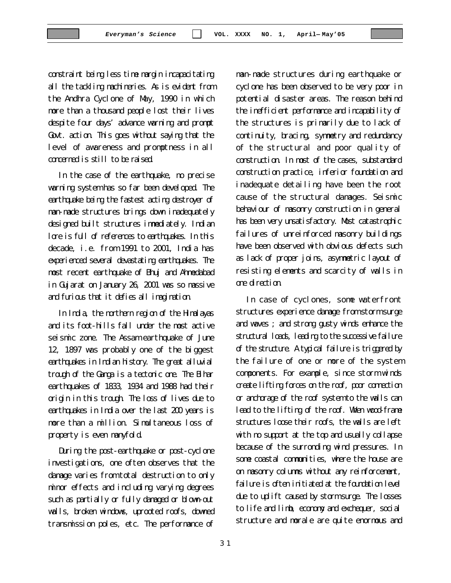constraint being less time margin incapacitating all the tackling machineries. As is evident from the Andhra Cyclone of May, 1990 in which more than a thousand people lost their lives despite four days' advance warning and prompt Govt. action. This goes without saying that the level of awareness and promptness in all concerned is still to be raised.

In the case of the earthquake, no precise warning system has so far been developed. The earthquake being the fastest acting destroyer of man-made structures brings down inadequately designed built structures immediately. Indian lore is full of references to earthquakes. In this decade, i.e. from 1991 to 2001, India has experienced several devastating earthquakes. The most recent earthquake of Bhuj and Ahmedabad in Gujarat on January 26, 2001 was so massive and furious that it defies all imagination.

In India, the northern region of the Himalayas and its foot-hills fall under the most active seismic zone. The Assam earthquake of June 12, 1897 was probably one of the biggest earthquakes in Indian history. The great alluvial trough of the Ganga is a tectonic one. The Bihar earthquakes of 1833, 1934 and 1988 had their origin in this trough. The loss of lives due to earthquakes in India over the last 200 years is more than a million. Simultaneous loss of property is even manyfold.

During the post-earthquake or post-cyclone investigations, one often observes that the damage varies from total destruction to only minor effects and including varying degrees such as partially or fully damaged or blown-out walls, broken windows, uprooted roofs, downed transmission poles, etc. The performance of

man-made structures during earthquake or cyclone has been observed to be very poor in potential disaster areas. The reason behind the inefficient performance and incapability of the structures is primarily due to lack of continuity, bracing, symmetry and redundancy of the structural and poor quality of construction. In most of the cases, substandard construction practice, inferior foundation and inadequate detailing have been the root cause of the structural damages. Seismic behaviour of masonry construction in general has been very unsatisfactory. Most catastrophic failures of unreinforced masonry buildings have been observed with obvious defects such as lack of proper joins, asymmetric layout of resisting elements and scarcity of walls in one direction.

In case of cyclones, some waterfront structures experience damage from storm surge and waves ; and strong gusty winds enhance the structural loads, leading to the successive failure of the structure. A typical failure is triggered by the failure of one or more of the system components. For example, since storm winds create lifting forces on the roof, poor connection or anchorage of the roof system to the walls can lead to the lifting of the roof. When wood-frame structures loose their roofs, the walls are left with no support at the top and usually collapse because of the surronding wind pressures. In some coastal communities, where the house are on masonry columns without any reinforcement, failure is often initiated at the foundation level due to uplift caused by storm surge. The losses to life and limb, economy and exchequer, social structure and morale are quite enormous and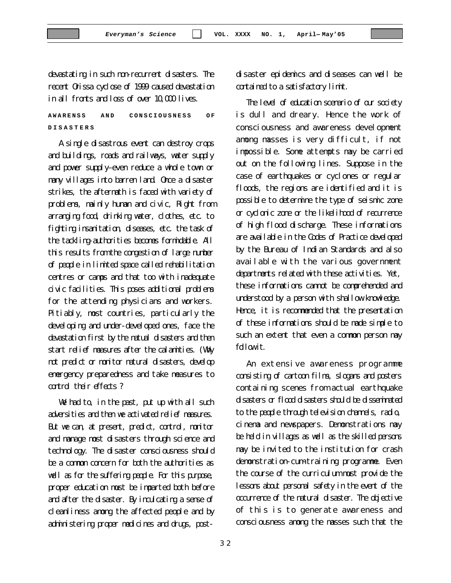devastating in such non-recurrent disasters. The recent Orissa cyclose of 1999 caused devastation in all fronts and loss of over 10,000 lives.

## **AWARENSS AND CONSCIOUSNESS OF DISASTERS**

A single disastrous event can destroy crops and buildings, roads and railways, water supply and power supply–even reduce a whole town or many villages into barren land. Once a disaster strikes, the aftermath is faced with variety of problems, mainly human and civic, Right from arranging food, drinking water, clothes, etc. to fighting insanitation, diseases, etc. the task of the tackling-authorities becomes formidable. All this results from the congestion of large number of people in limited space called rehabilitation centres or camps and that too with inadequate civic facilities. This poses additional problems for the attending physicians and workers. Pitiably, most countries, particularly the developing and under-developed ones, face the devastation first by the natual disasters and then start relief measures after the calamities. (Why not predict or monitor natural disasters, develop emergency preparedness and take measures to control their effects ?

We had to, in the past, put up with all such adversities and then we activated relief measures. But we can, at present, predict, control, monitor and manage most disasters through science and technology. The disaster consciousness should be a common concern for both the authorities as well as for the suffering people. For this purpose, proper education must be imparted both before and after the disaster. By inculcating a sense of cleanliness among the affected people and by administering proper medicines and drugs, postdisaster epidemics and diseases can well be contained to a satisfactory limit.

The level of education scenario of our society is dull and dreary. Hence the work of consciousness and awareness development among masses is very difficult, if not impossible. Some attempts may be carried out on the following lines. Suppose in the case of earthquakes or cyclones or regular floods, the regions are identified and it is possible to determine the type of seismic zone or cyclonic zone or the likelihood of recurrence of high flood discharge. These informations are available in the Codes of Practice developed by the Bureau of Indian Standards and also available with the various government departments related with these activities. Yet, these informations cannot be comprehended and understood by a person with shallow knowledge. Hence, it is recommended that the presentation of these informations should be made simple to such an extent that even a common person may follow it.

An extensive awareness programme consisting of cartoon films, slogans and posters containing scenes from actual earthquake disasters or flood disasters should be disseminated to the people through television channels, radio, cinema and newspapers. Demonstrations may be held in villages as well as the skilled persons may be invited to the institution for crash demonstration-cum-training programme. Even the course of the curriculum must provide the lessons about personal safety in the event of the occurrence of the natural disaster. The objective of this is to generate awareness and consciousness among the masses such that the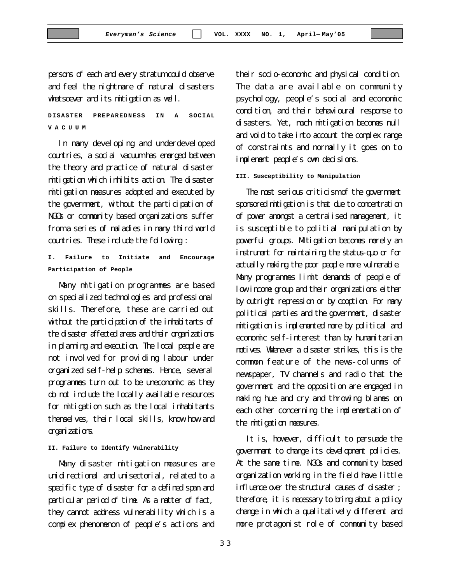persons of each and every stratum could observe and feel the nightmare of natural disasters whatsoever and its mitigation as well.

**DISASTER PREPAREDNESS IN A SOCIAL VACUUM**

In many developing and underdeveloped countries, a social vacuum has emerged between the theory and practice of natural disaster mitigation which inhibits action. The disaster mitigation measures adopted and executed by the government, without the participation of NGOs or community based organizations suffer from a series of maladies in many third world countries. These include the following :

**I. Failure to Initiate and Encourage Participation of People**

Many mitigation programmes are based on specialized technologies and professional skills. Therefore, these are carried out without the participation of the inhabitants of the disaster affected areas and their organizations in planning and execution. The local people are not involved for providing labour under organized self-help schemes. Hence, several programmes turn out to be uneconomic as they do not include the locally available resources for mitigation such as the local inhabitants themselves, their local skills, know how and organizations.

#### **II. Failure to Identify Vulnerability**

Many disaster mitigation measures are unidirectional and unisectorial, related to a specific type of disaster for a defined span and particular period of time. As a matter of fact, they cannot address vulnerability which is a complex phenomenon of people's actions and their socio-economic and physical condition. The data are available on community psychology, people's social and economic condition, and their behavioural response to disasters. Yet, much mitigation becomes null and void to take into account the complex range of constraints and normally it goes on to implement people's own decisions.

#### **III. Susceptibility to Manipulation**

The most serious criticism of the government sponsored mitigation is that due to concentration of power amongst a centralised management, it is susceptible to politial manipulation by powerful groups. Mitigation becomes merely an instrument for maintaining the status-quo or for actually making the poor people more vulnerable. Many programmes limit demands of people of low income group and their organizations either by outright repression or by cooption. For many political parties and the government, disaster mitigation is implemented more by political and economic self-interest than by humanitarian motives. Whenever a disaster strikes, this is the common feature of the news-columns of newspaper, TV channels and radio that the government and the opposition are engaged in making hue and cry and throwing blames on each other concerning the implementation of the mitigation measures.

It is, however, difficult to persuade the government to change its development policies. At the same time. NGOs and community based organization working in the field have little influence over the structural causes of disaster ; therefore, it is necessary to bring about a policy change in which a qualitatively different and more protagonist role of community based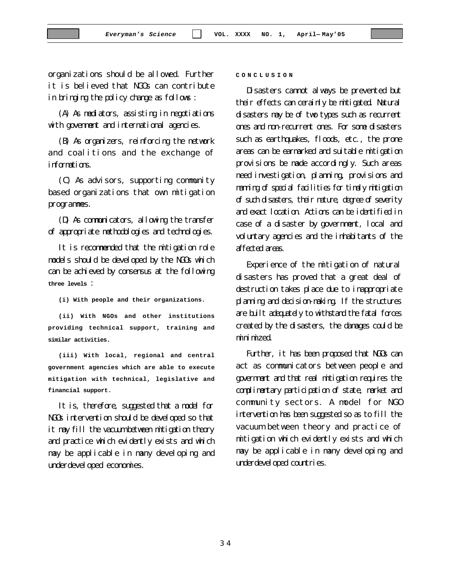organizations should be allowed. Further it is believed that NGOs can contribute in bringing the policy change as follows :

(A) As mediators, assisting in negotiations with govenment and international agencies.

(B) As organizers, reinforcing the network and coalitions and the exchange of informations.

(C) As advisors, supporting community based organizations that own mitigation programmes.

(D) As communicators, allowing the transfer of appropriate methodologies and technologies.

It is recommended that the mitigation role models should be developed by the NGOs which can be achieved by consensus at the following **three levels** :

**(i) With people and their organizations.**

**(ii) With NGOs and other institutions providing technical support, training and similar activities.**

**(iii) With local, regional and central government agencies which are able to execute mitigation with technical, legislative and financial support.**

It is, therefore, suggested that a model for NGOs intervention should be developed so that it may fill the vacuum between mitigation theory and practice which evidently exists and which may be applicable in many developing and underdeveloped economies.

#### **CONCLUSION**

Disasters cannot always be prevented but their effects can cerainly be mitigated. Natural disasters may be of two types such as recurrent ones and non-recurrent ones. For some disasters such as earthquakes, floods, etc., the prone areas can be earmarked and suitable mitigation provisions be made accordingly. Such areas need investigation, planning, provisions and manning of special facilities for timely mitigation of such disasters, their nature, degree of severity and exact location. Actions can be identified in case of a disaster by government, local and voluntary agencies and the inhabitants of the affected areas.

Experience of the mitigation of natural disasters has proved that a great deal of destruction takes place due to inappropriate planning and decision-making. If the structures are built adequately to withstand the fatal forces created by the disasters, the damages could be minimized.

Further, it has been proposed that NGOs can act as communicators between people and government and that real mitigation requires the complimentary participation of state, market and community sectors. A model for NGO intervention has been suggested so as to fill the vacuum between theory and practice of mitigation which evidently exists and which may be applicable in many developing and underdeveloped countries.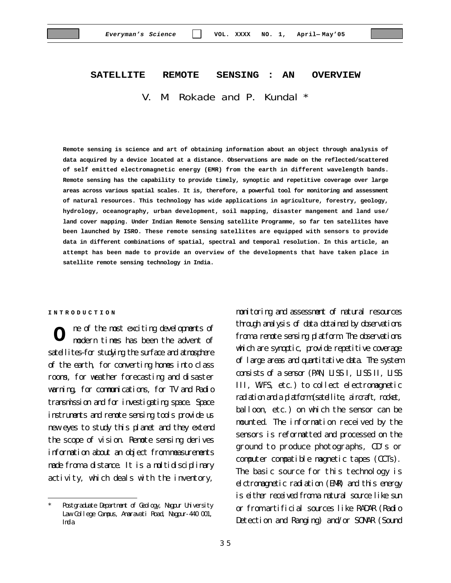# **SATELLITE REMOTE SENSING : AN OVERVIEW** V. M. Rokade and P. Kundal \*

**Remote sensing is science and art of obtaining information about an object through analysis of data acquired by a device located at a distance. Observations are made on the reflected/scattered of self emitted electromagnetic energy (EMR) from the earth in different wavelength bands. Remote sensing has the capability to provide timely, synoptic and repetitive coverage over large areas across various spatial scales. It is, therefore, a powerful tool for monitoring and assessment of natural resources. This technology has wide applications in agriculture, forestry, geology, hydrology, oceanography, urban development, soil mapping, disaster mangement and land use/ land cover mapping. Under Indian Remote Sensing satellite Programme, so far ten satellites have been launched by ISRO. These remote sensing satellites are equipped with sensors to provide data in different combinations of spatial, spectral and temporal resolution. In this article, an attempt has been made to provide an overview of the developments that have taken place in satellite remote sensing technology in India.**

#### **INTRODUCTION**

ne of the most exciting developments of modern times has been the advent of satellites–for studying the surface and atmosphere of the earth, for converting homes into class rooms, for weather forecasting and disaster warning, for communications, for TV and Radio transmission and for investigating space. Space instruments and remote sensing tools provide us new eyes to study this planet and they extend the scope of vision. Remote sensing derives information about an object from measurements made from a distance. It is a multidisciplinary activity, which deals with the inventory, **O**

monitoring and assessment of natural resources through analysis of data obtained by observations from a remote sensing platform. The observations which are synoptic, provide repetitive coverage of large areas and quantitative data. The system consists of a sensor (PAN, LISS I, LISS II, LISS III, WiFS, etc.) to collect electromagnetic radiation and a platform (satellite, aircraft, rocket, balloon, etc.) on which the sensor can be mounted. The information received by the sensors is reformatted and processed on the ground to produce photographs, CD's or computer compatible magnetic tapes (CCTs). The basic source for this technology is elctromagnetic radiation (EMR) and this energy is either received from a natural source like sun or from artificial sources like RADAR (Radio Detection and Ranging) and/or SONAR (Sound

Postgraduate Department of Geology, Nagpur University Law College Campus, Amaravati Road, Nagpur-440 001, India.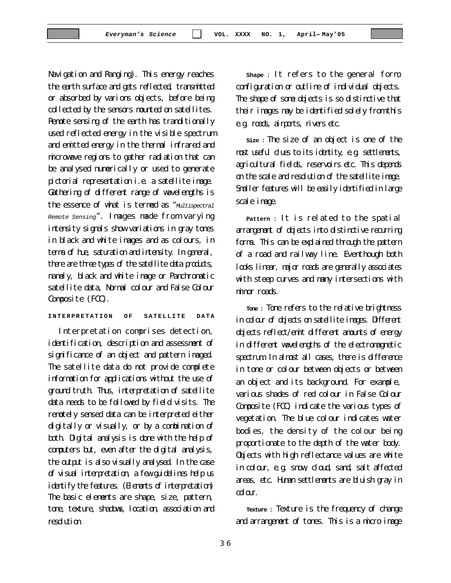Navigation and Ranging). This energy reaches the earth surface and gets reflected, transmitted or absorbed by varions objects, before being collected by the sensors mounted on satellites. Remote sensing of the earth has tranditionally used reflected energy in the visible spectrum and emitted energy in the thermal infrared and microwave regions to gather radiation that can be analysed numerically or used to generate pictorial representation i.e. a satellite image. Gathering of different range of wavelengths is the essence of what is termed as "*Multispectral Remote Sensing*". Images made from varying intensity signals show variations in gray tones in black and white images and as colours, in terms of hue, saturation and intensity. In general, there are three types of the satellite data products, namely, black and white image or Panchromatic satellite data, Normal colour and False Colour Composite (FCC).

**INTERPRETATION OF SATELLITE DATA**

Interpretation comprises detection, identification, description and assessment of significance of an object and pattern imaged. The satellite data do not provide complete information for applications without the use of ground truth. Thus, interpretation of satellite data needs to be followed by field visits. The remotely sensed data can be interpreted either digitally or visually, or by a combination of both. Digital analysis is done with the help of computers but, even after the digital analysis, the output is also visually analysed. In the case of visual interpretation, a few guidelines help us identify the features. (Elements of interpretation) The basic elements are shape, size, pattern, tone, texture, shadows, location, association and resolution.

**Shape :** It refers to the general form, configuration or outline of individual objects. The shape of some objects is so distinctive that their images may be identified solely from this e.g. roads, airports, rivers etc.

**Size :** The size of an object is one of the most useful clues to its identity, e.g. settlements, agricultural fields, reservoirs etc. This depends on the scale and resolution of the satellite image. Smaller features will be easily identified in large scale image.

**Pattern :** It is related to the spatial arrangement of objects into distinctive recurring forms. This can be explained through the pattern of a road and railway line. Eventhough both looks linear, major roads are generally associates with steep curves and many intersections with minor roads.

**Tone :** Tone refers to the relative brightness in colour of objects on satellite images. Different objects reflect/emit different amounts of energy in different wavelengths of the electromagnetic spectrum. In almost all cases, there is difference in tone or colour between objects or between an object and its background. For example, various shades of red colour in False Colour Composite (FCC) indicate the various types of vegetation. The blue colour indicates water bodies, the density of the colour being proportionate to the depth of the water body. Objects with high reflectance values are white in colour, e.g. snow, cloud, sand, salt affected areas, etc. Human settlements are bluish gray in colar.

**Texture :** Texture is the frequency of change and arrangement of tones. This is a micro image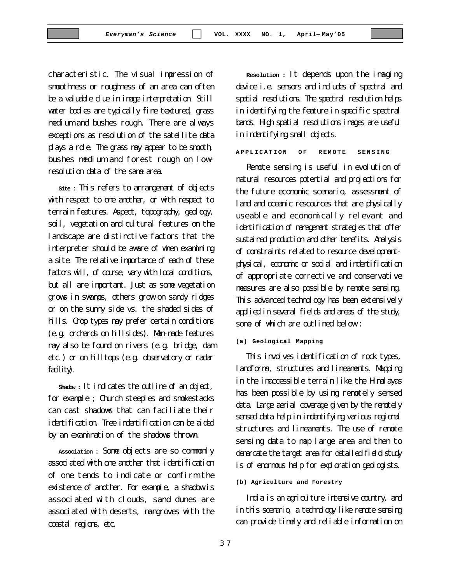characteristic. The visual impression of smoothness or roughness of an area can often be a valuable clue in image interpretation. Still water bodies are typically fine textured, grass medium and bushes rough. There are always exceptions as resolution of the satellite data plays a role. The grass may appear to be smooth, bushes medium and forest rough on lowresolution data of the same area.

**Site :** This refers to arrangement of objects with respect to one another, or with respect to terrain features. Aspect, topography, geology, soil, vegetation and cultural features on the landscape are distinctive factors that the interpreter should be aware of when examining a site. The relative importance of each of these factors will, of course, vary with local conditions, but all are important. Just as some vegetation grows in swamps, others grow on sandy ridges or on the sunny side vs. the shaded sides of hills. Crop types may prefer certain conditions (e.g. orchards on hillsides). Man-made features may also be found on rivers (e.g. bridge, dam etc.) or on hilltops (e.g. observatory or radar faility).

**Shadow :** It indicates the outline of an object, for example ; Church steeples and smokestacks can cast shadows that can faciliate their identification. Tree indentification can be aided by an examination of the shadows thrown.

**Association :** Some objects are so commonly associated with one another that identification of one tends to indicate or confirm the existence of another. For example, a shadow is associated with clouds, sand dunes are associated with deserts, mangroves with the coastal regions, etc.

**Resolution :** It depends upon the imaging device i.e. sensors and includes of spectral and spatial resolutions. The spectral resolution helps in identifying the feature in specific spectral bands. High spatial resolutions images are useful in indentifying small objects.

**APPLICATION OF REMOTE SENSING**

Remote sensing is useful in evolution of natural resources potential and projections for the future economic scenario, assessment of land and oceanic rescources that are physically useable and economically relevant and identification of management strategies that offer sustained production and other benefits. Analysis of constraints related to resource developmentphysical, economic or social and indentification of appropriate corrective and conservative measures are also possible by remote sensing. This advanced technology has been extensively applied in several fields and areas of the study, some of which are outlined below :

#### **(a) Geological Mapping**

This involves identification of rock types, landforms, structures and lineaments. Mapping in the inaccessible terrain like the Himalayas has been possible by using remotely sensed data. Large aerial coverage given by the remotely sensed data help in indentifying various regional structures and lineaments. The use of remote sensing data to map large area and then to demarcate the target area for detailed field study is of enormous help for exploration geologists.

#### **(b) Agriculture and Forestry**

India is an agriculture intensive country, and in this scenario, a technology like renote sensing can provide timely and reliable information on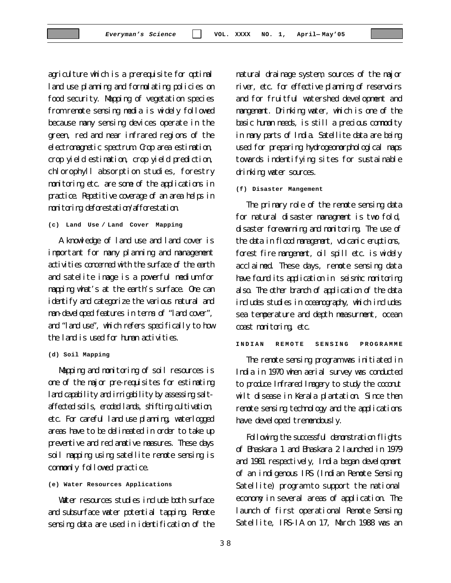agriculture which is a prerequisite for optimal land use planning and formulating policies on food security. Mapping of vegetation species from remote sensing media is widely followed because many sensing devices operate in the green, red and near infrared regions of the electromagnetic spectrum. Crop area estimation, crop yield estimation, crop yield prediction, chlorophyll absorption studies, forestry monitoring etc. are some of the applications in practice. Repetitive coverage of an area helps in monitoring deforestation/afforestation.

```
(c) Land Use / Land Cover Mapping
```
A knowledge of land use and land cover is important for many planning and management activities concerned with the surface of the earth and satelite image is a powerful medium for mapping what's at the earth's surface. One can identify and categorize the various natural and man-developed features in terms of "land cover", and "land use", which refers specifically to how the land is used for human activities.

**(d) Soil Mapping**

Mapping and monitoring of soil resources is one of the major pre-requisites for estimating land capability and imigability by assessing saltaffected soils, eroded lands, shifting cultivation, etc. For careful land use planning, waterlogged areas have to be delineated in order to take up preventive and reclamative measures. These days soil mapping using satellite remote sensing is commonly followed practice.

#### **(e) Water Resources Applications**

Water resources studies include both surface and subsurface water potential tapping. Remote sensing data are used in identification of the natural drainage system, sources of the major river, etc. for effective planning of reservoirs and for fruitful watershed development and mangement. Drinking water, which is one of the basic human needs, is still a precious commodity in many parts of India. Satellite data are being used for preparing hydrogeomorphological maps towards indentifying sites for sustainable drinking water sources.

#### **(f) Disaster Mangement**

The primary role of the remote sensing data for natural disaster managment is two fold, disaster forewarning and monitoring. The use of the data in flood management, volcanic eruptions, forest fire mangement, oil spill etc. is widely acclaimed. These days, remote sensing data have found its application in seismic monitoring also. The other branch of application of the data includes studies in oceanography, which includes sea temperature and depth measurment, ocean coast monitoring, etc.

**INDIAN REMOTE SENSING PROGRAMME**

The remote sensing program was initiated in India in 1970 when aerial survey was conducted to produce Infrared Imagery to study the coconut wilt disease in Kerala plantation. Since then remote sensing technology and the applications have developed tremendously.

Following the successful demonstration flights of Bhaskara 1 and Bhaskara 2 launched in 1979 and 1981 respectively, India began development of an indigenous IRS (Indian Remote Sensing Satellite) program to support the national economy in several areas of application. The launch of first operational Remote Sensing Satellite, IRS-IA on 17, March 1988 was an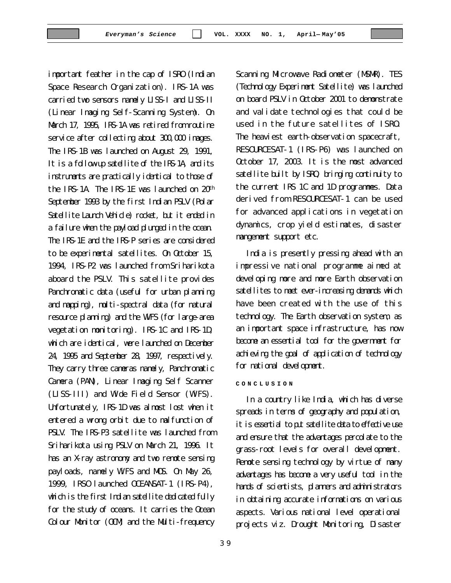important feather in the cap of ISRO (Indian Space Research Organization). IRS-1A was carried two sensors namely LISS-I and LISS-II (Linear Imaging Self-Scanning System). On March 17, 1995, IRS-1A was retired from routine service after collecting about 300,000 images. The IRS-1B was launched on August 29, 1991, It is a follow-up satellite of the IRS-1A, and its instruments are practically identical to those of the IRS-1A. The IRS-1E was launched on 20th September 1993 by the first Indian PSLV (Polar Satellite Launch Vehicle) rocket, but it ended in a failure when the payload plunged in the ocean. The IRS-1E and the IRS-P series are considered to be experimental satellites. On October 15, 1994, IRS-P2 was launched from Sriharikota aboard the PSLV. This satellite provides Panchromatic data (useful for urban planning and mapping), multi-spectral data (for natural resource planning) and the WiFS (for large-area vegetation monitoring). IRS-1C and IRS-1D, which are identical, were launched on December 24, 1995 and September 28, 1997, respectively. They carry three cameras namely, Panchromatic Camera (PAN), Linear Imaging Self Scanner (LISS-III) and Wide Field Sensor (WiFS). Unfortunately, IRS-1D was almost lost when it entered a wrong orbit due to malfunction of PSLV. The IRS-P3 satellite was launched from Sriharikota using PSLV on March 21, 1996. It has an X-ray astronomy and two remote sensing payloads, namely WiFS and MOS. On May 26, 1999, IRSO launched OCEANSAT-1 (IRS-P4), which is the first Indian satellite dedicated fully for the study of oceans. It carries the Ocean Colour Monitor (OCM) and the Multi-frequency

3 9

Scanning Microwave Radiometer (MSMR). TES (Technology Experiment Satellite) was launched on board PSLV in October 2001 to demonstrate and validate technologies that could be used in the future satellites of ISRO. The heaviest earth-observation spacecraft, RESOURCESAT-1 (IRS-P6) was launched on October 17, 2003. It is the most advanced satellite built by ISRO, bringing continuity to the current IRS 1C and 1D programmes. Data derived from RESOURCESAT-1 can be used for advanced applications in vegetation dynamics, crop yield estimates, disaster mangement support etc.

India is presently pressing ahead with an impressive national programme aimed at developing more and more Earth observation satellites to meet ever-increasing demands which have been created with the use of this technology. The Earth observation system, as an important space infrastructure, has now become an essential tool for the government for achieving the goal of application of technology for national development.

#### **CONCLUSION**

In a country like India, which has diverse spreads in terms of geography and population, it is essential to put satellite data to effective use and ensure that the advantages percolate to the grass-root levels for overall development. Remote sensing technology by virtue of many advantages has become a very useful tool in the hands of scientists, planners and administrators in obtaining accurate informations on various aspects. Various national level operational projects viz. Drought Monitoring, Disaster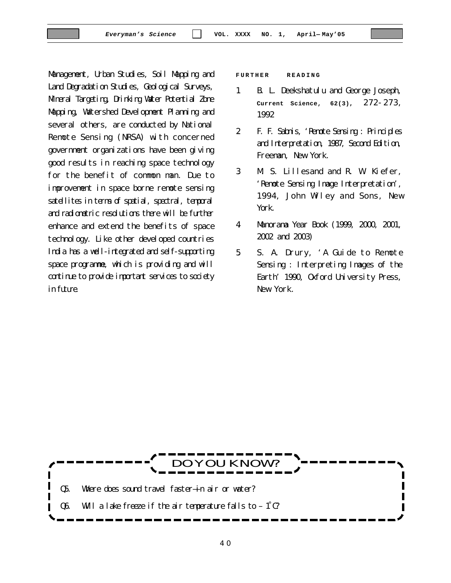Management, Urban Studies, Soil Mapping and Land Degradation Studies, Geological Surveys, Mineral Targeting, Drinking Water Potential Zone Mapping, Watershed Development Planning and several others, are conducted by National Remote Sensing (NRSA) with concerned government organizations have been giving good results in reaching space technology for the benefit of common man. Due to improvement in space borne remote sensing satellites in terms of spatial, spectral, temporal and radiometric resolutions there will be further enhance and extend the benefits of space technology. Like other developed countries India has a well-integrated and self-supporting space programme, which is providing and will continue to provide important services to society in fiture.

**FURTHER READING**

- 1. B. L. Deekshatulu and George Joseph, **Current Science, 62(3)**, 272-273, 1992
- 2. F. F. Sabnis, 'Remote Sensing : Principles and Interpretation, 1987, Second Edition, Freeman, New York.
- 3. M. S. Lillesand and R. W. Kiefer, 'Remote Sensing Image Interpretation', 1994, John Wiley and Sons, New York.
- 4. Manorama Year Book (1999, 2000, 2001, 2002 and 2003)
- 5. S. A. Drury, 'A Guide to Remote Sensing : Interpreting Images of the Earth' 1990, Oxford University Press, New York.

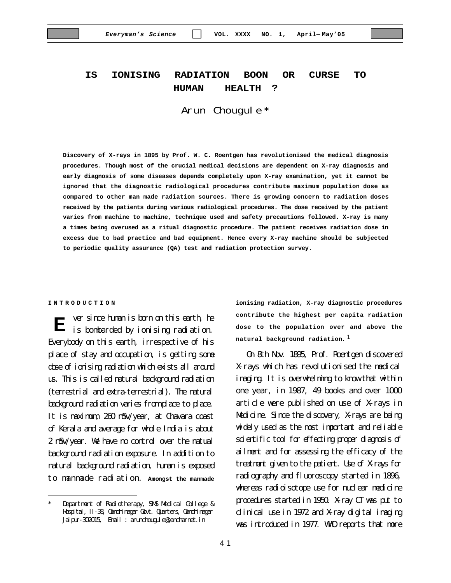### **IS IONISING RADIATION BOON OR CURSE TO HUMAN HEALTH ?**

#### Arun Chougule \*

**Discovery of X-rays in 1895 by Prof. W. C. Roentgen has revolutionised the medical diagnosis procedures. Though most of the crucial medical decisions are dependent on X-ray diagnosis and early diagnosis of some diseases depends completely upon X-ray examination, yet it cannot be ignored that the diagnostic radiological procedures contribute maximum population dose as compared to other man made radiation sources. There is growing concern to radiation doses received by the patients during various radiological procedures. The dose received by the patient varies from machine to machine, technique used and safety precautions followed. X-ray is many a times being overused as a ritual diagnostic procedure. The patient receives radiation dose in excess due to bad practice and bad equipment. Hence every X-ray machine should be subjected to periodic quality assurance (QA) test and radiation protection survey.**

#### **INTRODUCTION**

ver since human is born on this earth, he **i** wer since human is born on this earth, he is bombarded by ionising radiation. Everybody on this earth, irrespective of his place of stay and occupation, is getting some dose of ionising radiation which exists all around us. This is called natural background radiation (terrestrial and extra-terrestrial). The natural background radiation varies from place to place. It is maximum, 260 mSv/year, at Chavara coast of Kerala and average for whole India is about 2 mSv/year. We have no control over the natual background radiation exposure. In addition to natural background radiation, human is exposed to manmade radiation. **Amongst the manmade**

**ionising radiation, X-ray diagnostic procedures contribute the highest per capita radiation dose to the population over and above the natural background radiation**.<sup>1</sup>

On 8th Nov. 1895, Prof. Roentgen discovered X-rays which has revolutionised the medical imaging. It is overwhelming to know that within one year, in 1987, 49 books and over 1000 article were published on use of X-rays in Medicine. Since the discovery, X-rays are being widely used as the most important and reliable scientific tool for effecting proper diagnosis of ailment and for assessing the efficacy of the treatment given to the patient. Use of X-rays for radiography and fluoroscopy started in 1896, whereas radioisotope use for nuclear medicine procedures started in 1950. X-ray CT was put to clinical use in 1972 and X-ray digital imaging was introduced in 1977. WHO reports that more

Department of Radiotherapy, SMS Medical College & Hospital, II-38, Gandhinagar Govt. Quarters, Gandhinagar Jaipur-302015, Email : arunchougule@sancharnet.in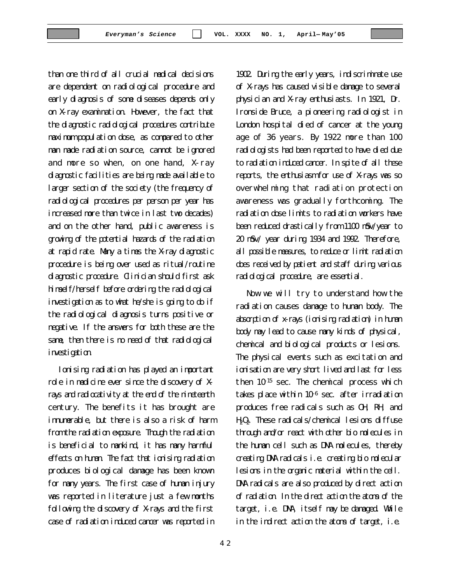than one third of all crucial medical decisions are dependent on radiological procedure and early diagnosis of some diseases depends only on X-ray examination. However, the fact that the diagnostic radiological procedures contribute maximum population dose, as compared to other man made radiation source, cannot be ignored and more so when, on one hand, X-ray diagnostic facilities are being made available to larger section of the society (the frequency of radiological procedures per person per year has increased more than twice in last two decades) and on the other hand, public awareness is growing of the potential hazards of the radiation at rapid rate. Many a times the X-ray diagnostic procedure is being over used as ritual/routine diagnostic procedure. Clinician should first ask himself/herself before ordering the radiological investigation as to what he/she is going to do if the radiological diagnosis turns positive or negative. If the answers for both these are the same, then there is no need of that radiological investigation.

Ionising radiation has played an important role in medicine ever since the discovery of Xrays and radiocativity at the end of the nineteenth century. The benefits it has brought are innumerable, but there is also a risk of harm from the radiation exposure. Though the radiation is beneficial to mankind, it has many harmful effects on human. The fact that ionising radiation produces biological damage has been known for many years. The first case of human injury was reported in literature just a few months following the discovery of X-rays and the first case of radiation induced cancer was reported in

1902. During the early years, indiscriminate use of X-rays has caused visible damage to several physician and X-ray enthusiasts. In 1921, Dr. Ironside Bruce, a pioneering radiologist in London hospital died of cancer at the young age of 36 years. By 1922 more than 100 radiologists had been reported to have died due to radiation induced cancer. In spite of all these reports, the enthusiasm for use of X-rays was so overwhelming that radiation protection awareness was gradually forthcoming. The radiation dose limits to radiation workers have been reduced drastically from 1100 mSv/year to 20 mSv/ year during 1934 and 1992. Therefore, all possible measures, to reduce or limit radiation does received by patient and staff during various radiological procedure, are essential.

Now we will try to understand how the radiation causes damage to human body. The absorption of x-rays (ionising radiation) in human body may lead to cause many kinds of physical, chemical and biological products or lesions. The physical events such as excitation and ionisation are very short lived and last for less then  $10^{15}$  sec. The chemical process which takes place within  $10^{-6}$  sec. after irradiation produces free radicals such as OH, RH, and  $H_2O_2$ . These radicals/chemical lesions diffuse through and/or react with other bio molecules in the human cell such as DNA molecules, thereby creating DNA radicals i.e. creating bio molecular lesions in the organic material within the cell. DNA radicals are also produced by direct action of radiation. In the direct action the atoms of the target, i.e. DNA, itself may be damaged. While in the indirect action the atoms of target, i.e.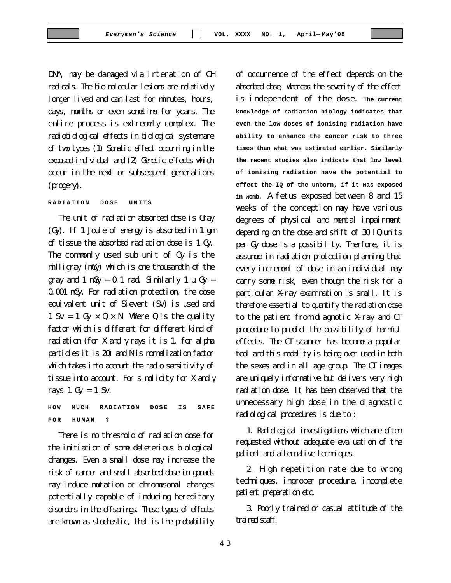DNA, may be damaged via interation of OH radicals. The bio molecular lesions are relatively longer lived and can last for minutes, hours, days, months or even sometims for years. The entire process is extremely complex. The radiobiological effects in biological system are of two types (1) Somatic effect occurring in the exposed individual and (2) Genetic effects which occur in the next or subsequent generations (progeny).

#### **RADIATION DOSE UNITS**

The unit of radiation absorbed dose is Gray (Gy). If 1 Joule of energy is absorbed in 1 gm of tissue the absorbed radiation dose is 1 Gy. The commonly used sub unit of Gy is the milligray (mGy) which is one thousandth of the gray and 1 mGy = 0.1 rad. Similarly 1  $\mu$  Gy = 0.001 mGy. For radiation protection, the dose equivalent unit of Sievert (Sv) is used and 1 Sv = 1 Gy  $\times$  Q  $\times$  N. Where Q is the quality factor which is different for different kind of radiation (for X and  $\gamma$  rays it is 1, for alpha particles it is 20) and N is normalization factor which takes into account the radio sensitivity of tissue into account. For simplicity for X and  $\gamma$ rays  $1 \text{ Gy} = 1 \text{ Sv}$ .

**HOW MUCH RADIATION DOSE IS SAFE FOR HUMAN ?**

There is no threshold of radiation dose for the initiation of some deleterious biological changes. Even a small dose may increase the risk of cancer and small absorbed dose in gonads may induce mutation or chromosomal changes potentially capable of inducing hereditary disorders in the offsprings. These types of effects are known as stochastic, that is the probability

of occurrence of the effect depends on the absorbed dose, whereas the severity of the effect is independent of the dose. **The current knowledge of radiation biology indicates that even the low doses of ionising radiation have ability to enhance the cancer risk to three times than what was estimated earlier. Similarly the recent studies also indicate that low level of ionising radiation have the potential to effect the IQ of the unborn, if it was exposed in womb**. A fetus exposed between 8 and 15 weeks of the conception may have various degrees of physical and mental impairment depending on the dose and shift of 30 IQ units per Gy dose is a possibility. Therfore, it is assumed in radiation protection planning that every increment of dose in an individual may carry some risk, even though the risk for a particular X-ray examination is small. It is therefore essential to quantify the radiation dose to the patient from diagnotic X-ray and CT procedure to predict the possibility of harmful effects. The CT scanner has become a popular tool and this modality is being over used in both the sexes and in all age group. The CT images are uniquely informative but delivers very high radiation dose. It has been observed that the unnecessary high dose in the diagnostic radiological procedures is due to :

1. Radiological investigations which are often requested without adequate evaluation of the patient and alternative techniques.

2. High repetition rate due to wrong techniques, improper procedure, incomplete patient preparation etc.

3. Poorly trained or casual attitude of the trained staff.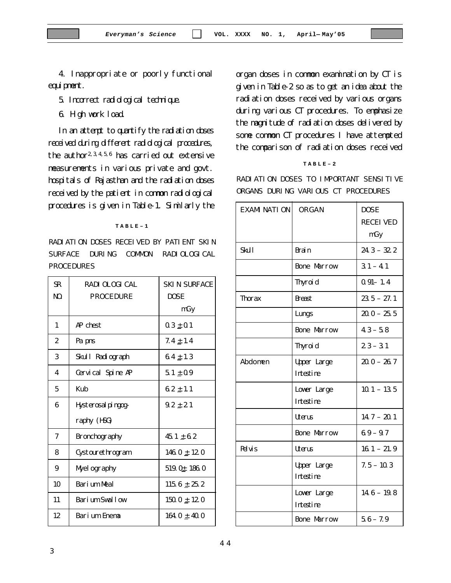4. Inappropriate or poorly functional equi prent.

5. Incorrect radiological technique.

6. High work load.

In an attempt to quantify the radiation doses received during different radiological procedures, the author<sup>2, 3, 4, 5, 6</sup> has carried out extensive measurements in various private and govt. hospitals of Rajasthan and the radiation doses received by the patient in common radiological procedures is given in Table-1. Similarly the

#### **TABLE–1**

RADIATION DOSES RECEIVED BY PATIENT SKIN SURFACE DURING COMMON RADIOLOGICAL PROCEDURES

| $\mathbf{R}$<br>NO. | RADI OLOGI CAL<br><b>PROCEDURE</b> | <b>SKIN SURFACE</b><br><b>DOSE</b> |
|---------------------|------------------------------------|------------------------------------|
|                     |                                    | mGy                                |
| 1                   | AP chest                           | $0.3 \pm 0.1$                      |
| 2                   | Pa pns                             | $7.4 \pm 1.4$                      |
| 3                   | Skull Radiograph                   | $64 \pm 1.3$                       |
| 4                   | Cervical Spine AP                  | $51 \pm 0.9$                       |
| 5                   | Kub                                | $\textbf{62}\pm\textbf{11}$        |
| 6                   | Hysterosal pingog-                 | $9.2 \pm 2.1$                      |
|                     | raphy (HSG)                        |                                    |
| 7                   | <b>Bronchography</b>               | $45.1 \pm 6.2$                     |
| 8                   | Cystourethrogram                   | 146. $0 \pm 12.0$                  |
| 9                   | Myel ography                       | $519.0 \pm 186.0$                  |
| 10                  | Barium Meal                        | 115. $6 \pm 25.2$                  |
| 11                  | Barium Swallow                     | $150.0 \pm 12.0$                   |
| 12                  | Barium Enema                       | $164.0 \pm 40.0$                   |

organ doses in common examination by CT is given in Table-2 so as to get an idea about the radiation doses received by various organs during various CT procedures. To emphasize the magnitude of radiation doses delivered by some common CT procedures I have attempted the comparison of radiation doses received

#### **TABLE–2**

RADIATION DOSES TO IMPORTANT SENSITIVE ORGANS DURING VARIOUS CT PROCEDURES

| <b>EXAMINATION</b> | ORGAN              | <b>DOSE</b>     |
|--------------------|--------------------|-----------------|
|                    |                    | <b>RECEIVED</b> |
|                    |                    | mGy             |
| <b>Skill</b>       | <b>Brain</b>       | $24.3 - 32.2$   |
|                    | <b>Bone Marrow</b> | $31 - 41$       |
|                    | Thyroid            | $0.91 - 1.4$    |
| <b>Thorax</b>      | <b>Breast</b>      | $23.5 - 27.1$   |
|                    | Lungs              | $20.0 - 25.5$   |
|                    | <b>Bone Marrow</b> | $43 - 58$       |
|                    | <b>Thyroid</b>     | $23 - 31$       |
| Abdomen            | <b>Upper Large</b> | $20.0 - 26.7$   |
|                    | <b>Intestine</b>   |                 |
|                    | Lower Large        | $10.1 - 13.5$   |
|                    | <b>Intestine</b>   |                 |
|                    | Uterus             | $14.7 - 20.1$   |
|                    | <b>Bone Marrow</b> | $69 - 97$       |
| <b>Pelvis</b>      | Utens              | $16.1 - 21.9$   |
|                    | <b>Upper Large</b> | $7.5 - 10.3$    |
|                    | Intestine          |                 |
|                    | Lower Large        | $14.6 - 19.8$   |
|                    | Intestine          |                 |
|                    | <b>Bone Marrow</b> | $5.6 - 7.9$     |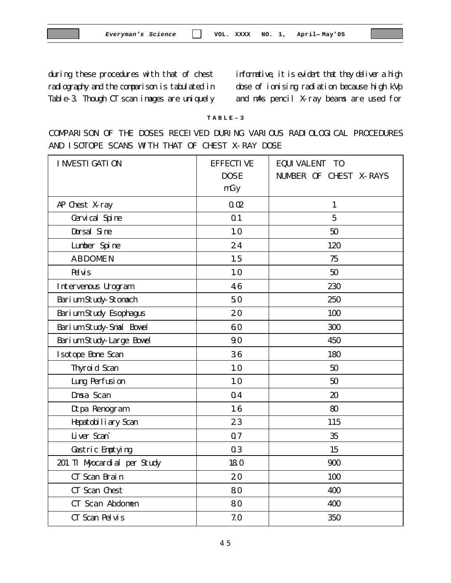during these procedures with that of chest radiography and the comparison is tabulated in Table-3. Though CT scan images are uniquely informative, it is evident that they deliver a high dose of ionising radiation because high kVp and mAs pencil X-ray beams are used for

#### **TABLE–3**

COMPARISON OF THE DOSES RECEIVED DURING VARIOUS RADIOLOGICAL PROCEDURES AND ISOTOPE SCANS WITH THAT OF CHEST X-RAY DOSE

| <b>I NVESTI GATI ON</b>       | <b>EFFECTIVE</b><br><b>DOSE</b><br>mGy | <b>EQUIVALENT TO</b><br><b>NUMBER OF CHEST X-RAYS</b> |
|-------------------------------|----------------------------------------|-------------------------------------------------------|
| AP Chest X-ray                | 0.02                                   | $\mathbf{1}$                                          |
| Cervical Spine                | 0 <sub>1</sub>                         | $\overline{5}$                                        |
| Dorsal Sine                   | 10                                     | 50                                                    |
| Lumber Spine                  | 24                                     | 120                                                   |
| <b>ABDOMEN</b>                | 1.5                                    | 75                                                    |
| <b>R</b> uis                  | 10                                     | 50                                                    |
| Intervenous Urogram           | 46                                     | 230                                                   |
| Barium Study-Stomach          | 50                                     | 250                                                   |
| <b>Barium Study Esophagus</b> | 20                                     | 100                                                   |
| Barium Study-Smal Bowel       | 60                                     | 300                                                   |
| Barium Study-Large Bowel      | 90                                     | 450                                                   |
| <b>Isotope Bone Scan</b>      | 36                                     | 180                                                   |
| <b>Thyroid Scan</b>           | 10                                     | 50                                                    |
| <b>Lung Perfusion</b>         | 10                                     | 50                                                    |
| <b>Dmsa Scan</b>              | 04                                     | 20                                                    |
| Dtpa Renogram                 | 16                                     | 80                                                    |
| Hepatobiliary Scan            | 23                                     | 115                                                   |
| Liver Scan                    | 07                                     | 35                                                    |
| <b>Gastric Emptying</b>       | 03                                     | 15                                                    |
| 201 TI Myocardial per Study   | 180                                    | 900                                                   |
| CT Scan Brain                 | 20                                     | 100                                                   |
| CT Scan Chest                 | 80                                     | 400                                                   |
| CT Scan Abdomen               | 80                                     | 400                                                   |
| CT Scan Pelvis                | 7.0                                    | 350                                                   |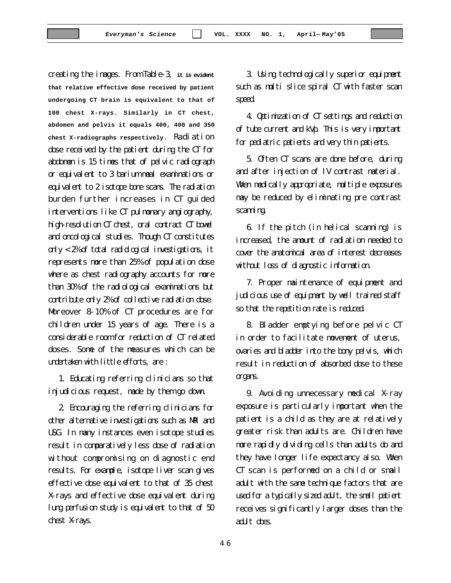creating the images. From Table-3, **it is evident that relative effective dose received by patient undergoing CT brain is equivalent to that of 100 chest X-rays. Similarly in CT chest, abdomen and pelvis it equals 400, 400 and 350 chest X-radiographs respectively**. Radiation dose received by the patient during the CT for abdomen is 15 times that of pelvic radiograph or equivalent to 3 barium meal examinations or equivalent to 2 isotope bone scans. The radiation burden further increases in CT guided interventions like CT pulmonary angiography, high-resolution CT chest, oral contract CT bowel and oncological studies. Though CT constitutes only < 2% of total radiological investigations, it represents more than 25% of population dose where as chest radiography accounts for more than 30% of the radiological examinations but contribute only 2% of collective radiation dose. Moreover 8-10% of CT procedures are for children under 15 years of age. There is a considerable room for reduction of CT related doses. Some of the measures which can be undertaken with little efforts, are :

1. Educating referring clinicians so that injudicious request, made by them go down.

2. Encouraging the referring clinicians for other alternative investigations such as MRI and USG. In many instances even isotope studies result in comparatively less dose of radiation without compromising on diagnostic end results. For example, isotope liver scan gives effective dose equivalent to that of 35 chest X-rays and effective dose equivalent during lung perfusion study is equivalent to that of 50 chest X-rays.

3. Using technologically superior equipment such as multi slice spiral CT with faster scan speed.

4. Optimization of CT settings and reduction of tube current and kVp. This is very important for pediatric patients and very thin patients.

5. Often CT scans are done before, during and after injection of IV contrast material. When medically appropriate, multiple exposures may be reduced by eliminating pre contrast scanning.

6. If the pitch (in helical scanning) is increased, the amount of radiation needed to cover the anatomical area of interest decreases without loss of diagnostic information.

7. Proper maintenance of equipment and judicious use of equipment by well trained staff so that the repetition rate is reduced.

8. Bladder emptying before pelvic CT in order to facilitate movement of uterus, ovaries and bladder into the bony pelvis, which result in reduction of absorbed dose to these organs.

9. Avoiding unnecessary medical X-ray exposure is particularly important when the patient is a child as they are at relatively greater risk than adults are. Children have more rapidly dividing cells than adults do and they have longer life expectancy also. When CT scan is performed on a child or small adult with the same technique factors that are used for a typically sized adult, the small patient receives significantly larger doses than the adult does.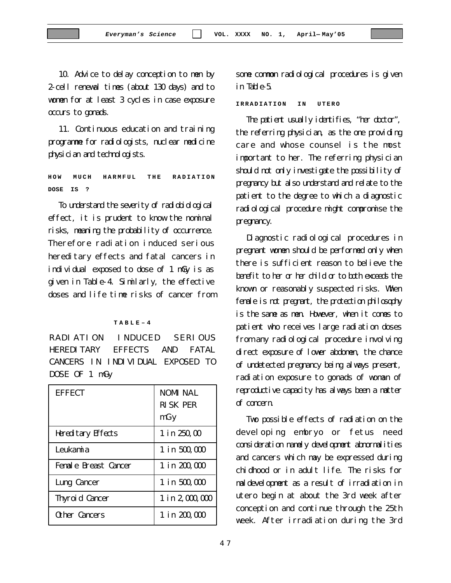10. Advice to delay conception to men by 2-cell renewal times (about 130 days) and to women for at least 3 cycles in case exposure occurs to gonads.

11. Continuous education and training programme for radiologists, nuclear medicine physician and technologists.

**HOW MUCH HARMFUL THE RADIATION DOSE IS ?**

To understand the severity of radiobiological effect, it is prudent to know the nominal risks, meaning the probability of occurrence. Therefore radiation induced serious hereditary effects and fatal cancers in individual exposed to dose of 1 mGy is as given in Table-4. Similarly, the effective doses and life time risks of cancer from

#### **TABLE–4**

RADIATION INDUCED SERIOUS HEREDITARY EFFECTS AND FATAL CANCERS IN INDIVIDUAL EXPOSED TO DOSE OF 1 mGy

| <b>EFFECT</b>             | <b>NOMI NAL</b><br><b>RISK PER</b><br>mGy |
|---------------------------|-------------------------------------------|
| <b>Hereditary Effects</b> | 1 in 250,00                               |
| Leukamia                  | 1 in 500,000                              |
| Female Breast Cancer      | 1 in 200,000                              |
| Lung Cancer               | 1 in 500,000                              |
| <b>Thyroid Cancer</b>     | 1 in 2,000,000                            |
| Other Cancers             | 1 in 200,000                              |

some common radiological procedures is given in Table-5.

**IRRADIATION IN UTERO**

The patient usually identifies, "her doctor", the referring physician, as the one providing care and whose counsel is the most important to her. The referring physician should not only investigate the possibility of pregnancy but also understand and relate to the patient to the degree to which a diagnostic radiological procedure might compromise the pregnancy.

Diagnostic radiological procedures in pregnant women should be performed only when there is sufficient reason to believe the benefit to her or her child or to both exceeds the known or reasonably suspected risks. When female is not pregnant, the protection philosophy is the same as men. However, when it comes to patient who receives large radiation doses from any radiological procedure involving direct exposure of lower abdomen, the chance of undetected pregnancy being always present, radiation exposure to gonads of woman of reproductive capacity has always been a matter of concern.

Two possible effects of radiation on the developing embryo or fetus need consideration namely development abnormalities and cancers which may be expressed during chidhood or in adult life. The risks for maldevelopment as a result of irradiation in utero begin at about the 3rd week after conception and continue through the 25th week. After irradiation during the 3rd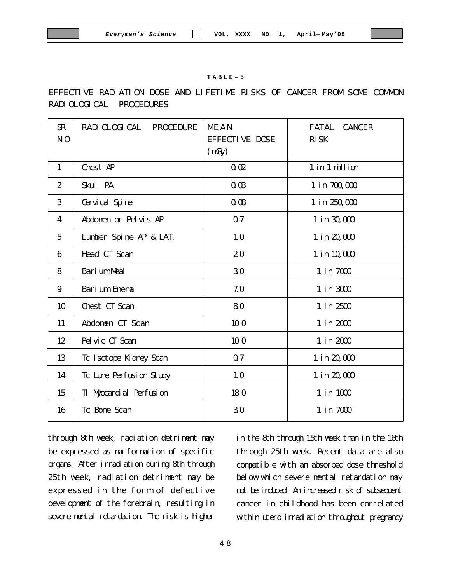#### **TABLE–5**

### EFFECTIVE RADIATION DOSE AND LIFETIME RISKS OF CANCER FROM SOME COMMON RADIOLOGICAL PROCEDURES

| $\mathbf{R}$<br>N <sub>0</sub> | <b>RADI OLOGI CAL</b><br><b>PROCEDURE</b> | <b>MEAN</b><br><b>EFFECTIVE DOSE</b><br>(mGy) | <b>FATAL</b><br><b>CANCER</b><br><b>RISK</b> |
|--------------------------------|-------------------------------------------|-----------------------------------------------|----------------------------------------------|
| $\mathbf{1}$                   | <b>Chest AP</b>                           | 0.02                                          | 1 in 1 million                               |
| $\boldsymbol{2}$               | Skull PA                                  | 0.03                                          | 1 in 700,000                                 |
| 3                              | Cervical Spine                            | 0.08                                          | 1 in 250,000                                 |
| 4                              | Abdomen or Pelvis AP                      | 07                                            | 1 in 30,000                                  |
| $\overline{5}$                 | Lumber Spine AP & LAT.                    | 10                                            | 1 in 20,000                                  |
| 6                              | Head CT Scan                              | 20                                            | 1 in 10,000                                  |
| 8                              | <b>Barium Meal</b>                        | 30                                            | 1 in 7000                                    |
| 9                              | <b>Barium Enema</b>                       | 7.0                                           | 1 in 3000                                    |
| 10                             | Chest CT Scan                             | 80                                            | 1 in 2500                                    |
| 11                             | Abdomen CT Scan                           | 10.0                                          | 1 in 2000                                    |
| 12                             | Pelvic CT Scan                            | 10.0                                          | 1 in 2000                                    |
| 13                             | Tc Isotope Kidney Scan                    | 07                                            | 1 in 20,000                                  |
| 14                             | To Lune Perfusion Study                   | 10                                            | 1 in 20,000                                  |
| 15                             | TI Myocardial Perfusion                   | 180                                           | 1 in 1000                                    |
| 16                             | <b>Tc Bone Scan</b>                       | 30                                            | 1 in 7000                                    |
|                                |                                           |                                               |                                              |

through 8th week, radiation detriment may be expressed as malformation of specific organs. After irradiation during 8th through 25th week, radiation detriment may be expressed in the form of defective development of the forebrain, resulting in severe mental retardation. The risk is higher

in the 8th through 15th week than in the 16th through 25th week. Recent data are also compatible with an absorbed dose threshold below which severe mental retardation may not be induced. An increased risk of subsequent cancer in childhood has been correlated within utero irradiation throughout pregnancy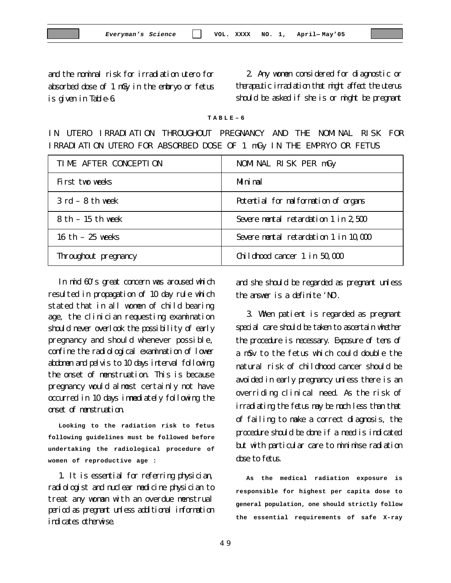and the nominal risk for irradiation utero for absorbed dose of 1 mGy in the embryo or fetus is given in Table-6.

2. Any women considered for diagnostic or therapeutic irradiation that might affect the uterus should be asked if she is or might be pregnant

**TABLE–6**

IN UTERO IRRADIATION THROUGHOUT PREGNANCY AND THE NOMINAL RISK FOR IRRADIATION UTERO FOR ABSORBED DOSE OF 1 mGy IN THE EMPRYO OR FETUS

| TIME AFTER CONCEPTION              | NOMINAL RISK PER mGy                  |
|------------------------------------|---------------------------------------|
| First two weeks                    | <b>M</b> ni mal                       |
| $3 \text{ rd} - 8 \text{ th}$ week | Potential for malformation of organs  |
| $8th - 15th$ week                  | Severe mental retardation 1 in 2,500  |
| 16 th $-25$ weeks                  | Severe mental retardation 1 in 10,000 |
| Throughout pregnancy               | Childhood cancer 1 in 50,000          |

In mid 60's great concern was aroused which resulted in propagation of 10 day rule which stated that in all women of child bearing age, the clinician requesting examination should never overlook the possibility of early pregnancy and should whenever possible, confine the radiological examination of lower abdomen and pelvis to 10 days interval following the onset of menstruation. This is because pregnancy would almost certainly not have occurred in 10 days immediately following the onset of menstruation.

**Looking to the radiation risk to fetus following guidelines must be followed before undertaking the radiological procedure of women of reproductive age :**

1. It is essential for referring physician, radiologist and nuclear medicine physician to treat any woman with an overdue menstrual period as pregnant unless additional information indicates otherwise.

and she should be regarded as pregnant unless the answer is a definite 'NO'.

3. When patient is regarded as pregnant special care should be taken to ascertain whether the procedure is necessary. Exposure of tens of a mSv to the fetus which could double the natural risk of childhood cancer should be avoided in early pregnancy unless there is an overriding clinical need. As the risk of irradiating the fetus may be much less than that of failing to make a correct diagnosis, the procedure should be done if a need is indicated but with particular care to minimise radiation dose to fetus.

**As the medical radiation exposure is responsible for highest per capita dose to general population, one should strictly follow the essential requirements of safe X-ray**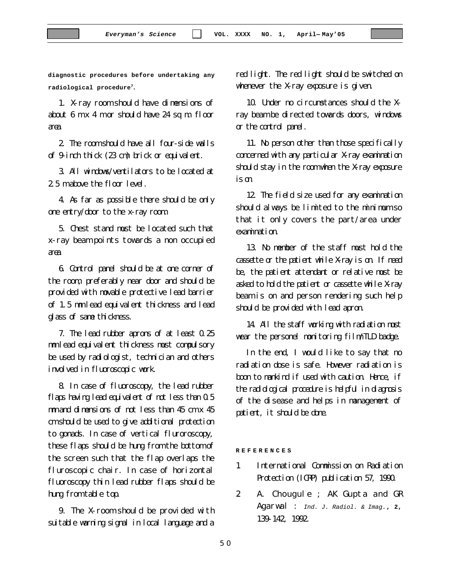**diagnostic procedures before undertaking any radiological procedure<sup>7</sup>.**

1. X-ray room should have dimensions of about 6 m x 4 m or should have 24 sq m. floor area.

2. The room should have all four-side walls of 9-inch thick (23 cm) brick or equivalent.

3. All windows/ventilators to be located at 2.5 m above the floor level.

4. As far as possible there should be only one entry/door to the x-ray room.

5. Chest stand must be located such that x-ray beam points towards a non occupied area.

6. Control panel should be at one corner of the room, preferably near door and should be provided with movable protective lead barrier of 1.5 mm lead equivalent thickness and lead glass of same thickness.

7. The lead rubber aprons of at least 0.25 mm lead equivalent thickness must compulsory be used by radiologist, technician and others involved in fluoroscopic work.

8. In case of fluoroscopy, the lead rubber flaps having lead equivalent of not less than 0.5 mm and dimensions of not less than 45 cm x 45 cm should be used to give additional protection to gonads. In case of vertical fluroroscopy, these flaps should be hung from the bottom of the screen such that the flap overlaps the fluroscopic chair. In case of horizontal fluoroscopy thin lead rubber flaps should be hung from table top.

9. The X-room should be provided with suitable warning signal in local language and a

red light. The red light should be switched on whenever the X-ray exposure is given.

10. Under no circumstances should the Xray beam be directed towards doors, windows or the control panel.

11. No person other than those specifically concerned with any particular X-ray examination should stay in the room when the X-ray exposure is on.

12. The field size used for any examination should always be limited to the minimum so that it only covers the part/area under examination.

13. No member of the staff must hold the cassette or the patient while X-ray is on. If need be, the patient attendant or relative must be asked to hold the patient or cassette while X-ray beam is on and person rendering such help should be provided with lead apron.

14. All the staff working with radiation must wear the personel monitoring film/TLD badge.

In the end, I would like to say that no radiation dose is safe. However radiation is boon to mankind if used with caution. Hence, if the radiological procedure is helpful in diagnosis of the disease and helps in management of patient, it should be done.

**REFERENCES**

- 1. International Commission on Radiation Protection (ICRP) publication 57, 1990.
- 2. A. Chougule ; AK Gupta and GR Agarwal : *Ind. J. Radiol. & Imag.*, **2**, 139-142, 1992.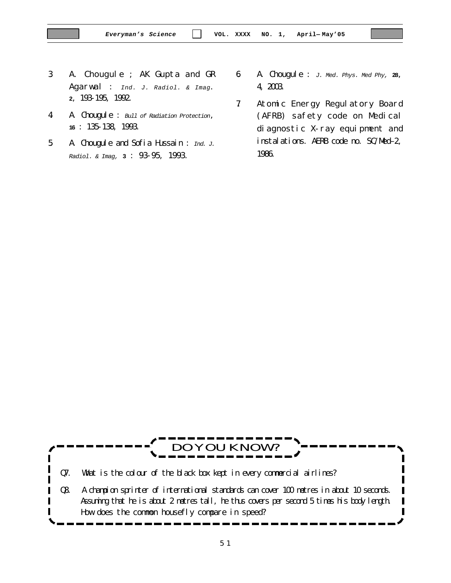- 3. A. Chougule ; AK Gupta and GR Agarwal : *Ind. J. Radiol. & Imag*. **2**, 193-195, 1992.
- 4. A. Chougule : *Bull of Radiation Protection*, **16** : 135-138, 1993.
- 5. A. Chougule and Sofia Hussain : *Ind. J. Radiol. & Imag,* **3** : 93-95, 1993.
- 6. A. Chougule : *J. Med. Phys. Med Phy,* **28**, 4, 2003.
- 7. Atomic Energy Regulatory Board (AFRB) safety code on Medical diagnostic X-ray equipment and instalations. AERB code no. SC/Med–2, 1986.

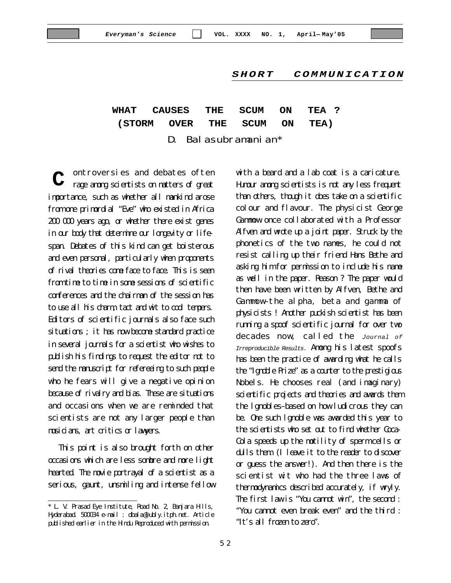#### *SHORT COMMUNICATION*

**WHAT CAUSES THE SCUM ON TEA ? (STORM OVER THE SCUM ON TEA)**

D. Balasubramanian\*

ontroversies and debates often rage among scientists on matters of great importance, such as whether all mankind arose from one primordial "Eve" who existed in Africa 200 000 years ago, or whether there exist genes in our body that determine our longevity or lifespan. Debates of this kind can get boisterous and even personal, particularly when proponents of rival theories come face to face. This is seen from time to time in some sessions of scientific conferences and the chairman of the session has to use all his charm, tact and wit to cool tempers. Editors of scientific journals also face such situations; it has now become standard practice in several journals for a scientist who wishes to publish his findings to request the editor not to send the manuscript for refereeing to such people who he fears will give a negative opinion because of rivalry and bias. These are situations and occasions when we are reminded that scientists are not any larger people than musicians, art critics or lawyers. **C**

This point is also brought forth on other occasions which are less sombre and more light hearted. The movie portrayal of a scientist as a serious, gaunt, unsmiling and intense fellow with a beard and a lab coat is a caricature. Humour among scientists is not any less frequent than others, though it does take on a scientific colour and flavour. The physicist George Gammow once collaborated with a Professor Alfven and wrote up a joint paper. Struck by the phonetics of the two names, he could not resist calling up their friend Hans Bethe and asking him for permission to include his name as well in the paper. Reason ? The paper would then have been written by Alfven, Bethe and Gammow–the alpha, beta and gamma of physicists ! Another puckish scientist has been running a spoof scientific journal for over two decades now, called the *Journal of Irreproducible Results.* Among his latest spoofs has been the practice of awarding what he calls the "Ignoble Prize" as a counter to the prestigious Nobels. He chooses real (and imaginary) scientific projects and theories and awards them the lgnobles–based on how ludicrous they can be. One such lgnoble was awarded this year to the scientists who set out to find whether Coca-Cola speeds up the motility of sperm cells or dulls them. (I leave it to the reader to discover or guess the answer!). And then there is the scientist wit who had the three laws of thermodynamics described accurately, if wryly. The first law is "You cannot win", the second : "You cannot even break even" and the third : "It's all frozen to zero".

<sup>\*</sup> L. V. Prasad Eye Institute, Road No. 2, Banjara Hills, Hyderabad. 500034 e-mail : dbala@lubly.itph.net. Article published earlier in the Hindu Reproduced with permission.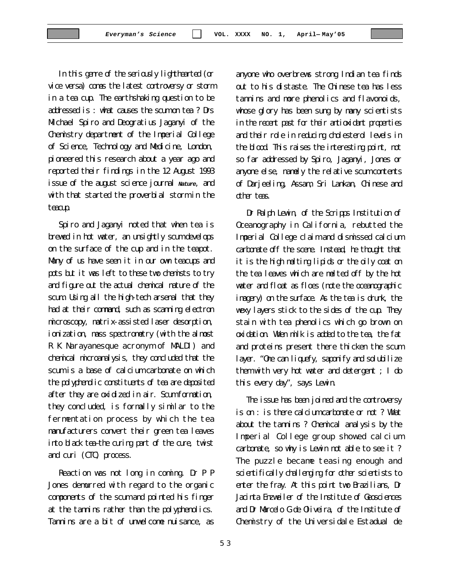In this genre of the seriously lighthearted (or vice versa) comes the latest controversy or storm in a tea cup. The earthshaking question to be addressed is : what causes the scum on tea ? Drs Michael Spiro and Deogratius Jaganyi of the Chemistry department of the Imperial College of Science, Technology and Medicine, London, pioneered this research about a year ago and reported their findings in the 12 August 1993 issue of the august science journal *Nature*, and with that started the proverbial storm in the teacup.

Spiro and Jaganyi noted that when tea is brewed in hot water, an unsightly scum develops on the surface of the cup and in the teapot. Many of us have seen it in our own teacups and pots but it was left to these two chemists to try and figure out the actual chemical nature of the scum. Using all the high-tech arsenal that they had at their command, such as scanning electron microscopy, matrix-assisted laser desorption, ionization, mass spectrometry (with the almost R K Narayanesque acronym of MALDI) and chemical microanalysis, they concluded that the scum is a base of calcium carbonate on which the polyphenolic constituents of tea are deposited after they are oxidized in air. Scum formation, they concluded, is formally similar to the fermentation process by which the tea manufacturers convert their green tea leaves into black tea–the curing part of the cure, twist and curi (CTC) process.

Reaction was not long in coming. Dr P P Jones demurred with regard to the organic components of the scum and pointed his finger at the tannins rather than the polyphenolics. Tannins are a bit of unwelcome nuisance, as

anyone who overbrews strong Indian tea finds out to his distaste. The Chinese tea has less tannins and more phenolics and flavonoids, whose glory has been sung by many scientists in the recent past for their antioxidant properties and their role in reducing cholesterol levels in the blood. This raises the interesting point, not so far addressed by Spiro, Jaganyi, Jones or anyone else, namely the relative scum contents of Darjeeling, Assam, Sri Lankan, Chinese and other teas.

Dr Ralph Lewin, of the Scripps Institution of Oceanography in California, rebutted the Imperial College claim and dismissed calcium carbonate off the scene. Instead, he thought that it is the high melting lipids or the oily coat on the tea leaves which are melted off by the hot water and float as floes (note the oceanographic imagery) on the surface. As the tea is drunk, the wexy layers stick to the sides of the cup. They stain with tea phenolics which go brown on oxidation. When milk is added to the tea, the fat and proteins present there thicken the scum layer. "One can liquefy, saponify and solubilize them with very hot water and detergent ; I do this every day", says Lewin.

The issue has been joined and the controversy is on : is there calcium carbonate or not ? What about the tannins ? Chemical analysis by the Imperial College group showed calcium carbonate, so why is Lewin not able to see it ? The puzzle became teasing enough and scientifically dallenging for other scientists to enter the fray. At this point two Brazilians, Dr Jacinta Enzweiler of the Institute of Geosciences and Dr Marcelo G de Oliveira, of the Institute of Chemistry of the Universidale Estadual de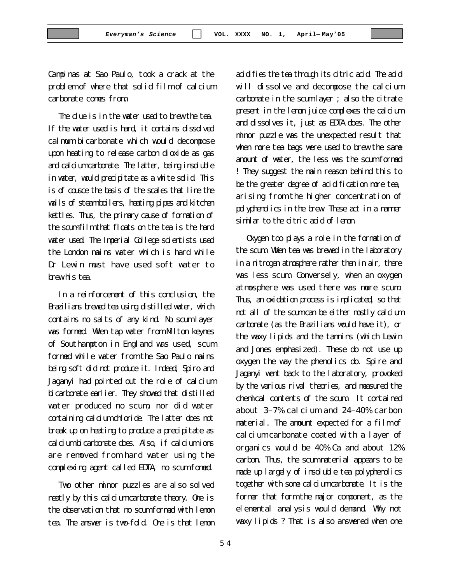Campinas at Sao Paulo, took a crack at the problem of where that solid film of calcium carbonate comes from.

The clue is in the water used to brew the tea. If the water used is hard, it contains dissolved calmum bicarbonate which would decompose upon heating to release carbon dioxide as gas and calcium carbonate. The latter, being insoluble in water, would precipitate as a white solid. This is of cousce the basis of the scales that line the walls of steam boilers, heating pipes and kitchen kettles. Thus, the primary cause of formation of the scum-film that floats on the tea is the hard water used. The Imperial College scientists used the London mains water which is hard while Dr Lewin must have used soft water to brew his tea.

In a reinforcement of this conclusion, the Brazilians brewed tea using distilled water, which contains no salts of any kind. No scum layer was formed. When tap water from Milton keynes of Southampton in England was used, scum formed while water from the Sao Paulo mains being soft did not produce it. Indeed, Spiro and Jaganyi had pointed out the role of calcium bicarbonate earlier. They showed that distilled water produced no scum, nor did water containing calcium chloride. The latter does not break up on heating to produce a precipitate as calcium bicarbonate does. Also, if calcium ions are removed from hard water using the complexing agent called EDTA, no scum fomed.

Two other minor puzzles are also solved neatly by this calcium carbonate theory. One is the observation that no scum formed with lemon tea. The answer is two-fold. One is that lemon acidifies the tea through its citric acid. The acid will dissolve and decompose the calcium carbonate in the scum layer ; also the citrate present in the lemon juice complexes the calcium and dissolves it, just as EDTA does. The other minor puzzle was the unexpected result that when more tea bags were used to brew the same amount of water, the less was the scum formed ! They suggest the main reason behind this to be the greater degree of acidification more tea, arising from the higher concentration of polyphenolics in the brew. These act in a manner similar to the citric acid of lemon.

Oxygen too plays a role in the formation of the scum. When tea was brewed in the laboratory in a nitrogen atmosphere rather then in air, there was less scum. Conversely, when an oxygen atmosphere was used there was more scum. Thus, an oxidation process is implicated, so that not all of the scum can be either mostly calcium carbonate (as the Brazilians would have it), or the waxy lipids and the tannins (which Lewin and Jones emphasized). These do not use up oxygen the way the phenolics do. Spire and Jaganyi went back to the laboratory, provoked by the various rival theories, and measured the chemical contents of the scum. It contained about 3–7% calcium and 24–40% carbon material. The amount expected for a film of calcium carbonate coated with a layer of organics would be 40% Ca and about 12% carbon. Thus, the scum material appears to be made up largely of insoluble tea polyphenolics together with some calcium carbonate. It is the former that form the major component, as the elemental analysis would demand. Why not waxy lipids ? That is also answered when one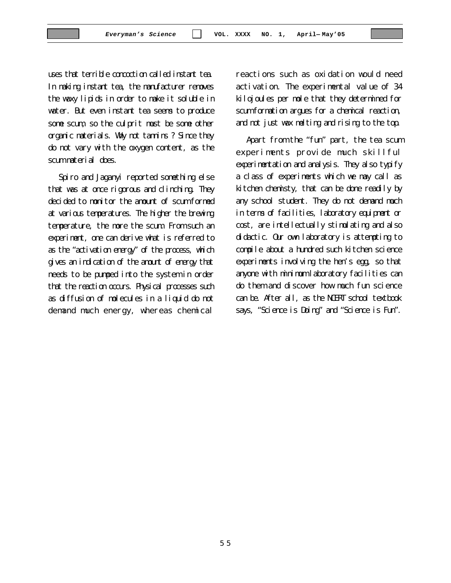uses that terrible concoction called instant tea. In making instant tea, the manufacturer removes the waxy lipids in order to make it soluble in water. But even instant tea seems to produce some scum, so the culprit must be some other organic materials. Why not tannins ? Since they do not vary with the oxygen content, as the scum material does.

Spiro and Jaganyi reported something else that was at once rigorous and clinching. They decided to monitor the amount of scum formed at various temperatures. The higher the brewing temperature, the more the scum. From such an experiment, one can derive what is referred to as the "activation energy" of the process, which gives an indication of the amount of energy that needs to be pumped into the system in order that the reaction occurs. Physical processes such as diffusion of molecules in a liquid do not demand much energy, whereas chemical

reactions such as oxidation would need activation. The experimental value of 34 kilojoules per mole that they determined for scum formation argues for a chemical reaction, and not just wax melting and rising to the top.

Apart from the "fun" part, the tea scum experiments provide much skillful experimentation and analysis. They also typify a class of experiments which we may call as kitchen chemisty, that can be done readily by any school student. They do not demand much in terms of facilities, laboratory equipment or cost, are intellectually stimulating and also didactic. Our own laboratory is attempting to compile about a hundred such kitchen science experiments involving the hen's egg, so that anyone with minimum laboratory facilities can do them and discover how much fun science can be. After all, as the NCERT school textbook says, "Science is Doing" and "Science is Fun".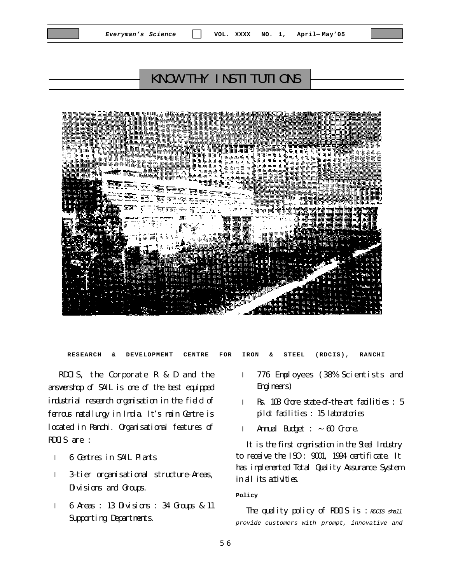## KNOW THY INSTITUTIONS



**RESEARCH & DEVELOPMENT CENTRE FOR IRON & STEEL (RDCIS), RANCHI**

RDCIS, the Corporate R & D and the answershop of SAIL is one of the best equipped industrial research organisation in the field of ferrous metallurgy in India. It's main Centre is located in Ranchi. Organisational features of RDCIS are :

- l 6 Centres in SAIL Plants
- l 3–tier organisational structure-Areas, Divisions and Groups.
- l 6 Areas : 13 Divisions : 34 Groups & 11 Supporting Departments.
- l 776 Employees (38% Scientists and Engineers)
- l Rs. 103 Crore state-of-the-art facilities : 5 pilot facilities : 15 laboratories
- 1 Annual Budget  $: ~ 60$  Crore.

It is the first organisation in the Steel Industry to receive the ISO : 9001, 1994 certificate. It has implemented Total Quality Assurance System in all its adivities.

#### **Policy**

The quality policy of RDCIS is : *RDCIS shall provide customers with prompt, innovative and*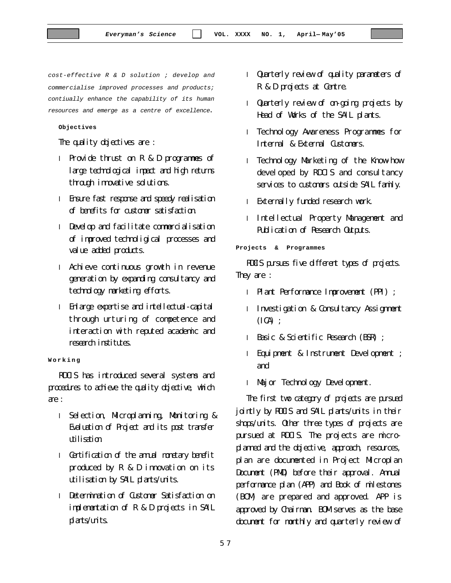*cost-effective R & D solution ; develop and commercialise improved processes and products; contiually enhance the capability of its human resources and emerge as a centre of excellence*.

#### **Objectives**

The quality objectives are :

- l Provide thrust on R & D programmes of large technological impact and high returns through innovative solutions.
- l Ensure fast response and speedy realisation of benefits for customer satisfaction.
- l Develop and facilitate commercialisation of improved technoligical processes and value added products.
- l Achieve continuous growth in revenue generation by expanding consultancy and technology marketing efforts.
- l Enlarge expertise and intellectual-capital through urturing of competence and interaction with reputed academic and research institutes.

**Working**

RDCIS has introduced several systems and procedures to achieve the quality objective, which are :

- l Selection, Microplanning, Monitoring & Evaluation of Project and its post transfer utilisation.
- 1 Certification of the annual nonetary benefit produced by R & D innovation on its utilisation by SAIL plants/units.
- l Determination of Customer Satisfaction on implementation of R & D projects in SAIL plants/units.
- l Quarterly review of quality parameters of R & D projects at Centre.
- l Quarterly review of on-going projects by Head of Works of the SAIL plants.
- l Technology Awareness Programmes for Internal & External Customers.
- l Technology Marketing of the Know-how developed by RDCIS and consultancy services to customers outside SAIL family.
- l Externally funded research work.
- l Intellectual Property Management and Publication of Research Outputs.

**Projects & Programmes**

RDCIS pursues five different types of projects. They are :

- l Plant Performance Improvement (PPI) ;
- l Investigation & Consultancy Assignment  $(ICA)$  :
- l Basic & Scientific Research (BSR) ;
- l Equipment & Instrument Development ; and
- l Major Technology Development.

The first two category of projects are pursued jointly by RDCIS and SAIL plants/units in their shops/units. Other three types of projects are pursued at RDCIS. The projects are microplanned and the objective, approach, resources, plan are documented in Project Microplan Document (PMD) before their approval. Annual performance plan (APP) and Book of milestones (BOM) are prepared and approved. APP is approved by Chairman. BOM serves as the base document for monthly and quarterly review of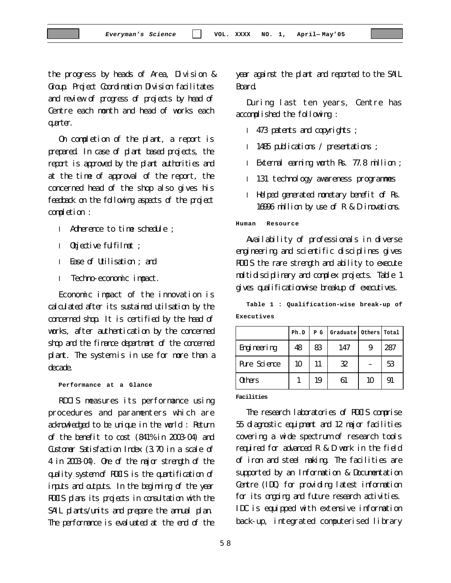the progress by heads of Area, Division & Group. Project Coordination Division facilitates and review of progress of projects by head of Centre each month and head of works each quarter.

On completion of the plant, a report is prepared. In case of plant based projects, the report is approved by the plant authorities and at the time of approval of the report, the concerned head of the shop also gives his feedback on the following aspects of the project completion :

- l Adherence to time schedule ;
- l Objective fulfilmet ;
- l Ease of Utilisation ; and
- l Techno-economic impact.

Economic impact of the innovation is calculated after its sustained utilsation by the concerned shop. It is certified by the head of works, after authentication by the concerned shop and the finance department of the concerned plant. The system is in use for more than a decade.

**Performance at a Glance**

RDCIS measures its performance using procedures and paramenters which are acknowledged to be unique in the world : Return of the benefit to cost (841% in 2003-04) and Customer Satisfaction Index (3.70 in a scale of 4 in 2003-04). One of the major strength of the quality system of RDCIS is the quantification of inputs and outputs. In the beginning of the year RDCIS plans its projects in consultation with the SAIL plants/units and prepare the annual plan. The performance is evaluated at the end of the

year against the plant and reported to the SAIL Board.

During last ten years, Centre has accomplished the following :

- l 473 patents and copyrights ;
- l 1485 publications / presentations ;
- l External earning worth Rs. 77.8 million ;
- l 131 technology awareness programmes
- l Helped generated monetary benefit of Rs. 16996 million by use of R & D inovations.

**Human Resource**

Availability of professionals in diverse engineering and scientific disciplines gives RDCIS the rare strength and ability to execute multidisciplinary and complex projects. Table 1 gives qualificationwise breakup of executives.

**Table 1 : Qualification-wise break-up of Executives**

|                     | Ph.D | P G | Graduate | Others   Total |     |
|---------------------|------|-----|----------|----------------|-----|
| Engineering         | 48   | 83  | 147      | 9              | 287 |
| <b>Pure Science</b> | 10   | 11  | 32       |                | 53  |
| <b>Others</b>       |      | 19  | 61       | 10             | 91  |

**Facilities**

The research laboratories of RDCIS comprise 55 diagnostic equipment and 12 major facilities covering a wide spectrum of research tools required for advanced R & D work in the field of iron and steel making. The facilities are supported by an Information & Documentation Centre (IDC) for providing latest information for its ongoing and future research activities. IDC is equipped with extensive information back-up, integrated computerised library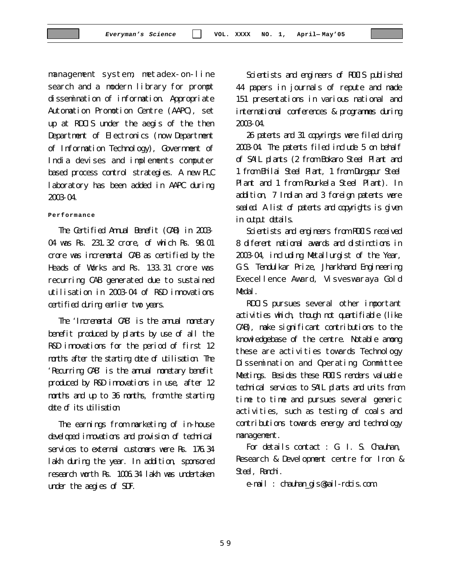management system, metadex-on-line search and a modern library for prompt dissemination of information. Appropriate Automation Promotion Centre (AAPC), set up at RDCIS under the aegis of the then Department of Electronics (now Department of Information Technology), Government of India devises and implements computer based process control strategies. A new PLC laboratory has been added in AAPC during 2003-04.

#### **Performance**

The Certified Annual Benefit (CAB) in 2003- 04 was Rs. 231.32 crore, of which Rs. 98.01 crore was incremental CAB as certified by the Heads of Works and Rs. 133.31 crore was recurring CAB generated due to sustained utilisation in 2003-04 of R&D innovations certified during earlier two years.

The 'Incremental CAB' is the annual monetary benefit produced by plants by use of all the R&D innovations for the period of first 12 months after the starting date of utilisation. The 'Recurring CAB' is the annual monetary benefit produced by R&D innovations in use, after 12 months and up to 36 months, from the starting date of its utilisation.

The earnings from marketing of in-house developed innovations and provision of technical services to external customers were Rs. 176.34 lakh during the year. In addition, sponsored research worth Rs. 1006.34 lakh was undertaken under the aegies of SDF.

Scientists and engineers of RDCIS published 44 papers in journals of repute and made 151 presentations in various national and international conferences & programmes during 2003-04.

26 patents and 31 copyringts were filed during 2003-04. The patents filed include 5 on behalf of SAIL plants (2 from Bokaro Steel Plant and 1 from Bhilai Steel Plant, 1 from Durgapur Steel Plant and 1 from Rourkela Steel Plant). In addition, 7 Indian and 3 foreign patents were sealed. A list of patents and copyrights is given in output details.

Scientists and engineers from RDCIS received 8 diferent national awards and distinctions in 2003-04, including Metallurgist of the Year, G.S. Tendulkar Prize, Jharkhand Engineering Execellence Award, Visveswaraya Gold Medal.

RDCIS pursues several other important activities which, though not quantifiable (like CAB), make significant contributions to the knowledgebase of the centre. Notable among these are activities towards Technology Dissemination and Operating Committee Meetings. Besides these RDCIS renders valuable technical services to SAIL plants and units from time to time and pursues several generic activities, such as testing of coals and contributions towards energy and technology management.

For details contact : G. I. S. Chauhan, Research & Development centre for Iron & Steel, Ranchi.

e-mail : chauhan\_gis@sail-rdcis.com.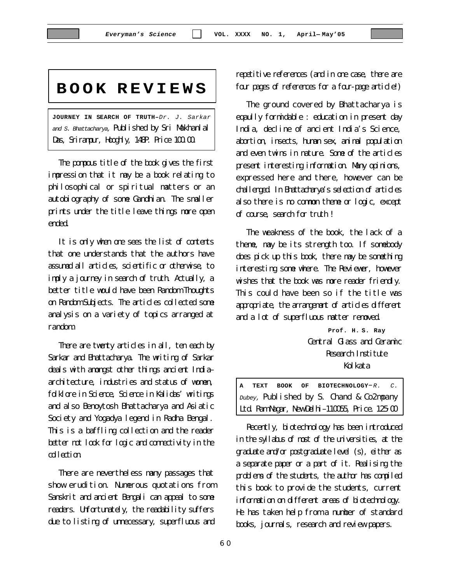# **BOOK REVIEWS**

**JOURNEY IN SEARCH OF TRUTH–***Dr. J. Sarkar and S. Bhattacharya,* Published by Sri Makhanlal Das, Svirampur, Hooghly,  $148P$ . Price  $100.00$ .

The pompous title of the book gives the first impression that it may be a book relating to philosophical or spiritual matters or an autobiography of some Gandhian. The smaller prints under the title leave things more open ended.

It is only when one sees the list of contents that one understands that the authors have assumed all articles, scientific or otherwise, to imply a journey in search of truth. Actually, a better title would have been Random Thoughts on Random Subjects. The articles collected some analysis on a variety of topics arranged at random.

There are twenty articles in all, ten each by Sarkar and Bhattacharya. The writing of Sarkar deals with amongst other things ancient India– architecture, industries and status of women, folklore in Science, Science in Kalidas' writings and also Benoytosh Bhattacharya and Asiatic Society and Yogadya legend in Radha Bengal. This is a baffling collection and the reader better not look for logic and connectivity in the collection.

There are nevertheless many passages that show erudition. Numerous quotations from Sanskrit and ancient Bengali can appeal to some readers. Unfortunately, the readability suffers due to listing of unnecessary, superfluous and repetitive references (and in one case, there are four pages of references for a four-page article!)

The ground covered by Bhattacharya is eqaully formidable : education in present day India, decline of ancient India's Science, abortion, insects, human sex, animal population and even twins in nature. Some of the articles present interesting information. Many opinions, expressed here and there, however can be challenged. In Bhattacharya's selection of articles also there is no common theme or logic, except of course, search for truth !

The weakness of the book, the lack of a theme, may be its strength too. If somebody does pick up this book, there may be something interesting some where. The Reviewer, however wishes that the book was more reader friendly. This could have been so if the title was appropriate, the arrangement of articles different and a lot of superfluous matter removed.

> **Prof. H. S. Ray** Central Glass and Ceramic Research Institute Kol kata

**A TEXT BOOK OF BIOTECHNOLOGY**–*R. C. Dubey,* Published by S. Chand & Co2mpany Ltd. Ram Nagar, NewDelhi-110055, Price.  $125.00$ 

Recently, biotechnology has been introduced in the syllabus of most of the universities, at the graduate and/or postgraduate level (s), either as a separate paper or a part of it. Realising the problems of the students, the author has compiled this book to provide the students, current information on different areas of biotechnology. He has taken help from a number of standard books, journals, research and review papers.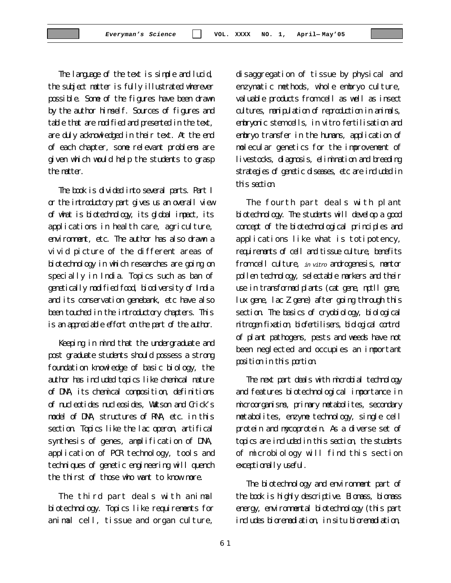The language of the text is simple and lucid, the subject matter is fully illustrated wherever possible. Some of the figures have been drawn by the author himself. Sources of figures and table that are modified and presented in the text, are duly acknowledged in their text. At the end of each chapter, some relevant problems are given which would help the students to grasp the matter.

The book is divided into several parts. Part I or the introductory part gives us an overall view of what is biotechnology, its global impact, its applications in health care, agriculture, environment, etc. The author has also drawn a vivid picture of the different areas of biotechnology in which researches are going on specially in India. Topics such as ban of genetically modified food, biodiversity of India and its conservation genebank, etc have also been touched in the introductory chapters. This is an appreciable effort on the part of the author.

Keeping in mind that the undergraduate and post graduate students should possess a strong foundation knowledge of basic biology, the author has included topics like chemical nature of DNA, its chemical composition, definitions of nucleotides nucleosides, Watson and Crick's model of DNA, structures of RNA, etc. in this section. Topics like the lac operon, artifical synthesis of genes, amplification of DNA, application of PCR technology, tools and techniques of genetic engineering will quench the thirst of those who want to know more.

The third part deals with animal biotechnology. Topics like requirements for animal cell, tissue and organ culture,

disaggregation of tissue by physical and enzymatic methods, whole embryo culture, valuable products from cell as well as insect cultures, manipulation of reproduction in animals, embryonic stem cells, in vitro fertilisation and embryo transfer in the humans, application of molecular genetics for the improvement of livestocks, diagnosis, elimination and breeding strategies of genetic diseases, etc are included in this section.

The fourth part deals with plant biotechnology. The students will develop a good concept of the biotechnological principles and applications like what is totipotency, requirements of cell and tissue culture, benefits from cell culture, *in vitro* androgenesis, mentor pollen technology, selectable markers and their use in transformed plants (cat gene, nptll gene, lux gene, lac Z gene) after going through this section. The basics of cryobiology, biological nitrogen fixation, biofertilisers, biological control of plant pathogens, pests and weeds have not been neglected and occupies an important position in this portion.

The next part deals with microbial technology and features biotechnological importance in microorganisms, primary metabolites, secondary metabolites, enzyme technology, single cell protein and mycoprotein. As a diverse set of topics are included in this section, the students of microbiology will find this section exceptionally useful.

The biotechnology and environment part of the book is highly descriptive. Biomass, biomass energy, environmental biotechnology (this part includes bioremediation, in situ bioremediation,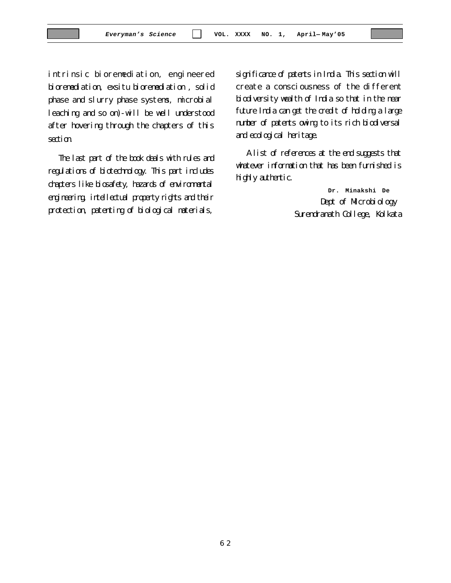intrinsic bioremediation, engineered bioremediation, exsitu bioremediation , solid phase and slurry phase systems, microbial leaching and so on)-will be well understood after hovering through the chapters of this section.

The last part of the book deals with rules and regulations of biotechnology. This part includes chapters like biosafety, hazards of environmental engineering, intellectual property rights and their protection, patenting of biological materials,

significance of patents in India. This section will create a consciousness of the different biodiversity wealth of India so that in the near future India can get the credit of holding a large number of patents owing to its rich biodiversal and ecological heritage.

A list of references at the end suggests that whatever information that has been furnished is highly authentic.

> **Dr. Minakshi De** Dept of Microbiology Surendranath College, Kolkata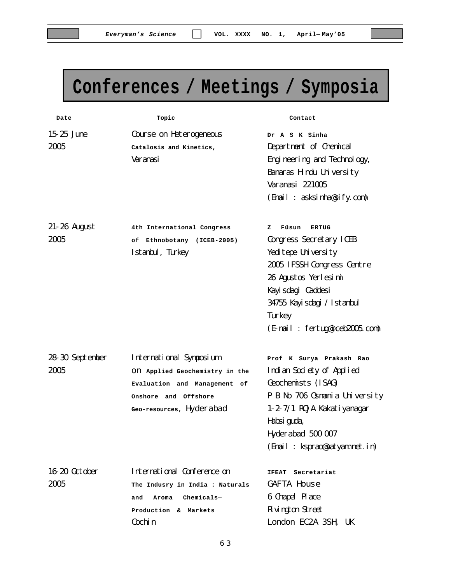# **Conferences / Meetings / Symposia**

| Date                | Topic                           | Contact                        |
|---------------------|---------------------------------|--------------------------------|
| 15-25 June          | Course on Heterogeneous         | Dr A S K Sinha                 |
| 2005                | Catalosis and Kinetics,         | Department of Chemical         |
|                     | Varanasi                        | Engineering and Technology,    |
|                     |                                 | Banaras Hindu University       |
|                     |                                 | Varanasi 221005                |
|                     |                                 | (Finail: asksinha@sify.com)    |
| <b>21-26 August</b> | 4th International Congress      | Füsun<br>z<br><b>ERTUG</b>     |
| 2005                | of Ethnobotany (ICEB-2005)      | Congress Secretary ICEB        |
|                     | Istanbul, Turkey                | Yeditepe University            |
|                     |                                 | 2005 IFSSH Congress Centre     |
|                     |                                 | 26 Agustos Yerlesimi           |
|                     |                                 | Kayi sdagi Caddesi             |
|                     |                                 | 34755 Kayisdagi / Istanbul     |
|                     |                                 | Turkey                         |
|                     |                                 | (E-mail: fertug@iceb2005.com)  |
| 28-30 September     | International Symposium         | Prof K Surya Prakash Rao       |
| 2005                | ON Applied Geochemistry in the  | Indian Society of Applied      |
|                     | Evaluation and Management of    | Geochemists (ISAG)             |
|                     | Onshore and Offshore            | P B No 706 0 smania University |
|                     | Geo-resources, Hyderabad        | 1-2-7/1 ROJA Kakatiyanagar     |
|                     |                                 | Habsiguda,                     |
|                     |                                 | Hyderabad 500 007              |
|                     |                                 | (Finail: ksprao@satyam.net.in) |
| 16-20 0ctober       | International Conference on     | <b>IFEAT</b><br>Secretariat    |
| 2005                | The Indusry in India : Naturals | <b>GAFTA House</b>             |
|                     | $Chemicals-$<br>and<br>Aroma    | 6 Chapel Place                 |
|                     | Production & Markets            | <b>Rivington Street</b>        |
|                     | Cochin                          | London EC2A 3SH, UK            |
|                     |                                 |                                |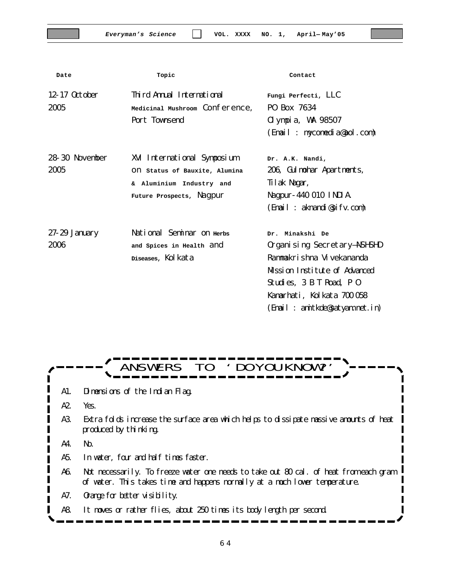| Date            | Topic                          | Contact                         |
|-----------------|--------------------------------|---------------------------------|
| 12-17 0ctober   | Third Annual International     | Fungi Perfecti, LLC             |
| 2005            | Medicinal Mushroom Conference, | PO Box 7634                     |
|                 | Port Townsend                  | 01 ympi a, WA 98507             |
|                 |                                | (Email: mycomedia@aol.com)      |
| 28-30 November  | XVI International Symposium    | Dr. A.K. Nandi,                 |
| 2005            | ON Status of Bauxite, Alumina  | 206, Gulmohar Apartments,       |
|                 | & Aluminium Industry and       | Tilak Nagar,                    |
|                 | Future Prospects, Nagpur       | Nagpur-440 010 INDIA.           |
|                 |                                | (Email: aknandi@sifv.com)       |
| $27-29$ January | National Seminar on Herbs      | Dr. Minakshi De                 |
| 2006            | and Spices in Health and       | Organi sing Secretary-NSHSHD    |
|                 | Diseases, Kolkata              | Rammakrishna Vivekananda        |
|                 |                                | Mssion Institute of Advanced    |
|                 |                                | Studies, 3 B T Road, P 0        |
|                 |                                | Kanarhati, Kolkata 700 058      |
|                 |                                | (Finail: anitkde@satyam.net.in) |

 $-$ ANSWERS TO 'DOYOUKNOW?' A1. Dimensions of the Indian Flag. A2. Yes. A3. Extra folds increase the surface area which helps to dissipate massive amounts of heat produced by thinking. A4. No. A5. In water, four and half times faster. A6. Not necessarily. To freeze water one needs to take out 80 cal. of heat from each gram of water. This takes time and happens normally at a much lower temperature. A7. Orange for better visibility. A8. It moves or rather flies, about 250 times its body length per second.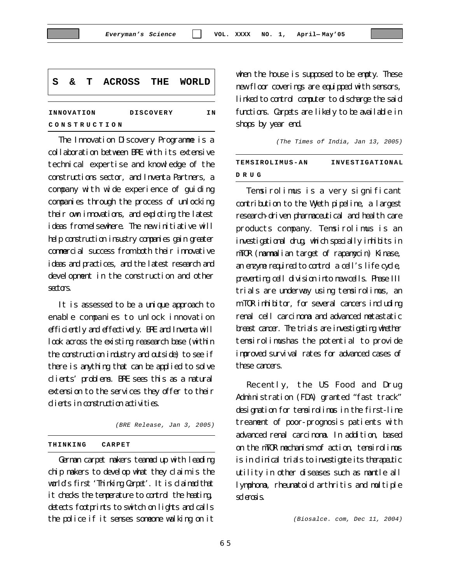| l S          |            |  |  |                  | & T ACROSS THE WORLD |
|--------------|------------|--|--|------------------|----------------------|
|              | INNOVATION |  |  | <b>DISCOVERY</b> | ΙN                   |
| CONSTRUCTION |            |  |  |                  |                      |

The Innovation Discovery Programme is a collaboration between BRE with its extensive technical expertise and knowledge of the constructions sector, and Inventa Partners, a company with wide experience of guiding companies through the process of unlocking their own innovations, and exploting the latest ideas from elsewhere. The new initiative will help construction insustry companies gain greater commercial success from both their innovative ideas and practices, and the latest research and development in the construction and other sectors.

It is assessed to be a unique approach to enable companies to unlock innovation efficiently and effectively. BRE and Inventa will look across the existing reasearch base (within the construction industry and outside) to see if there is anything that can be applied to solve clients' problems. BRE sees this as a natural extension to the services they offer to their clients in construction activities.

*(BRE Release, Jan 3, 2005)*

#### **THINKING CARPET**

German carpet makers teamed up with leading chip makers to develop what they claim is the world's first 'Thinking Carpet'. It is claimed that it checks the temperature to control the heating, detects footprints to switch on lights and calls the police if it senses someone walking on it

when the house is supposed to be empty. These new floor coverings are equipped with sensors, linked to control computer to discharge the said functions. Carpets are likely to be available in shops by year end.

*(The Times of India, Jan 13, 2005)*

| TEMSIROLIMUS-AN | INVESTIGATIONAL |
|-----------------|-----------------|
| DRUG            |                 |

Temsirolimus is a very significant contribution to the Wyeth pipeline, a largest research-driven pharmaceutical and health care products company. Temsirolimus is an investigational drug, which specially inhibits in mTOR (mammalian target of rapamycin) Kinase, an enzyme required to control a cell's life cycle, preventing cell division into new cells. Phase III trials are underway using temsirolimus, an m TOR inhibitor, for several cancers including renal cell carcinoma and advanced metastatic breast cancer. The trials are investigating whether temsirolimushas the potential to provide improved survival rates for advanced cases of these cancers.

Recently, the US Food and Drug Administration (FDA) granted "fast track" designation for temsirolimus in the first-line treament of poor-prognosis patients with advanced renal carcinoma. In addition, based on the mTOR mechanism of action, temsirolimus is in clinical trials to investigate its therapeutic utility in other diseases such as mantle all lymphoma, rheumatoid arthritis and multiple sclerosis.

*(Biosalce. com, Dec 11, 2004)*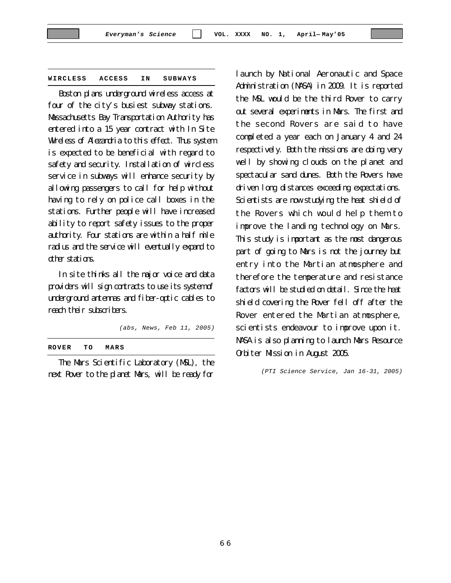#### **WIRCLESS ACCESS IN SUBWAYS**

Boston plans underground wireless access at four of the city's busiest subway stations. Massachusetts Bay Transportation Authority has entered into a 15 year contract with In Site Wireless of Alezandria to this effect. Thus system is expected to be beneficial with regard to safety and security. Installation of wircless service in subways will enhance security by allowing passengers to call for help without having to rely on police call boxes in the stations. Further people will have increased ability to report safety issues to the proper authority. Four stations are within a half mile radius and the service will eventually expand to other stations.

In site thinks all the major voice and data providers will sign contracts to use its system of underground antennas and fiber-optic cables to reach their subscribers.

*(abs, News, Feb 11, 2005)*

**ROVER TO MARS**

The Mars Scientific Laboratory (MSL), the next Rover to the planet Mars, will be ready for

launch by National Aeronautic and Space Administration (NASA) in 2009. It is reported the MSL would be the third Rover to carry out several experiments in Mars. The first and the second Rovers are said to have completed a year each on January 4 and 24 respectively. Both the missions are doing very well by showing clouds on the planet and spectacular sand dunes. Both the Rovers have driven long distances exceeding expectations. Scientists are now studying the heat shield of the Rovers which would help them to improve the landing technology on Mars. This study is important as the most dangerous part of going to Mars is not the journey but entry into the Martian atmosphere and therefore the temperature and resistance factors will be studied on detail. Since the heat shield covering the Rover fell off after the Rover entered the Martian atmosphere, scientists endeavour to improve upon it. NASA is also planning to launch Mars Resource Orbiter Mission in August 2005.

*(PTI Science Service, Jan 16-31, 2005)*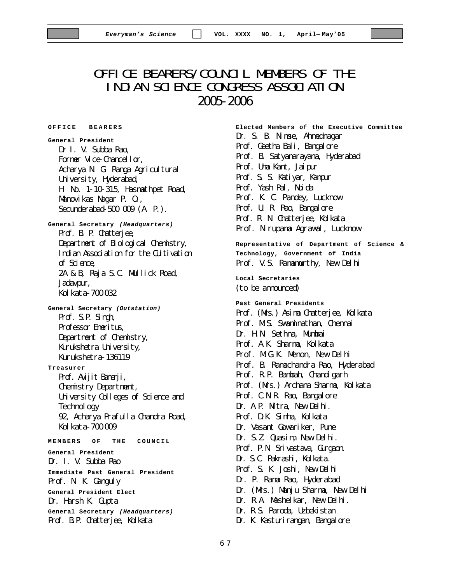# OFFICE BEARERS/COUNCIL MEMBERS OF THE INDIAN SCIENCE CONGRESS ASSOCIATION 2005-2006

**O F FICE BEARERS**

**General President** Dr I. V. Subba Rao, Former Vice-Chancellor, Acharya N. G. Ranga Agricultural University, Hyderabad, H. No. 1-10-315, Hasmathpet Road, Manovikas Nagar P. O., Secunderabad-500 009 (A. P.). **General Secretary** *(Headquarters)* Prof. B. P. Chatterjee, Department of Biological Chemistry, Indian Association for the Cultivation of Science, 2A & B, Raja S.C. Mullick Road, Jadavpur, Kolkata-700032 **General Secretary** *(Outstation)* Prof. S.P. Singh, Professor Emeritus, Department of Chemistry, Kurukshetra University, Kurukshetra-136119 **Treasurer** Prof. Avijit Banerji, Chemistry Department, University Colleges of Science and Technology 92, Acharya Prafulla Chandra Road, Kol kata-700009 **MEMBERS OF THE COUNCIL General President** Dr. I. V. Subba Rao **Immediate Past General President** Prof. N. K. Ganguly **General President Elect** Dr. Harsh K. Gupta **General Secretary** *(Headquarters)* Prof. B.P. Chatterjee, Kolkata

**Elected Members of the Executive Committee** Dr. S. B. Nimse, Ahmednagar Prof. Geetha Bali, Bangalore Prof. B. Satyanarayana, Hyderabad Prof. Uma Kant, Jaipur Prof. S. S. Katiyar, Kanpur Prof. Yash Pal, Noida Prof. K. C. Pandey, Lucknow Prof. U. R. Rao, Bangalore Prof. R. N. Chatterjee, Kolkata Prof. Nirupama Agrawal, Lucknow **Representative of Department of Science & Technology, Government of India** Prof. V.S. Ramamurthy, New Delhi **Local Secretaries** (to be announced) **Past General Presidents** Prof. (Mrs.) Asima Chatterjee, Kolkata Prof. M.S. Swaminathan, Chennai Dr. H.N. Sethna, Mumbai Prof. A.K. Sharma, Kolkata Prof. M.G.K. Menon, New Delhi Prof. B. Ramachandra Rao, Hyderabad Prof. R.P. Bambah, Chandigarh Prof. (Mrs.) Archana Sharma, Kolkata Prof. C.N.R. Rao, Bangalore Dr. A.P. Mitra, New Delhi. Prof. D.K. Sinha, Kolkata Dr. Vasant Gowariker, Pune Dr. S.Z. Quasim, New Delhi. Prof. P.N. Srivastava, Gurgaon. Dr. S.C. Pakrashi, Kolkata. Prof. S. K. Joshi, New Delhi Dr. P. Rama Rao, Hyderabad Dr. (Mrs.) Manju Sharma, New Delhi Dr. R.A. Mashelkar, New Delhi. Dr. R.S. Paroda, Uzbekistan Dr. K. Kasturirangan, Bangalore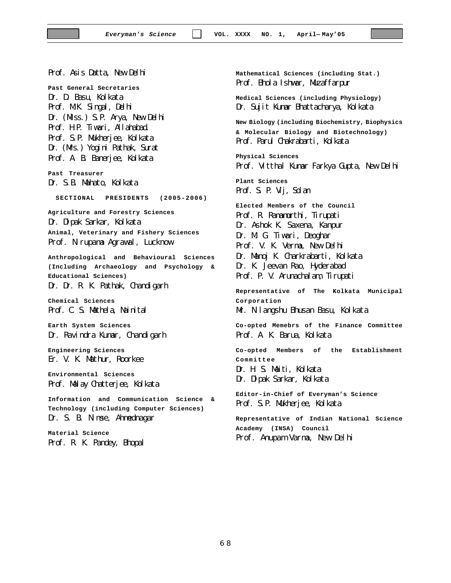Prof. Asis Datta, New Delhi

**Past General Secretaries** Dr. D. Basu, Kolkata Prof. MK. Singal, Delhi Dr. (Mss.) S.P. Arya, New Delhi Prof. H.P. Tiwari, Allahabad. Prof. S.P. Mukherjee, Kolkata Dr. (Mrs.) Yogini Pathak, Surat Prof. A. B. Banerjee, Kolkata

**Past Treasurer** Dr. S.B. Mahato, Kolkata

**SECTIONAL PRESIDENTS (2005-2006)**

**Agriculture and Forestry Sciences** Dr. Dipak Sarkar, Kolkata **Animal, Veterinary and Fishery Sciences** Prof. Nirupama Agrawal, Lucknow

**Anthropological and Behavioural Sciences (Including Archaeology and Psychology & Educational Sciences)**

#### Dr. Dr. R. K. Pathak, Chandigarh

**Chemical Sciences** Prof. C. S. Mathela, Nainital

**Earth System Sciences** Dr. Ravindra Kumar, Chandigarh

**Engineering Sciences** Er. V. K. Mathur, Roorkee

**Environmental Sciences** Prof. Malay Chatterjee, Kolkata

**Information and Communication Science & Technology (including Computer Sciences)** Dr. S. B. Nimse, Ahmednagar

**Material Science** Prof. R. K. Pandey, Bhopal **Mathematical Sciences (including Stat.)** Prof. Bhola Ishwar, Muzaffarpur

**Medical Sciences (including Physiology)** Dr. Sujit Kumar Bhattacharya, Kolkata

**New Biology (including Biochemistry, Biophysics & Molecular Biology and Biotechnology)** Prof. Parul Chakrabarti, Kolkata

**Physical Sciences** Prof. Vitthal Kumar Farkya Gupta, New Delhi

**Plant Sciences** Prof. S. P. Vij, Solan

**Elected Members of the Council** Prof. R. Ramamurthi, Tirupati Dr. Ashok K. Saxena, Kanpur Dr. M. G. Tiwari, Deoghar Prof. V. K. Verma, New Delhi Dr. Manoj K. Charkrabarti, Kolkata Dr. K. Jeevan Rao, Hyderabad Prof. P. V. Arunachalam, Tirupati

**Representative of The Kolkata Municipal Corporation** Mr. Nilangshu Bhusan Basu, Kolkata **Co-opted Memebrs of the Finance Committee**

Prof. A. K. Barua, Kolkata

**Co-opted Members of the Establishment Committee**

Dr. H. S. Maiti, Kolkata Dr. Dipak Sarkar, Kolkata

**Editor-in-Chief of Everyman's Science** Prof. S.P. Mukherjee, Kolkata

**Representative of Indian National Science Academy (INSA) Council** Prof. Anupam Varma, New Delhi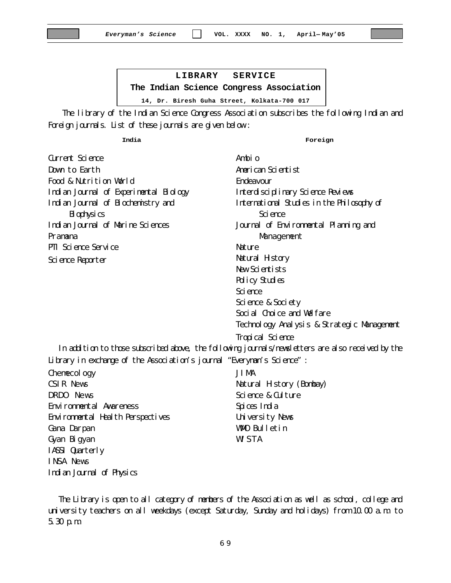**LIBRARY SERVICE The Indian Science Congress Association 14, Dr. Biresh Guha Street, Kolkata-700 017**

 The library of the Indian Science Congress Association subscribes the following Indian and Foreign journals. List of these journals are given below :

**India**

**Foreign**

| Greent Science                         | Ambi o                                     |
|----------------------------------------|--------------------------------------------|
| Down to Earth                          | American Scientist                         |
| Food & Nutrition World                 | <b>Endeavour</b>                           |
| Indian Journal of Experimental Biology | Interdisciplinary Science Reviews          |
| Indian Journal of Biochenistry and     | International Studies in the Philosophy of |
| Biophysics                             | Science                                    |
| Indian Journal of Marine Sciences      | Journal of Environmental Planning and      |
| Pramana                                | Management                                 |
| PII Science Service                    | <b>Nature</b>                              |
| Science Reporter                       | Natural History                            |
|                                        | New Scientists                             |
|                                        | Policy Studies                             |
|                                        | Science                                    |
|                                        | Science & Society                          |
|                                        | Social Choice and Welfare                  |

Technology Analysis & Strategic Management

Tropical Science

In addition to those subscribed above, the following journals/newsletters are also received by the Library in exchange of the Association's journal "Everyman's Science" :

Chemecology CSIR News DRDO News Environmental Awareness Environmental Health Perspectives Gana Darpan Gyan Bigyan IASSI Quarterly INSA News Indian Journal of Physics

JIMA Natural History (Bombay) Science & Culture Spices India University News WMO Bulletin WISTA

The Library is open to all category of members of the Association as well as school, college and university teachers on all weekdays (except Saturday, Sunday and holidays) from 10.00 a.m. to 5.30 p.m.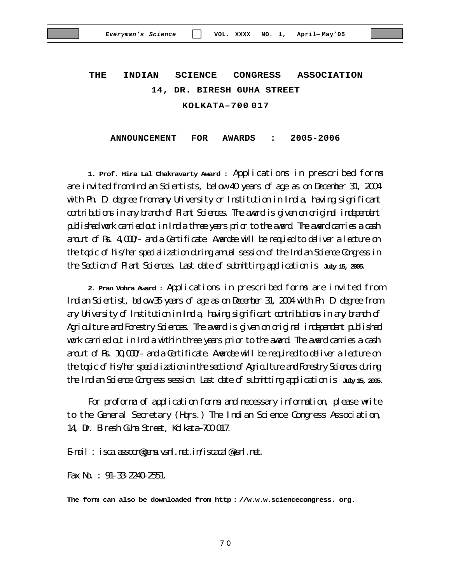# **THE INDIAN SCIENCE CONGRESS ASSOCIATION 14, DR. BIRESH GUHA STREET KOLKATA–700 017**

**ANNOUNCEMENT FOR AWARDS : 2005-2006**

**1. Prof. Hira Lal Chakravarty Award :** Applications in prescribed forms are invited from Indian Scientists, below 40 years of age as on December 31, 2004 with Ph. D. degree from any University or Institution in India, having significant contributions in any branch of Plant Sciences. The award is given on original independent published work carried out in India three years prior to the award. The award carries a cash anount of Rs.  $4000^\circ$  and a Certificate. Awards will be requied to deliver a lecture on the topic of his/her specialization during annul session of the Indian Science Congress in the Section of Plant Sciences. Last date of submitting application is **July 15, 2005**.

**2. Pran Vohra Award :** Applications in prescribed forms are invited from Indian Scientist, below 35 years of age as on December 31, 2004 with Ph. D. degree from any University of Institution in India, having significant contributions in any branch of Agriculture and Forestry Sciences. The award is given on original independent published work carried out in India within three years prior to the award. The award carries a cash and  $\alpha$  Rs  $10,000$  and a Certificate. Awardee will be required to deliver a lecture on the topic of his/her specialization in the section of Agriculture and Forestry Sciences during the Indian Science Congress session. Last date of submitting application is **July 15, 2005.**

For proforma of application forms and necessary information, please write to the General Secretary (Hqrs.) The Indian Science Congress Association, 14, Dr. Biresh Guha Street, Kolkata–700017.

#### E-mail : isca.assocn@gems.vsnl.net.in/iscacal@vsnl.net.

Fax No. : 91-33-2240-2551.

**The form can also be downloaded from http : //w.w.w.sciencecongress. org.**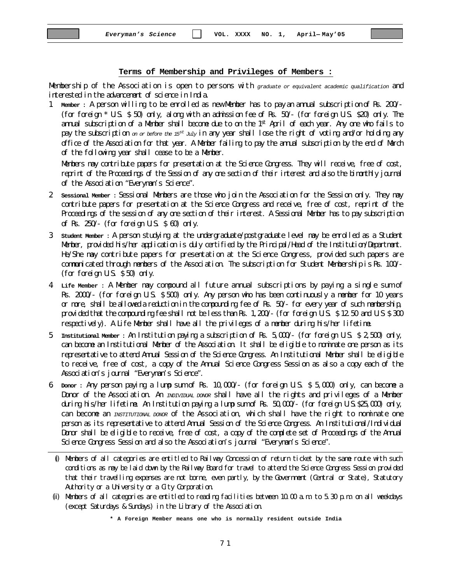#### **Terms of Membership and Privileges of Members :**

Membership of the Association is open to persons with *graduate or equivalent academic qualification* and interested in the advancement of science in India.

1. **Member :** A person willing to be enrolled as newMember has to payan annual subscriptionof Rs. 200/- (for foreign \* U.S. \$ 50) only, along with an admission fee of Rs. 50/- (for foreign U.S. \$20) only. The annual subscription of a Member shall become due to on the  $1<sup>st</sup>$  April of each year. Any one who fails to pay the subscription *on or before the 15st July* in any year shall lose the right of voting and/or holding any office of the Association for that year. A Member failing to pay the annual subscription by the end of March of the following year shall cease to be a Member.

Members may contribute papers for presentation at the Science Congress. They will receive, free of cost, reprint of the Proceedings of the Session of any one section of their interest and also the bimonthly journal of the Association "Everyman's Science".

- 2. **Sessional Member :** Sessional Members are those who join the Association for the Session only. They may contribute papers for presentation at the Science Congress and receive, free of cost, reprint of the Proceedings of the session of any one section of their interest. A Sessional Member has to pay subscription of Rs.  $250/$ - (for foreign U.S.  $\$$  60) only.
- 3. **Student Member :** A person studying at the undergraduate/postgraduate level may be enrolled as a Student Member, provided his/her application is duly certified by the Principal/Head of the Institution/Department. He/She may contribute papers for presentation at the Science Congress, provided such papers are communicated through members of the Association. The subscription for Student MembershipisRs.100/- (for foreign U.S. \$50) only.
- 4. **Life Member :** A Member may compound all future annual subscriptions by paying a single sum of Rs. 2000/- (for foreign U.S. \$500) only. Any person who has been continuously a member for 10 years or more, shall beallowedareductionin the compounding fee of Rs. 50/- for every year of such membership, provided that the compounding fee shall not be less than Rs. 1, 200/- (for foreign U.S.  $\$12.50$  and U.S  $\$300$ respectively). A Life Member shall have all the privileges of a member during his/her lifetime.
- 5. **Institutional Member :** An Institution paying a subscription of Rs. 5,000/- (for foreign U.S. \$ 2,500) only, can become an Institutional Member of the Association. It shall be eligible to nominate one person as its representative to attend Annual Session of the Science Congress. An Institutional Member shall be eligible to receive, free of cost, a copy of the Annual Science Congress Session as also a copy each of the Association's journal "Everyman's Science".
- 6. **Donor :** Any person paying a lump sum of Rs. 10,000/- (for foreign U.S. \$ 5,000) only, can become a Donor of the Association. An *INDIVIDUAL DONOR* shall have all the rights and privileges of a Member during his/her lifetime. An Institution paying a lump sum of Rs. 50,000/- (for foreign U.S.\$25,000) only, can become an *INSTITUTIONAL DONOR* of the Association, which shall have the right to nominate one person as its representative to attend Annual Session of the Science Congress. An Institutional/Individual Donor shall be eligible to receive, free of cost, a copy of the complete set of Proceedings of the Annual Science Congress Session and also the Association's journal "Everyman's Science".
	- (i) Members of all categories are entitled to Railway Concession of return ticket by the same route with such conditions as may be laid down by the Railway Board for travel to attend the Science Congress Session provided that their travelling expenses are not borne, even partly, by the Government (Central or State), Statutory Authority or a University or a City Corporation.
	- (ii) Members of all categories are entitled to reading facilities between 10.00 a.m. to 5.30 p.m. on all weekdays (except Saturdays & Sundays) in the Library of the Association.

**<sup>\*</sup> A Foreign Member means one who is normally resident outside India**